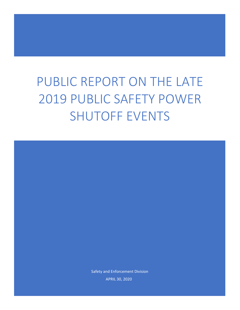# PUBLIC REPORT ON THE LATE 2019 PUBLIC SAFETY POWER SHUTOFF EVENTS

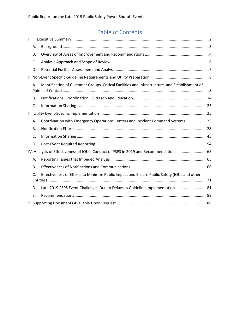## Table of Contents

| Ι.                                                                                     |           |                                                                                                 |  |  |  |  |
|----------------------------------------------------------------------------------------|-----------|-------------------------------------------------------------------------------------------------|--|--|--|--|
|                                                                                        | Α.        |                                                                                                 |  |  |  |  |
|                                                                                        | В.        |                                                                                                 |  |  |  |  |
|                                                                                        | C.        |                                                                                                 |  |  |  |  |
|                                                                                        | D.        |                                                                                                 |  |  |  |  |
|                                                                                        |           |                                                                                                 |  |  |  |  |
|                                                                                        | А.        | Identification of Customer Groups, Critical Facilities and Infrastructure, and Establishment of |  |  |  |  |
|                                                                                        | <b>B.</b> |                                                                                                 |  |  |  |  |
| C.                                                                                     |           |                                                                                                 |  |  |  |  |
|                                                                                        |           |                                                                                                 |  |  |  |  |
|                                                                                        | А.        | Coordination with Emergency Operations Centers and Incident Command Systems  25                 |  |  |  |  |
|                                                                                        | В.        |                                                                                                 |  |  |  |  |
|                                                                                        | C.        |                                                                                                 |  |  |  |  |
|                                                                                        | D.        |                                                                                                 |  |  |  |  |
| IV. Analysis of Effectiveness of IOUs' Conduct of PSPS in 2019 and Recommendations  65 |           |                                                                                                 |  |  |  |  |
|                                                                                        | А.        |                                                                                                 |  |  |  |  |
|                                                                                        | <b>B.</b> |                                                                                                 |  |  |  |  |
| C.                                                                                     |           | Effectiveness of Efforts to Minimize Public Impact and Ensure Public Safety (IOUs and other     |  |  |  |  |
|                                                                                        | D.        | Late 2019 PSPS Event Challenges Due to Delays in Guideline Implementation 81                    |  |  |  |  |
|                                                                                        | Ε.        |                                                                                                 |  |  |  |  |
|                                                                                        |           |                                                                                                 |  |  |  |  |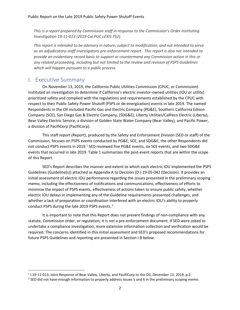*This is a report prepared by Commission staff in response to the Commission's Order Instituting Investigation 19-11-013 (2019 Cal.PUC LEXIS 752).* 

*This report is intended to be advisory in nature, subject to modification, and not intended to serve as an adjudicatory-staff investigatory pre-enforcement report. This report is also not intended to provide an evidentiary record basis to support or countermand any Commission action in this or any related proceeding, including but not limited to the review and revision of PSPS Guidelines which will happen pursuant to a public process.*

## <span id="page-2-0"></span>I. Executive Summary

On November 13, 2019, the California Public Utilities Commission (CPUC, or Commission) instituted an investigation to determine if California's electric investor-owned utilities (IOU or utility) prioritized safety and complied with the regulations and requirements established by the CPUC with respect to their Public Safety Power Shutoff (PSPS or de-energization) events in late 2019. The named Respondents in the OII included Pacific Gas and Electric Company (PG&E), Southern California Edison Company (SCE), San Diego Gas & Electric Company, (SDG&E), Liberty Utilities/CalPeco Electric (Liberty), Bear Valley Electric Service, a division of Golden State Water Company (Bear Valley), and Pacific Power, a division of PacifiCorp (PacifiCorp).

This staff report (Report), produced by the Safety and Enforcement Division (SED or staff) of the Commission, focuses on PSPS events conducted by PG&E, SCE, and SDG&E; the other Respondents did not conduct PSPS events in 2019.<sup>1</sup> SED reviewed five PG&E events, six SCE events, and two SDG&E events that occurred in late 2019. Table 1 summarizes the post-event reports that are within the scope of this Report.

SED's Report describes the manner and extent to which each electric IOU implemented the PSPS Guidelines (Guideline(s)) attached as Appendix A to Decision (D.) 19-05-042 (Decision). It provides an initial assessment of electric IOU performance regarding the issues presented in the preliminary scoping memo, including the effectiveness of notifications and communications, effectiveness of efforts to minimize the impact of PSPS events, effectiveness of actions taken to ensure public safety, whether electric IOU delays in implementing any of the Guideline requirements presented challenges, and whether a lack of preparation or coordination interfered with an electric IOU's ability to properly conduct PSPS during the late 2019 PSPS events.<sup>2</sup>

It is important to note that this Report does not present findings of non-compliance with any statute, Commission order, or regulation; it is not a pre-enforcement document. If SED were asked to undertake a compliance investigation, more extensive information collection and verification would be required. The concerns identified in this initial assessment and SED's proposed recommendations for future PSPS Guidelines and reporting are presented in Section I.B below.

 $^1$  I.19-11-013, Joint Response of Bear Valley, Liberty, and PacifiCorp to the OII, December 13, 2019, p.2

 $^2$  SED did not have enough information to properly address Issues 5 and 6 in the preliminary scoping memo.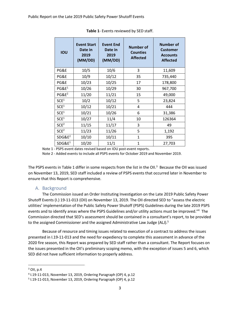| IOU                | <b>Event Start</b><br>Date in<br>2019<br>(MM/DD) | <b>Event End</b><br>Date in<br>2019<br>(MM/DD) | <b>Number of</b><br><b>Counties</b><br><b>Affected</b> | <b>Number of</b><br><b>Customer</b><br><b>Accounts</b><br><b>Affected</b> |
|--------------------|--------------------------------------------------|------------------------------------------------|--------------------------------------------------------|---------------------------------------------------------------------------|
| PG&E               | 10/5                                             | 10/6                                           | 3                                                      | 11,609                                                                    |
| PG&E               | 10/9                                             | 10/12                                          | 35                                                     | 735,440                                                                   |
| PG&E               | 10/23                                            | 10/25                                          | 17                                                     | 178,800                                                                   |
| PGE <sup>1</sup>   | 10/26                                            | 10/29                                          | 30                                                     | 967,700                                                                   |
| $PG&E^2$           | 11/20                                            | 11/21                                          | 15                                                     | 49,000                                                                    |
| SCE <sup>1</sup>   | 10/2                                             | 10/12                                          | 5                                                      | 23,824                                                                    |
| SCE <sup>1</sup>   | 10/12                                            | 10/21                                          | 4                                                      | 444                                                                       |
| SCE <sup>1</sup>   | 10/21                                            | 10/26                                          | 6                                                      | 31,386                                                                    |
| SCE <sup>1</sup>   | 10/27                                            | 11/4                                           | 10                                                     | 126364                                                                    |
| SCE <sup>2</sup>   | 11/15                                            | 11/17                                          | 3                                                      | 49                                                                        |
| SCE <sup>2</sup>   | 11/23                                            | 11/26                                          | 5                                                      | 1,192                                                                     |
| SDG&E <sup>2</sup> | 10/10                                            | 10/11                                          | $\mathbf{1}$                                           | 395                                                                       |
| SDG&E <sup>1</sup> | 10/20                                            | 11/1                                           | $\mathbf{1}$                                           | 27,703                                                                    |

**Table 1**- Events reviewed by SED staff.

Note 1 - PSPS event dates revised based on IOU post-event reports.

Note 2 - Added events to include all PSPS events for October 2019 and November 2019.

The PSPS events in Table 1 differ in some respects from the list in the OII.<sup>3</sup> Because the OII was issued on November 13, 2019, SED staff included a review of PSPS events that occurred later in November to ensure that this Report is comprehensive.

#### A. Background

<span id="page-3-0"></span>The Commission issued an Order Instituting Investigation on the Late 2019 Public Safety Power Shutoff Events (I.) 19-11-013 (OII) on November 13, 2019. The OII directed SED to "assess the electric utilities' implementation of the Public Safety Power Shutoff (PSPS) Guidelines during the late 2019 PSPS events and to identify areas where the PSPS Guidelines and/or utility actions must be improved."<sup>4</sup> The Commission directed that SED's assessment should be contained in a consultant's report, to be provided to the assigned Commissioner and the assigned Administrative Law Judge (ALJ).<sup>5</sup>

Because of resource and timing issues related to execution of a contract to address the issues presented in I.19-11-013 and the need for expediency to complete this assessment in advance of the 2020 fire season, this Report was prepared by SED staff rather than a consultant. The Report focuses on the issues presented in the OII's preliminary scoping memo, with the exception of issues 5 and 6, which SED did not have sufficient information to properly address.

 $3$  OII, p.4

<sup>4</sup> I.19-11-013, November 13, 2019, Ordering Paragraph (OP) 4, p.12

<sup>5</sup> I.19-11-013, November 13, 2019, Ordering Paragraph (OP) 4, p.12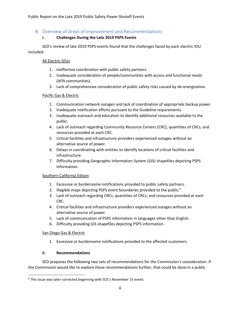## <span id="page-4-0"></span>B. Overview of Areas of Improvement and Recommendations

#### **i. Challenges During the Late 2019 PSPS Events**

SED's review of late 2019 PSPS events found that the challenges faced by each electric IOU included:

#### All Electric IOUs

- 1. Ineffective coordination with public safety partners.
- 2. Inadequate consideration of people/communities with access and functional needs (AFN communities).
- 3. Lack of comprehensive consideration of public safety risks caused by de-energization.

#### Pacific Gas & Electric

- 1. Communication network outages and lack of coordination of appropriate backup power.
- 2. Inadequate notification efforts pursuant to the Guideline requirements.
- 3. Inadequate outreach and education to identify additional resources available to the public.
- 4. Lack of outreach regarding Community Resource Centers (CRC), quantities of CRCs, and resources provided at each CRC.
- 5. Critical facilities and infrastructure providers experienced outages without an alternative source of power.
- 6. Delays in coordinating with entities to identify locations of critical facilities and infrastructure.
- 7. Difficulty providing Geographic Information System (GIS) shapefiles depicting PSPS information.

#### Southern California Edison

- 1. Excessive or burdensome notifications provided to public safety partners.
- 2. Illegible maps depicting PSPS event boundaries provided to the public.<sup>6</sup>
- 3. Lack of outreach regarding CRCs, quantities of CRCs, and resources provided at each CRC.
- 4. Critical facilities and infrastructure providers experienced outages without an alternative source of power.
- 5. Lack of communication of PSPS information in languages other than English.
- 6. Difficulty providing GIS shapefiles depicting PSPS information.

#### San Diego Gas & Electric

1. Excessive or burdensome notifications provided to the affected customers.

#### **ii. Recommendations**

SED proposes the following two sets of recommendations for the Commission's consideration. If the Commission would like to explore these recommendations further, that could be done in a public

<sup>6</sup> This issue was later corrected beginning with SCE's November 15 event.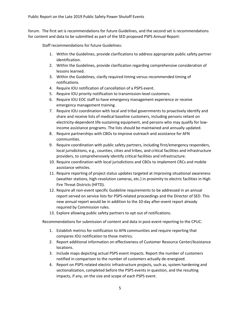forum. The first set is recommendations for future Guidelines, and the second set is recommendations for content and data to be submitted as part of the SED proposed PSPS Annual Report:

Staff recommendations for future Guidelines:

- 1. Within the Guidelines, provide clarifications to address appropriate public safety partner identification.
- 2. Within the Guidelines, provide clarification regarding comprehensive consideration of lessons learned.
- 3. Within the Guidelines, clarify required timing versus recommended timing of notifications.
- 4. Require IOU notification of cancellation of a PSPS event.
- 5. Require IOU priority notification to transmission-level customers.
- 6. Require IOU EOC staff to have emergency management experience or receive emergency management training.
- 7. Require IOU coordination with local and tribal governments to proactively identify and share and receive lists of medical baseline customers, including persons reliant on electricity-dependent life-sustaining equipment, and persons who may qualify for lowincome assistance programs. The lists should be maintained and annually updated.
- 8. Require partnerships with CBOs to improve outreach and assistance for AFN communities.
- 9. Require coordination with public safety partners, including first/emergency responders, local jurisdictions, e.g., counties, cities and tribes, and critical facilities and infrastructure providers, to comprehensively identify critical facilities and infrastructure.
- 10. Require coordination with local jurisdictions and CBOs to implement CRCs and mobile assistance vehicles.
- 11. Require reporting of project status updates targeted at improving situational awareness (weather stations, high-resolution cameras, etc.) in proximity to electric facilities in High Fire Threat Districts (HFTD).
- 12. Require all non-event specific Guideline requirements to be addressed in an annual report served on service lists for PSPS-related proceedings and the Director of SED. This new annual report would be in addition to the 10-day after-event report already required by Commission rules.
- 13. Explore allowing public safety partners to opt out of notifications.

Recommendations for submission of content and data in post-event reporting to the CPUC:

- 1. Establish metrics for notification to AFN communities and require reporting that compares IOU notification to those metrics.
- 2. Report additional information on effectiveness of Customer Resource Center/Assistance locations.
- 3. Include maps depicting actual PSPS event impacts. Report the number of customers notified in comparison to the number of customers actually de-energized.
- 4. Report on PSPS-related electric infrastructure projects, such as, system hardening and sectionalization, completed before the PSPS events in question, and the resulting impacts, if any, on the size and scope of each PSPS event.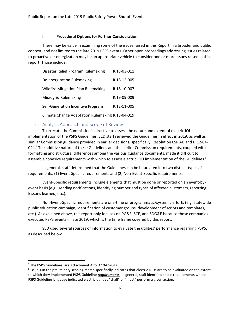#### **iii. Procedural Options for Further Consideration**

There may be value in examining some of the issues raised in this Report in a broader and public context, and not limited to the late 2019 PSPS events. Other open proceedings addressing issues related to proactive de-energization may be an appropriate vehicle to consider one or more issues raised in this report. Those include:

| Disaster Relief Program Rulemaking               | R.18-03-011 |
|--------------------------------------------------|-------------|
| De-energization Rulemaking                       | R.18-12-005 |
| <b>Wildfire Mitigation Plan Rulemaking</b>       | R.18-10-007 |
| <b>Microgrid Rulemaking</b>                      | R.19-09-009 |
| Self-Generation Incentive Program                | R.12-11-005 |
| Climate Change Adaptation Rulemaking R.18-04-019 |             |

#### C. Analysis Approach and Scope of Review

<span id="page-6-0"></span>To execute the Commission's directive to assess the nature and extent of electric IOU implementation of the PSPS Guidelines, SED staff reviewed the Guidelines in effect in 2019, as well as similar Commission guidance provided in earlier decisions, specifically, Resolution ESRB-8 and D.12-04- 024.<sup>7</sup> The additive nature of these Guidelines and the earlier Commission requirements, coupled with formatting and structural differences among the various guidance documents, made it difficult to assemble cohesive requirements with which to assess electric IOU implementation of the Guidelines.<sup>8</sup>

In general, staff determined that the Guidelines can be bifurcated into two distinct types of requirements: (1) Event-Specific requirements and (2) Non-Event-Specific requirements.

Event-Specific requirements include elements that must be done or reported on an event-byevent basis (e.g., sending notifications, identifying number and types of affected customers, reporting lessons learned, etc.).

Non-Event-Specific requirements are one-time or programmatic/systemic efforts (e.g. statewide public education campaign, identification of customer groups, development of scripts and templates, etc.). As explained above, this report only focuses on PG&E, SCE, and SDG&E because those companies executed PSPS events in late 2019, which is the time frame covered by this report.

SED used several sources of information to evaluate the utilities' performance regarding PSPS, as described below.

<sup>&</sup>lt;sup>7</sup> The PSPS Guidelines, are Attachment A to D.19-05-042.

<sup>&</sup>lt;sup>8</sup> Issue 1 in the preliminary scoping memo specifically indicates that electric IOUs are to be evaluated on the extent to which they implemented PSPS Guideline *requirements*. In general, staff identified those requirements where PSPS Guideline language indicated electric utilities "shall" or "must" perform a given action.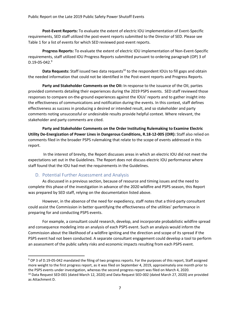**Post-Event Reports:** To evaluate the extent of electric IOU implementation of Event-Specific requirements, SED staff utilized the post-event reports submitted to the Director of SED. Please see Table 1 for a list of events for which SED reviewed post-event reports.

**Progress Reports:** To evaluate the extent of electric IOU implementation of Non-Event-Specific requirements, staff utilized IOU Progress Reports submitted pursuant to ordering paragraph (OP) 3 of  $D.19 - 05 - 042.<sup>9</sup>$ 

Data Requests: Staff issued two data requests<sup>10</sup> to the respondent IOUs to fill gaps and obtain the needed information that could not be identified in the Post-event reports and Progress Reports.

**Party and Stakeholder Comments on the OII:** In response to the issuance of the OII, parties provided comments detailing their experiences during the 2019 PSPS events. SED staff reviewed those responses to compare on-the-ground experiences against the IOUs' reports and to gather insight into the effectiveness of communications and notification during the events. In this context, staff defines effectiveness as success in producing a desired or intended result, and so stakeholder and party comments noting unsuccessful or undesirable results provide helpful context. Where relevant, the stakeholder and party comments are cited.

**Party and Stakeholder Comments on the Order Instituting Rulemaking to Examine Electric Utility De-Energization of Power Lines in Dangerous Conditions, R.18-12-005 (OIR):** Staff also relied on comments filed in the broader PSPS rulemaking that relate to the scope of events addressed in this report.

In the interest of brevity, the Report discusses areas in which an electric IOU did not meet the expectations set out in the Guidelines. The Report does not discuss electric IOU performance where staff found that the IOU had met the requirements in the Guidelines.

#### D. Potential Further Assessment and Analysis

<span id="page-7-0"></span>As discussed in a previous section, because of resource and timing issues and the need to complete this phase of the investigation in advance of the 2020 wildfire and PSPS season, this Report was prepared by SED staff, relying on the documentation listed above.

However, in the absence of the need for expediency, staff notes that a third-party consultant could assist the Commission in better quantifying the effectiveness of the utilities' performance in preparing for and conducting PSPS events.

For example, a consultant could research, develop, and incorporate probabilistic wildfire spread and consequence modeling into an analysis of each PSPS event. Such an analysis would inform the Commission about the likelihood of a wildfire igniting and the direction and scope of its spread if the PSPS event had not been conducted. A separate consultant engagement could develop a tool to perform an assessment of the public safety risks and economic impacts resulting from each PSPS event.

<sup>9</sup> OP 3 of D.19-05-042 mandated the filing of two progress reports. For the purposes of this report, Staff assigned more weight to the first progress report, as it was filed on September 4, 2019, approximately one month prior to the PSPS events under investigation, whereas the second progress report was filed on March 4, 2020.

<sup>&</sup>lt;sup>10</sup> Data Request SED-001 (dated March 12, 2020) and Data Request SED-002 (dated March 27, 2020) are provided as Attachment D.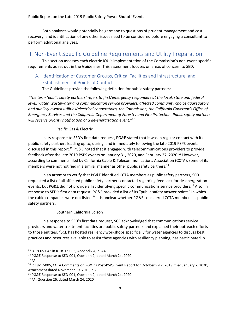Both analyses would potentially be germane to questions of prudent management and cost recovery, and identification of any other issues need to be considered before engaging a consultant to perform additional analyses.

## <span id="page-8-0"></span>II. Non-Event Specific Guideline Requirements and Utility Preparation

This section assesses each electric IOU's implementation of the Commission's non-event-specific requirements as set out in the Guidelines. This assessment focuses on areas of concern to SED.

## <span id="page-8-1"></span>A. Identification of Customer Groups, Critical Facilities and Infrastructure, and Establishment of Points of Contact

The Guidelines provide the following definition for public safety partners:

*"The term 'public safety partners' refers to first/emergency responders at the local, state and federal level, water, wastewater and communication service providers, affected community choice aggregators and publicly-owned utilities/electrical cooperatives, the Commission, the California Governor's Office of Emergency Services and the California Department of Forestry and Fire Protection. Public safety partners will receive priority notification of a de-energization event." 11*

#### Pacific Gas & Electric

In its response to SED's first data request, PG&E stated that it was in regular contact with its public safety partners leading up to, during, and immediately following the late 2019 PSPS events discussed in this report.<sup>12</sup> PG&E noted that it engaged with telecommunications providers to provide feedback after the late 2019 PSPS events on January 31, 2020, and February 27, 2020.<sup>13</sup> However, according to comments filed by California Cable & Telecommunications Association (CCTA), some of its members were not notified in a similar manner as other public safety partners.<sup>14</sup>

In an attempt to verify that PG&E identified CCTA members as public safety partners, SED requested a list of all affected public safety partners contacted regarding feedback for de-energization events, but PG&E did not provide a list identifying specific communications service providers.<sup>15</sup> Also, in response to SED's first data request, PG&E provided a list of its "public safety answer points" in which the cable companies were not listed.<sup>16</sup> It is unclear whether PG&E considered CCTA members as public safety partners.

#### Southern California Edison

In a response to SED's first data request, SCE acknowledged that communications service providers and water treatment facilities are public safety partners and explained their outreach efforts to those entities. "SCE has hosted resiliency workshops specifically for water agencies to discuss best practices and resources available to assist these agencies with resiliency planning, has participated in

<sup>11</sup> D.19-05-042 in R.18-12-005, Appendix A, p. A4

<sup>12</sup> PG&E Response to SED-001, Question 2, dated March 24, 2020

 $13$  *Id.* 

<sup>14</sup> R.18-12-005, CCTA Comments on PG&E's Post-PSPS Event Report for October 9-12, 2019, filed January 7, 2020, Attachment dated November 19, 2019, p.2

<sup>&</sup>lt;sup>15</sup> PG&E Response to SED-001, Question 2, dated March 24, 2020

<sup>16</sup> *Id*., Question 26, dated March 24, 2020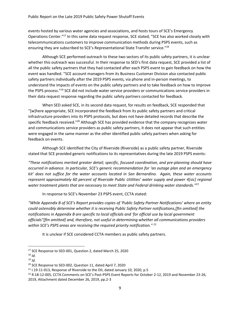events hosted by various water agencies and associations, and hosts tours of SCE's Emergency Operations Center."<sup>17</sup> In this same data request response, SCE stated, "SCE has also worked closely with telecommunications customers to improve communication methods during PSPS events, such as ensuring they are subscribed to SCE's Representational State Transfer service."<sup>18</sup>

Although SCE performed outreach to these two sectors of its public safety partners, it is unclear whether this outreach was successful. In their response to SED's first data request, SCE provided a list of all the public safety partners that they had contacted after each PSPS event to gain feedback on how the event was handled. "SCE account managers from its Business Customer Division also contacted public safety partners individually after the 2019 PSPS events, via phone and in-person meetings, to understand the impacts of events on the public safety partners and to take feedback on how to improve the PSPS process."<sup>19</sup> SCE did not include water service providers or communications service providers in their data request response regarding the public safety partners contacted for feedback.

When SED asked SCE, in its second data request, for results on feedback, SCE responded that "[w]here appropriate, SCE incorporated the feedback from its public safety partners and critical infrastructure providers into its PSPS protocols, but does not have detailed records that describe the specific feedback received."<sup>20</sup> Although SCE has provided evidence that the company recognizes water and communications service providers as public safety partners, it does not appear that such entities were engaged in the same manner as the other identified public safety partners when asking for feedback on events.

Although SCE identified the City of Riverside (Riverside) as a public safety partner, Riverside stated that SCE provided generic notifications to its representatives during the late 2019 PSPS events:

*"These notifications merited greater detail; specific, focused coordination, and pre-planning should have occurred in advance. In particular, SCE's generic recommendation for 'an outage plan and an emergency kit' does not suffice for the water accounts located in San Bernardino. Again, these water accounts represent approximately 60 percent of Riverside Public Utilities' water supply and power 4[sic] regional water treatment plants that are necessary to meet State and Federal drinking water standards."<sup>21</sup>*

In response to SCE's November 23 PSPS event, CCTA stated:

*"While Appendix B of SCE's Report provides copies of 'Public Safety Partner Notifications' where an entity could ostensibly determine whether it is receiving Public Safety Partner notifications,[ftn omitted] the notifications in Appendix B are specific to local officials and 'for official use by local government officials"[ftn omitted] and, therefore, not useful in determining whether all communications providers within SCE's PSPS areas are receiving the required priority notification." <sup>22</sup>*

It is unclear if SCE considered CCTA members as public safety partners.

<sup>&</sup>lt;sup>17</sup> SCE Response to SED-001, Question 2, dated March 25, 2020

<sup>18</sup> *Id.*

<sup>19</sup> *Id.*

<sup>&</sup>lt;sup>20</sup> SCE Response to SED-002, Question 11, dated April 7, 2020

 $21$  I.19-11-013, Response of Riverside to the OII, dated January 10, 2020, p.5

<sup>&</sup>lt;sup>22</sup> R.18-12-005, CCTA Comments on SCE's Post-PSPS Event Reports for October 2-12, 2019 and November 23-26, 2019, Attachment dated December 26, 2019, pp.2-3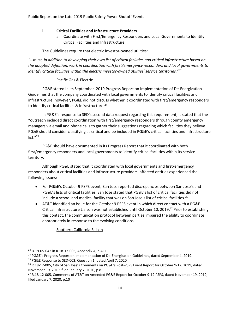#### **i. Critical Facilities and Infrastructure Providers**

a. Coordinate with First/Emergency Responders and Local Governments to Identify Critical Facilities and Infrastructure

The Guidelines require that electric investor-owned utilities:

*"…must, in addition to developing their own list of critical facilities and critical infrastructure based on the adopted definition, work in coordination with first/emergency responders and local governments to identify critical facilities within the electric investor-owned utilities' service territories." 23*

#### Pacific Gas & Electric

PG&E stated in its September 2019 Progress Report on Implementation of De-Energization Guidelines that the company coordinated with local governments to identify critical facilities and infrastructure; however, PG&E did not discuss whether it coordinated with first/emergency responders to identify critical facilities & infrastructure.<sup>24</sup>

In PG&E's response to SED's second data request regarding this requirement, it stated that the "outreach included direct coordination with first/emergency responders through county emergency managers via email and phone calls to gather their suggestions regarding which facilities they believe PG&E should consider classifying as critical and be included in PG&E's critical facilities and infrastructure list. $"^{25}$ 

PG&E should have documented in its Progress Report that it coordinated with both first/emergency responders and local governments to identify critical facilities within its service territory.

Although PG&E stated that it coordinated with local governments and first/emergency responders about critical facilities and infrastructure providers, affected entities experienced the following issues:

- For PG&E's October 9 PSPS event, San Jose reported discrepancies between San Jose's and PG&E's lists of critical facilities. San Jose stated that PG&E's list of critical facilities did not include a school and medical facility that was on San Jose's list of critical facilities.<sup>26</sup>
- AT&T identified an issue for the October 9 PSPS event in which direct contact with a PG&E Critical Infrastructure Liaison was not established until October 10, 2019.<sup>27</sup> Prior to establishing this contact, the communication protocol between parties impaired the ability to coordinate appropriately in response to the evolving conditions.

Southern California Edison

<sup>23</sup> D.19-05-042 in R.18-12-005, Appendix A, p.A11

<sup>&</sup>lt;sup>24</sup> PG&E's Progress Report on Implementation of De-Energization Guidelines, dated September 4, 2019.

<sup>&</sup>lt;sup>25</sup> PG&E Response to SED-002, Question 1, dated April 7, 2020

<sup>&</sup>lt;sup>26</sup> R.18-12-005, City of San Jose's Comments on PG&E's Post-PSPS Event Report for October 9-12, 2019, dated November 19, 2019, filed January 7, 2020, p.8

<sup>27</sup> R.18-12-005, Comments of AT&T on Amended PG&E Report for October 9-12 PSPS, dated November 19, 2019, filed January 7, 2020, p.10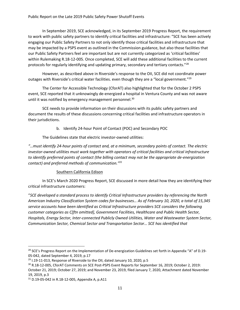In September 2019, SCE acknowledged, in its September 2019 Progress Report, the requirement to work with public safety partners to identify critical facilities and infrastructure: "SCE has been actively engaging our Public Safety Partners to not only identify those critical facilities and infrastructure that may be impacted by a PSPS event as outlined in the Commission guidance, but also those facilities that our Public Safety Partners feel are important but are not currently categorized as 'critical facilities' within Rulemaking R.18-12-005. Once completed, SCE will add these additional facilities to the current protocols for regularly identifying and updating primary, secondary and tertiary contacts."<sup>28</sup>

However, as described above in Riverside's response to the OII, SCE did not coordinate power outages with Riverside's critical water facilities. even though they are a "local government."<sup>29</sup>

The Center for Accessible Technology (CforAT) also highlighted that for the October 2 PSPS event, SCE reported that it unknowingly de-energized a hospital in Ventura County and was not aware until it was notified by emergency management personnel.<sup>30</sup>

SCE needs to provide information on their discussions with its public safety partners and document the results of these discussions concerning critical facilities and infrastructure operators in their jurisdictions.

b. Identify 24-hour Point of Contact (POC) and Secondary POC

The Guidelines state that electric investor-owned utilities:

*"…must identify 24-hour points of contact and, at a minimum, secondary points of contact. The electric investor-owned utilities must work together with operators of critical facilities and critical infrastructure to identify preferred points of contact (the billing contact may not be the appropriate de-energization contact) and preferred methods of communication." 31*

#### Southern California Edison

In SCE's March 2020 Progress Report, SCE discussed in more detail how they are identifying their critical infrastructure customers:

"*SCE developed a standard process to identify Critical Infrastructure providers by referencing the North*  American Industry Classification System codes for businesses... As of February 10, 2020, a total of 15,345 *service accounts have been identified as Critical Infrastructure providers SCE considers the following customer categories as C[ftn omitted], Government Facilities, Healthcare and Public Health Sector, Hospitals, Energy Sector, Inter-connected Publicly Owned Utilities, Water and Wastewater System Sector, Communication Sector, Chemical Sector and Transportation Sector… SCE has identified that* 

<sup>&</sup>lt;sup>28</sup> SCE's Progress Report on the Implementation of De-energization Guidelines set forth in Appendix "A" of D.19-05-042, dated September 4, 2019, p.17

 $29$  I.19-11-013, Response of Riverside to the OII, dated January 10, 2020, p.5

<sup>30</sup> R.18-12-005, CforAT Comments on SCE Post-PSPS Event Reports for September 16, 2019; October 2, 2019: October 21, 2019; October 27, 2019; and November 23, 2019, filed January 7, 2020, Attachment dated November 19, 2019, p.3

<sup>31</sup> D.19-05-042 in R.18-12-005, Appendix A, p.A11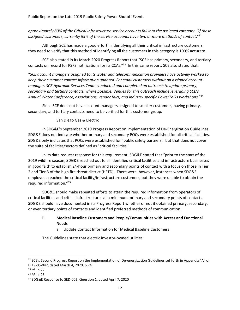#### *approximately 80% of the Critical Infrastructure service accounts fall into the assigned category. Of these assigned customers, currently 99% of the service accounts have two or more methods of contact*."<sup>32</sup>

Although SCE has made a good effort in identifying all their critical infrastructure customers, they need to verify that this method of identifying all the customers in this category is 100% accurate.

SCE also stated in its March 2020 Progress Report that "SCE has primary, secondary, and tertiary contacts on record for PSPS notifications for its CCAs.<sup>"33</sup> In this same report, SCE also stated that:

"*SCE account managers assigned to its water and telecommunication providers have actively worked to keep their customer contact information updated. For small customers without an assigned account manager, SCE Hydraulic Services Team conducted and completed an outreach to update primary, secondary and tertiary contacts, where possible. Venues for this outreach include leveraging SCE's Annual Water Conference, associations, vendor fairs, and industry specific PowerTalks workshops*."<sup>34</sup>

Since SCE does not have account managers assigned to smaller customers, having primary, secondary, and tertiary contacts need to be verified for this customer group.

#### San Diego Gas & Electric

In SDG&E's September 2019 Progress Report on Implementation of De-Energization Guidelines, SDG&E does not indicate whether primary and secondary POCs were established for all critical facilities. SDG&E only indicates that POCs were established for "public safety partners," but that does not cover the suite of facilities/sectors defined as "critical facilities."

In its data request response for this requirement, SDG&E stated that "prior to the start of the 2019 wildfire season, SDG&E reached out to all identified critical facilities and infrastructure businesses in good faith to establish 24-hour primary and secondary points of contact with a focus on those in Tier 2 and Tier 3 of the high fire threat district (HFTD). There were, however, instances when SDG&E employees reached the critical facility/infrastructure customers, but they were unable to obtain the required information."<sup>35</sup>

SDG&E should make repeated efforts to attain the required information from operators of critical facilities and critical infrastructure--at a minimum, primary and secondary points of contacts. SDG&E should have documented in its Progress Report whether or not it obtained primary, secondary, or even tertiary points of contacts and identified preferred methods of communication.

#### **ii. Medical Baseline Customers and People/Communities with Access and Functional Needs**

a. Update Contact Information for Medical Baseline Customers

The Guidelines state that electric investor-owned utilities:

<sup>&</sup>lt;sup>32</sup> SCE's Second Progress Report on the Implementation of De-energization Guidelines set forth in Appendix "A" of D.19-05-042, dated March 4, 2020, p.24

<sup>33</sup> *Id.*, p.22

<sup>34</sup> *Id.*, p.23

<sup>35</sup> SDG&E Response to SED-002, Question 1, dated April 7, 2020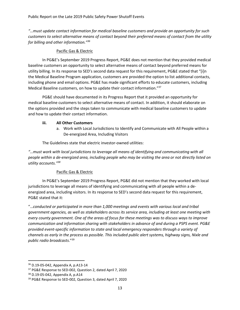*"…must update contact information for medical baseline customers and provide an opportunity for such customers to select alternative means of contact beyond their preferred means of contact from the utility for billing and other information."<sup>36</sup>*

#### Pacific Gas & Electric

In PG&E's September 2019 Progress Report, PG&E does not mention that they provided medical baseline customers an opportunity to select alternative means of contact beyond preferred means for utility billing. In its response to SED's second data request for this requirement, PG&E stated that "[i]n the Medical Baseline Program application, customers are provided the option to list additional contacts, including phone and email options. PG&E has made significant efforts to educate customers, including Medical Baseline customers, on how to update their contact information."<sup>37</sup>

PG&E should have documented in its Progress Report that it provided an opportunity for medical baseline customers to select alternative means of contact. In addition, it should elaborate on the options provided and the steps taken to communicate with medical baseline customers to update and how to update their contact information.

#### **iii. All Other Customers**

a. Work with Local Jurisdictions to Identify and Communicate with All People within a De-energized Area, Including Visitors

The Guidelines state that electric investor-owned utilities:

*"…must work with local jurisdictions to leverage all means of identifying and communicating with all people within a de-energized area, including people who may be visiting the area or not directly listed on utility accounts."<sup>38</sup>*

#### Pacific Gas & Electric

In PG&E's September 2019 Progress Report, PG&E did not mention that they worked with local jurisdictions to leverage all means of identifying and communicating with all people within a deenergized area, including visitors. In its response to SED's second data request for this requirement, PG&E stated that it:

"…*conducted or participated in more than 1,000 meetings and events with various local and tribal government agencies, as well as stakeholders across its service area, including at least one meeting with every county government. One of the areas of focus for these meetings was to discuss ways to improve communication and information sharing with stakeholders in advance of and during a PSPS event. PG&E provided event-specific information to state and local emergency responders through a variety of channels as early in the process as possible. This included public alert systems, highway signs, Nixle and public radio broadcasts*."<sup>39</sup>

<sup>36</sup> D.19-05-042, Appendix A, p.A13-14

<sup>37</sup> PG&E Response to SED-002, Question 2, dated April 7, 2020

<sup>38</sup> D.19-05-042, Appendix A, p.A14

<sup>&</sup>lt;sup>39</sup> PG&E Response to SED-002, Question 3, dated April 7, 2020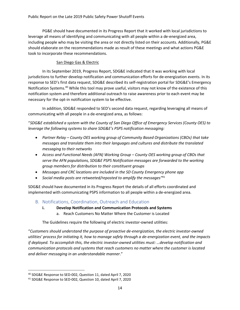PG&E should have documented in its Progress Report that it worked with local jurisdictions to leverage all means of identifying and communicating with all people within a de-energized area, including people who may be visiting the area or not directly listed on their accounts. Additionally, PG&E should elaborate on the recommendations made as result of these meetings and what actions PG&E took to incorporate these recommendations.

#### San Diego Gas & Electric

In its September 2019, Progress Report, SDG&E indicated that it was working with local jurisdictions to further develop notification and communication efforts for de-energization events. In its response to SED's first data request, SDG&E described its self-registration portal for SDG&E's Emergency Notification Systems.<sup>40</sup> While this tool may prove useful, visitors may not know of the existence of this notification system and therefore additional outreach to raise awareness prior to each event may be necessary for the opt-in notification system to be effective.

In addition, SDG&E responded to SED's second data request, regarding leveraging all means of communicating with all people in a de-energized area, as follows:

"*SDG&E established a system with the County of San Diego Office of Emergency Services (County OES) to leverage the following systems to share SDG&E's PSPS notification messaging:*

- *Partner Relay – County OES working group of Community Based Organizations (CBOs) that take messages and translate them into their languages and cultures and distribute the translated messaging to their networks*
- *Access and Functional Needs (AFN) Working Group – County OES working group of CBOs that serve the AFN populations, SDG&E PSPS Notification messages are forwarded to the working group members for distribution to their constituent groups*
- *Messages and CRC locations are included in the SD County Emergency phone app*
- *Social media posts are retweeted/reposted to amplify the messages"* 41

SDG&E should have documented in its Progress Report the details of all efforts coordinated and implemented with communicating PSPS information to all people within a de-energized area.

- <span id="page-14-0"></span>B. Notifications, Coordination, Outreach and Education
	- **i. Develop Notification and Communication Protocols and Systems**
		- a. Reach Customers No Matter Where the Customer is Located

The Guidelines require the following of electric investor-owned utilities:

"*Customers should understand the purpose of proactive de-energization, the electric investor-owned utilities' process for initiating it, how to manage safely through a de-energization event, and the impacts if deployed. To accomplish this, the electric investor-owned utilities must: …develop notification and communication protocols and systems that reach customers no matter where the customer is located and deliver messaging in an understandable manner*."

<sup>40</sup> SDG&E Response to SED-002, Question 11, dated April 7, 2020

<sup>41</sup> SDG&E Response to SED-002, Question 10, dated April 7, 2020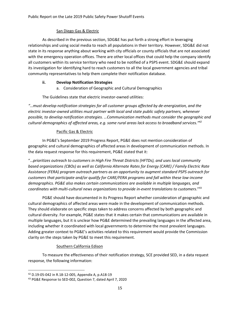#### San Diego Gas & Electric

As described in the previous section, SDG&E has put forth a strong effort in leveraging relationships and using social media to reach all populations in their territory. However, SDG&E did not state in its response anything about working with city officials or county officials that are not associated with the emergency operation offices. There are other local offices that could help the company identify all customers within its service territory who need to be notified of a PSPS event. SDG&E should expand its investigation for identifying hard to reach customers to all the local government agencies and tribal community representatives to help them complete their notification database.

#### **ii. Develop Notification Strategies**

a. Consideration of Geographic and Cultural Demographics

The Guidelines state that electric investor-owned utilities:

*"…must develop notification strategies for all customer groups affected by de-energization, and the electric investor-owned utilities must partner with local and state public safety partners, whenever possible, to develop notification strategies. …Communication methods must consider the geographic and cultural demographics of affected areas, e.g. some rural areas lack access to broadband services."<sup>42</sup>*

#### Pacific Gas & Electric

In PG&E's September 2019 Progress Report, PG&E does not mention consideration of geographic and cultural demographics of affected areas in development of communication methods. In the data request response for this requirement, PG&E stated that it:

"…*prioritizes outreach to customers in High Fire Threat Districts (HFTDs), and uses local community based organizations (CBOs) as well as California Alternate Rates for Energy (CARE) / Family Electric Rate Assistance (FERA) program outreach partners as an opportunity to augment standard PSPS outreach for customers that participate and/or qualify for CARE/FERA programs and fall within these low-income demographics. PG&E also makes certain communications are available in multiple languages, and coordinates with multi-cultural news organizations to provide in-event translations to customers*."<sup>43</sup>

PG&E should have documented in its Progress Report whether consideration of geographic and cultural demographics of affected areas were made in the development of communication methods. They should elaborate on specific steps taken to address concerns affected by both geographic and cultural diversity. For example, PG&E states that it makes certain that communications are available in multiple languages, but it is unclear how PG&E determined the prevailing languages in the affected area, including whether it coordinated with local governments to determine the most prevalent languages. Adding greater context to PG&E's activities related to this requirement would provide the Commission clarity on the steps taken by PG&E to meet this requirement.

#### Southern California Edison

To measure the effectiveness of their notification strategy, SCE provided SED, in a data request response, the following information:

<sup>42</sup> D.19-05-042 in R.18-12-005, Appendix A, p.A18-19

<sup>43</sup> PG&E Response to SED-002, Question 7, dated April 7, 2020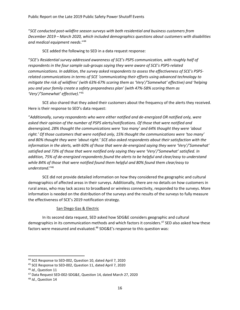"*SCE conducted post-wildfire season surveys with both residential and business customers from December 2019 – March 2020, which included demographics questions about customers with disabilities and medical equipment needs*."<sup>44</sup>

SCE added the following to SED in a data request response:

"SCE's Residential survey addressed awareness of SCE's PSPS communication, with roughly half of *respondents in the four sample sub-groups saying they were aware of SCE's PSPS-related communications. In addition, the survey asked respondents to assess the effectiveness of SCE's PSPSrelated communications in terms of SCE 'communicating their efforts using advanced technology to mitigate the risk of wildfires' (with 63%-67% scoring them as 'Very'/'Somewhat' effective) and 'helping you and your family create a safety preparedness plan' (with 47%-58% scoring them as 'Very'/'Somewhat' effective)*."<sup>45</sup>

SCE also shared that they asked their customers about the frequency of the alerts they received. Here is their response to SED's data request:

"*Additionally, survey respondents who were either notified and de-energized OR notified only, were asked their opinion of the number of PSPS alerts/notifications. Of those that were notified and deenergized, 28% thought the communications were 'too many' and 64% thought they were 'about right.' Of those customers that were notified only, 15% thought the communications were 'too many' and 80% thought they were 'about right.' SCE also asked respondents about their satisfaction with the information in the alerts, with 60% of those that were de-energized saying they were 'Very'/'Somewhat' satisfied and 73% of those that were notified only saying they were 'Very'/'Somewhat' satisfied. In addition, 75% of de-energized respondents found the alerts to be helpful and clear/easy to understand while 84% of those that were notified found them helpful and 80% found them clear/easy to understand*."<sup>46</sup>

SCE did not provide detailed information on how they considered the geographic and cultural demographics of affected areas in their surveys. Additionally, there are no details on how customers in rural areas, who may lack access to broadband or wireless connectivity, responded to the surveys. More information is needed on the distribution of the surveys and the results of the surveys to fully measure the effectiveness of SCE's 2019 notification strategy.

#### San Diego Gas & Electric

In its second data request, SED asked how SDG&E considers geographic and cultural demographics in its communication methods and which factors it considers. <sup>47</sup> SED also asked how these factors were measured and evaluated.<sup>48</sup> SDG&E's response to this question was:

<sup>44</sup> SCE Response to SED-002, Question 10, dated April 7, 2020

<sup>45</sup> SCE Response to SED-002, Question 11, dated April 7, 2020

<sup>46</sup> *Id.*, Question 11

<sup>47</sup> Data Request SED-002-SDG&E, Question 14, dated March 27, 2020

<sup>48</sup> *Id.*, Question 14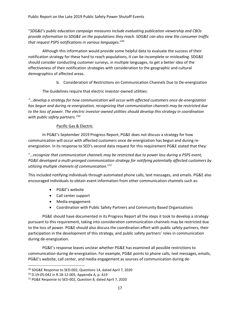"*SDG&E's public education campaign measures include evaluating publication viewership and CBOs provide information to SDG&E on the populations they reach. SDG&E can also view the consumer traffic that request PSPS notifications in various languages*."<sup>49</sup>

Although this information would provide some helpful data to evaluate the success of their notification strategy for these hard to reach populations, it can be incomplete or misleading. SDG&E should consider conducting customer surveys, in multiple languages, to get a better idea of the effectiveness of their notification strategies with consideration to the geographic and cultural demographics of affected areas.

b. Consideration of Restrictions on Communication Channels Due to De-energization

The Guidelines require that electric investor-owned utilities:

*"…develop a strategy for how communication will occur with affected customers once de-energization has begun and during re-energization, recognizing that communication channels may be restricted due to the loss of power. The electric investor-owned utilities should develop this strategy in coordination with public safety partners."<sup>50</sup>*

#### Pacific Gas & Electric

In PG&E's September 2019 Progress Report, PG&E does not discuss a strategy for how communication will occur with affected customers once de-energization has begun and during reenergization. In its response to SED's second data request for this requirement PG&E stated that they:

"…*recognize that communication channels may be restricted due to power loss during a PSPS event, PG&E developed a multi-pronged communication strategy for notifying potentially affected customers by utilizing multiple channels of communication*."<sup>51</sup>

This included notifying individuals through automated phone calls, text messages, and emails. PG&E also encouraged individuals to obtain event information from other communication channels such as:

- PG&E's website
- Call center support
- Media engagement
- Coordination with Public Safety Partners and Community Based Organizations

PG&E should have documented in its Progress Report all the steps it took to develop a strategy pursuant to this requirement, taking into consideration communication channels may be restricted due to the loss of power. PG&E should also discuss the coordination effort with public safety partners, their participation in the development of this strategy, and public safety partners' roles in communication during de-energization.

PG&E's response leaves unclear whether PG&E has examined all possible restrictions to communication during de-energization. For example, PG&E points to phone calls, text messages, emails, PG&E's website, call center, and media engagement as sources of communication during de-

<sup>49</sup> SDG&E Response to SED-002, Questions 14, dated April 7, 2020

<sup>50</sup> D.19-05-042 in R.18-12-005, Appendix A, p. A19

<sup>51</sup> PG&E Response to SED-002, Question 8, dated April 7, 2020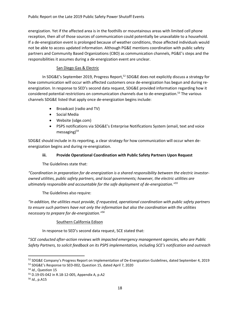energization. Yet if the affected area is in the foothills or mountainous areas with limited cell phone reception, then all of those sources of communication could potentially be unavailable to a household. If a de-energization event is prolonged because of weather conditions, those affected individuals would not be able to access updated information. Although PG&E mentions coordination with public safety partners and Community Based Organizations (CBO) as communication channels, PG&E's steps and the responsibilities it assumes during a de-energization event are unclear.

#### San Diego Gas & Electric

In SDG&E's September 2019, Progress Report,<sup>52</sup> SDG&E does not explicitly discuss a strategy for how communication will occur with affected customers once de-energization has begun and during reenergization. In response to SED's second data request, SDG&E provided information regarding how it considered potential restrictions on communication channels due to de-energization.<sup>53</sup> The various channels SDG&E listed that apply once de-energization begins include:

- Broadcast (radio and TV)
- Social Media
- Website (sdge.com)
- PSPS notifications via SDG&E's Enterprise Notifications System (email, text and voice messaging $54$

SDG&E should include in its reporting, a clear strategy for how communication will occur when deenergization begins and during re-energization.

#### **iii. Provide Operational Coordination with Public Safety Partners Upon Request**

The Guidelines state that:

*"Coordination in preparation for de-energization is a shared responsibility between the electric investorowned utilities, public safety partners, and local governments; however, the electric utilities are ultimately responsible and accountable for the safe deployment of de-energization."<sup>55</sup>*

The Guidelines also require:

*"In addition, the utilities must provide, if requested, operational coordination with public safety partners to ensure such partners have not only the information but also the coordination with the utilities necessary to prepare for de-energization." 56*

#### Southern California Edison

In response to SED's second data request, SCE stated that:

"*SCE conducted after-action reviews with impacted emergency management agencies, who are Public Safety Partners, to solicit feedback on its PSPS implementation, including SCE's notification and outreach* 

<sup>&</sup>lt;sup>52</sup> SDG&E Company's Progress Report on Implementation of De-Energization Guidelines, dated September 4, 2019

<sup>53</sup> SDG&E's Response to SED-002, Question 15, dated April 7, 2020

<sup>54</sup> *Id.*, Question 15

<sup>55</sup> D.19-05-042 in R.18-12-005, Appendix A, p.A2

<sup>56</sup> *Id.*, p.A15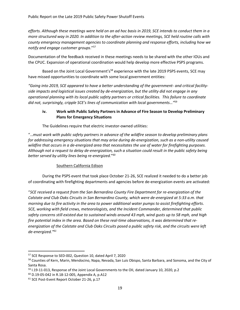*efforts. Although these meetings were held on an ad hoc basis in 2019, SCE intends to conduct them in a more structured way in 2020. In addition to the after-action review meetings, SCE held routine calls with county emergency management agencies to coordinate planning and response efforts, including how we notify and engage customer groups*."<sup>57</sup>

Documentation of the feedback received in these meetings needs to be shared with the other IOUs and the CPUC. Expansion of operational coordination would help develop more effective PSPS programs.

Based on the Joint Local Government's<sup>58</sup> experience with the late 2019 PSPS events, SCE may have missed opportunities to coordinate with some local government entities:

*"Going into 2019, SCE appeared to have a better understanding of the government- and critical facilityside impacts and logistical issues created by de-energization, but the utility did not engage in any operational planning with its local public safety partners or critical facilities. This failure to coordinate did not, surprisingly, cripple SCE's lines of communication with local governments…"* 59

#### **iv. Work with Public Safety Partners in Advance of Fire Season to Develop Preliminary Plans for Emergency Situations**

The Guidelines require that electric investor-owned utilities:

"…*must work with public safety partners in advance of the wildfire season to develop preliminary plans for addressing emergency situations that may arise during de-energization, such as a non-utility caused wildfire that occurs in a de-energized area that necessitates the use of water for firefighting purposes. Although not a request to delay de-energization, such a situation could result in the public safety being better served by utility lines being re-energized.*" 60

#### Southern California Edison

During the PSPS event that took place October 21-26, SCE realized it needed to do a better job of coordinating with firefighting departments and agencies before de-energization events are activated:

"*SCE received a request from the San Bernardino County Fire Department for re-energization of the Calstate and Club Oaks Circuits in San Bernardino County, which were de-energized at 5:33 a.m. that morning due to fire activity in the area to power additional water pumps to assist firefighting efforts*. *SCE, working with field crews, meteorologists, and the Incident Commander, determined that public safety concerns still existed due to sustained winds around 43 mph, wind gusts up to 58 mph, and high fire potential index in the area. Based on these real-time observations, it was determined that reenergization of the Calstate and Club Oaks Circuits posed a public safety risk, and the circuits were left de-energized." 61*

<sup>57</sup> SCE Response to SED-002, Question 10, dated April 7, 2020

<sup>&</sup>lt;sup>58</sup> Counties of Kern, Marin, Mendocino, Napa, Nevada, San Luis Obispo, Santa Barbara, and Sonoma, and the City of Santa Rosa.

<sup>&</sup>lt;sup>59</sup> I.19-11-013, Response of the Joint Local Governments to the OII, dated January 10, 2020, p.2

 $60$  D.19-05-042 in R.18-12-005, Appendix A, p.A12

<sup>&</sup>lt;sup>61</sup> SCE Post-Event Report October 21-26, p.17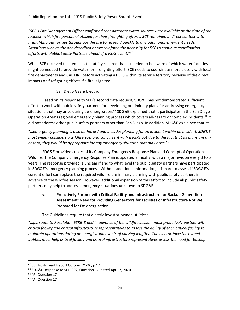*"SCE's Fire Management Officer confirmed that alternate water sources were available at the time of the request, which fire personnel utilized for their firefighting efforts. SCE remained in direct contact with firefighting authorities throughout the fire to respond quickly to any additional emergent needs. Situations such as the one described above reinforce the necessity for SCE to continue coordination efforts with Public Safety Partners ahead of a PSPS event," 62*

When SCE received this request, the utility realized that it needed to be aware of which water facilities might be needed to provide water for firefighting effort. SCE needs to coordinate more closely with local fire departments and CAL FIRE before activating a PSPS within its service territory because of the direct impacts on firefighting efforts if a fire is ignited.

#### San Diego Gas & Electric

Based on its response to SED's second data request, SDG&E has not demonstrated sufficient effort to work with public safety partners for developing preliminary plans for addressing emergency situations that may arise during de-energization.<sup>63</sup> SDG&E explained that it participates in the San Diego Operation Area's regional emergency planning process which covers all-hazard or complex incidents.<sup>64</sup> It did not address other public safety partners other than San Diego. In addition, SDG&E explained that its:

"…*emergency planning is also all-hazard and includes planning for an incident within an incident. SDG&E most widely considers a wildfire scenario concurrent with a PSPS but due to the fact that its plans are allhazard, they would be appropriate for any emergency situation that may arise*."<sup>65</sup>

SDG&E provided copies of its Company Emergency Response Plan and Concept of Operations -- Wildfire. The Company Emergency Response Plan is updated annually, with a major revision every 3 to 5 years. The response provided is unclear if and to what level the public safety partners have participated in SDG&E's emergency planning process. Without additional information, it is hard to assess if SDG&E's current effort can replace the required wildfire preliminary planning with public safety partners in advance of the wildfire season. However, additional expansion of this effort to include all public safety partners may help to address emergency situations unknown to SDG&E.

#### **v. Proactively Partner with Critical Facility and Infrastructure for Backup Generation Assessment: Need for Providing Generators for Facilities or Infrastructure Not Well Prepared for De-energization**

The Guidelines require that electric investor-owned utilities:

"…*pursuant to Resolution ESRB-8 and in advance of the wildfire season, must proactively partner with critical facility and critical infrastructure representatives to assess the ability of each critical facility to maintain operations during de-energization events of varying lengths. The electric investor-owned utilities must help critical facility and critical infrastructure representatives assess the need for backup* 

<sup>62</sup> SCE Post-Event Report October 21-26, p.17

<sup>63</sup> SDG&E Response to SED-002, Question 17, dated April 7, 2020

<sup>64</sup> *Id.*, Question 17

<sup>65</sup> *Id.*, Question 17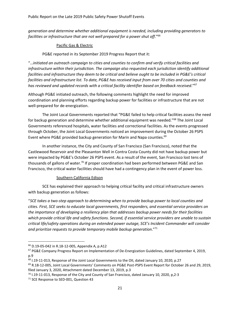*generation and determine whether additional equipment is needed, including providing generators to facilities or infrastructure that are not well prepared for a power shut off*."<sup>66</sup>

#### Pacific Gas & Electric

PG&E reported in its September 2019 Progress Report that it:

"…*initiated an outreach campaign to cities and counties to confirm and verify critical facilities and infrastructure within their jurisdiction. The campaign also requested each jurisdiction identify additional facilities and infrastructure they deem to be critical and believe ought to be included in PG&E's critical facilities and infrastructure list. To date, PG&E has received input from over 70 cities and counties and has reviewed and updated records with a critical facility identifier based on feedback received*." 67

Although PG&E initiated outreach, the following comments highlight the need for improved coordination and planning efforts regarding backup power for facilities or infrastructure that are not well-prepared for de-energization.

The Joint Local Governments reported that "PG&E failed to help critical facilities assess the need for backup generation and determine whether additional equipment was needed." <sup>68</sup> The Joint Local Governments referenced hospitals, water facilities and correctional facilities. As the events progressed through October, the Joint Local Governments noticed an improvement during the October 26 PSPS Event where PG&E provided backup generation for Marin and Napa counties. $69$ 

In another instance, the City and County of San Francisco (San Francisco), noted that the Castlewood Reservoir and the Pleasanton Well in Contra Costa County did not have backup power but were impacted by PG&E's October 26 PSPS event. As a result of the event, San Francisco lost tens of thousands of gallons of water.<sup>70</sup> If proper coordination had been performed between PG&E and San Francisco, the critical water facilities should have had a contingency plan in the event of power loss.

#### Southern California Edison

SCE has explained their approach to helping critical facility and critical infrastructure owners with backup generation as follows:

"*SCE takes a two-step approach to determining when to provide backup power to local counties and cities. First, SCE seeks to educate local governments, first responders, and essential service providers on the importance of developing a resiliency plan that addresses backup power needs for their facilities which provide critical life and safety functions. Second, if essential service providers are unable to sustain critical life/safety operations during an extended power outage, SCE's Incident Commander will consider and prioritize requests to provide temporary mobile backup generation*."<sup>71</sup>

<sup>66</sup> D.19-05-042 in R.18-12-005, Appendix A, p.A12

<sup>67</sup> PG&E Company Progress Report on Implementation of De-Energization Guidelines, dated September 4, 2019, p.9

<sup>&</sup>lt;sup>68</sup> I.19-11-013, Response of the Joint Local Governments to the OII, dated January 10, 2020, p.27

<sup>69</sup> R.18-12-005, Joint Local Governments' Comments on PG&E Post-PSPS Event Report for October 26 and 29, 2019, filed January 3, 2020, Attachment dated December 13, 2019, p.3

 $70$  I.19-11-013, Response of the City and County of San Francisco, dated January 10, 2020, p, 2-3

<sup>&</sup>lt;sup>71</sup> SCE Response to SED-001, Question 43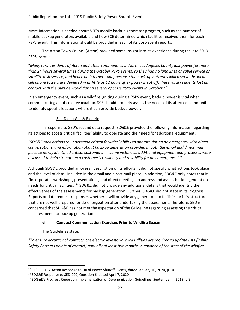More information is needed about SCE's mobile backup generator program, such as the number of mobile backup generators available and how SCE determined which facilities received them for each PSPS event. This information should be provided in each of its post-event reports.

The Acton Town Council (Acton) provided some insight into its experience during the late 2019 PSPS events:

"*Many rural residents of Acton and other communities in North Los Angeles County lost power for more than 24 hours several times during the October PSPS events, so they had no land lines or cable service or satellite dish service, and hence no internet. And, because the back-up batteries which serve the local cell phone towers are depleted in as little as 12 hours after power is cut off, these rural residents lost all contact with the outside world during several of SCE's PSPS events in October*."<sup>72</sup>

In an emergency event, such as a wildfire igniting during a PSPS event, backup power is vital when communicating a notice of evacuation. SCE should properly assess the needs of its affected communities to identify specific locations where it can provide backup power.

#### San Diego Gas & Electric

In response to SED's second data request, SDG&E provided the following information regarding its actions to access critical facilities' ability to operate and their need for additional equipment:

"*SDG&E took actions to understand critical facilities' ability to operate during an emergency with direct conversations, and information about back-up generation provided in both the email and direct mail piece to newly identified critical customers. In some instances, additional equipment and processes were discussed to help strengthen a customer's resiliency and reliability for any emergency*."<sup>73</sup>

Although SDG&E provided an overall description of its efforts, it did not specify what actions took place and the level of detail included in the email and direct mail piece. In addition, SDG&E only notes that it "incorporates workshops, presentations, and direct meetings to address and assess backup generation needs for critical facilities."<sup>74</sup> SDG&E did not provide any additional details that would identify the effectiveness of the assessments for backup generation. Further, SDG&E did not state in its Progress Reports or data request responses whether it will provide any generators to facilities or infrastructure that are not well prepared for de-energization after undertaking the assessment. Therefore, SED is concerned that SDG&E has not met the expectation of the Guideline regarding assessing the critical facilities' need for backup generation.

#### **vi. Conduct Communication Exercises Prior to Wildfire Season**

The Guidelines state:

*"To ensure accuracy of contacts, the electric investor-owned utilities are required to update lists [Public Safety Partners points of contact] annually at least two months in advance of the start of the wildfire* 

<sup>72</sup> I.19-11-013, Acton Response to OII of Power Shutoff Events, dated January 10, 2020, p.10

<sup>&</sup>lt;sup>73</sup> SDG&E Response to SED-002, Question 6, dated April 7, 2020

<sup>74</sup> SDG&E's Progress Report on Implementation of De-energization Guidelines, September 4, 2019, p.8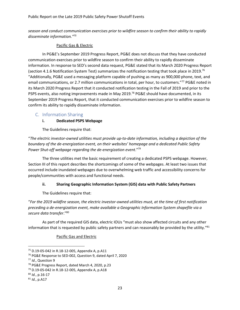*season and conduct communication exercises prior to wildfire season to confirm their ability to rapidly disseminate information."<sup>75</sup>*

#### Pacific Gas & Electric

In PG&E's September 2019 Progress Report, PG&E does not discuss that they have conducted communication exercises prior to wildfire season to confirm their ability to rapidly disseminate information. In response to SED's second data request, PG&E stated that its March 2020 Progress Report (section 4.1.6 Notification System Test) summarizes the notification testing that took place in 2019.<sup>76</sup> "Additionally, PG&E used a messaging platform capable of pushing as many as 900,000 phone, text, and email communications, or 2.7 million communications in total, per hour, to customers."<sup>77</sup> PG&E noted in its March 2020 Progress Report that it conducted notification testing in the Fall of 2019 and prior to the PSPS events, also noting improvements made in May 2019.<sup>78</sup> PG&E should have documented, in its September 2019 Progress Report, that it conducted communication exercises prior to wildfire season to confirm its ability to rapidly disseminate information.

#### <span id="page-23-0"></span>C. Information Sharing

#### **i. Dedicated PSPS Webpage**

The Guidelines require that:

"*The electric investor-owned utilities must provide up-to-date information, including a depiction of the boundary of the de-energization event, on their websites' homepage and a dedicated Public Safety Power Shut-off webpage regarding the de-energization event*."<sup>79</sup>

The three utilities met the basic requirement of creating a dedicated PSPS webpage. However, Section III of this report describes the shortcomings of some of the webpages. At least two issues that occurred include inundated webpages due to overwhelming web traffic and accessibility concerns for people/communities with access and functional needs.

#### **ii. Sharing Geographic Information System (GIS) data with Public Safety Partners**

The Guidelines require that:

"*For the 2019 wildfire season, the electric investor-owned utilities must, at the time of first notification preceding a de-energization event, make available a Geographic Information System shapefile via a secure data transfer*."<sup>80</sup>

As part of the required GIS data, electric IOUs "must also show affected circuits and any other information that is requested by public safety partners and can reasonably be provided by the utility."<sup>81</sup>

Pacific Gas and Electric

<sup>75</sup> D.19-05-042 in R.18-12-005, Appendix A, p.A11

<sup>76</sup> PG&E Response to SED-002, Question 9, dated April 7, 2020

<sup>77</sup> *Id*., Question 9

<sup>78</sup> PG&E Progress Report, dated March 4, 2020, p.23

<sup>79</sup> D.19-05-042 in R.18-12-005, Appendix A, p.A18

<sup>80</sup> *Id.*, p.16-17

<sup>81</sup> *Id.*, p.A17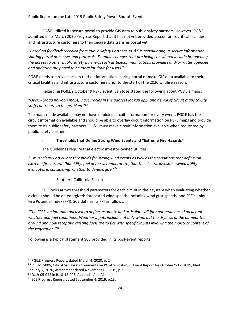PG&E utilized its secure portal to provide GIS data to public safety partners. However, PG&E admitted in its March 2020 Progress Report that it has not yet provided access for its critical facilities and infrastructure customers to their secure data transfer portal yet:

"*Based on feedback received from Public Safety Partners, PG&E is reevaluating its secure information sharing portal processes and protocols. Example changes that are being considered include broadening the access to other public safety partners, such as telecommunications providers and/or water agencies, and updating the portal to be more intuitive for users*."<sup>82</sup>

PG&E needs to provide access to their information sharing portal or make GIS data available to their critical facilities and infrastructure customers prior to the start of the 2020 wildfire season.

Regarding PG&E's October 9 PSPS event, San Jose stated the following about PG&E's maps:

"*Overly-broad polygon maps, inaccuracies in the address lookup app, and denial of circuit maps to City staff contribute to the problem*." 83

The maps made available may not have depicted circuit information for every event. PG&E has the circuit information available and should be able to overlay circuit information on PSPS maps and provide them to its public safety partners. PG&E must make circuit information available when requested by public safety partners.

#### **iii. Thresholds that Define Strong Wind Events and "Extreme Fire Hazards"**

The Guidelines require that electric investor-owned utilities:

*"…must clearly articulate thresholds for strong wind events as well as the conditions that define 'an extreme fire hazard' (humidity, fuel dryness, temperature) that the electric investor-owned utility evaluates in considering whether to de-energize."*<sup>84</sup>

## Southern California Edison

SCE looks at two threshold parameters for each circuit in their system when evaluating whether a circuit should be de-energized: forecasted wind speeds, including wind gust speeds, and SCE's unique Fire Potential Index (FPI). SCE defines its FPI as follows:

"*The FPI is an internal tool used to define, estimate and articulate wildfire potential based on actual weather and fuel conditions. Weather inputs include not only wind, but the dryness of the air near the ground and how receptive existing fuels are to fire with specific inputs involving the moisture content of the vegetation."<sup>85</sup>*

Following is a typical statement SCE provided in its post-event reports:

<sup>82</sup> PG&E Progress Report, dated March 4, 2020, p. 24

<sup>83</sup> R.18-12-005, City of San Jose's Comments on PG&E's Post-PSPS Event Report for October 9-12, 2019, filed January 7, 2020, Attachment dated November 19, 2019, p.2

<sup>84</sup> D.19-05-042 in R.18-12-005, Appendix A, p.A14

<sup>85</sup> SCE Progress Report, dated September 4, 2019, p.13.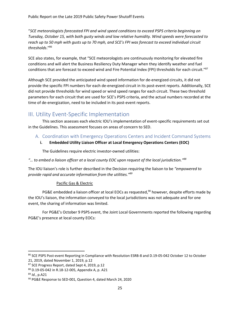"*SCE meteorologists forecasted FPI and wind speed conditions to exceed PSPS criteria beginning on Tuesday, October 15, with both gusty winds and low relative humidity. Wind speeds were forecasted to reach up to 50 mph with gusts up to 70 mph, and SCE's FPI was forecast to exceed individual circuit thresholds*."<sup>86</sup>

SCE also states, for example, that "SCE meteorologists are continuously monitoring for elevated fire conditions and will alert the Business Resiliency Duty Manager when they identify weather and fuel conditions that are forecast to exceed wind and Fire Potential Index (FPI) thresholds for each circuit."<sup>87</sup>

Although SCE provided the anticipated wind speed information for de-energized circuits, it did not provide the specific FPI numbers for each de-energized circuit in its post-event reports. Additionally, SCE did not provide thresholds for wind speed or wind speed ranges for each circuit. These two threshold parameters for each circuit that are used for SCE's PSPS criteria, and the actual numbers recorded at the time of de-energization, need to be included in its post-event reports.

## <span id="page-25-0"></span>III. Utility Event-Specific Implementation

This section assesses each electric IOU's implementation of event-specific requirements set out in the Guidelines. This assessment focuses on areas of concern to SED.

#### <span id="page-25-1"></span>A. Coordination with Emergency Operations Centers and Incident Command Systems

#### **i. Embedded Utility Liaison Officer at Local Emergency Operations Centers (EOC)**

The Guidelines require electric investor-owned utilities:

#### *"… to embed a liaison officer at a local county EOC upon request of the local jurisdiction."<sup>88</sup>*

The IOU liaison's role is further described in the Decision requiring the liaison to be *"empowered to provide rapid and accurate information from the utilities."<sup>89</sup>*

#### Pacific Gas & Electric

PG&E embedded a liaison officer at local EOCs as requested,<sup>90</sup> however, despite efforts made by the IOU's liaison, the information conveyed to the local jurisdictions was not adequate and for one event, the sharing of information was limited.

For PG&E's October 9 PSPS event, the Joint Local Governments reported the following regarding PG&E's presence at local county EOCs:

<sup>86</sup> SCE PSPS Post-event Reporting in Compliance with Resolution ESRB-8 and D.19-05-042 October 12 to October 21, 2019, dated November 1, 2019, p.12

<sup>87</sup> SCE Progress Report, dated Sept 4, 2019, p.12

<sup>88</sup> D.19-05-042 in R.18-12-005, Appendix A, p. A21

<sup>89</sup> *Id.*, p.A21

<sup>90</sup> PG&E Response to SED-001, Question 4, dated March 24, 2020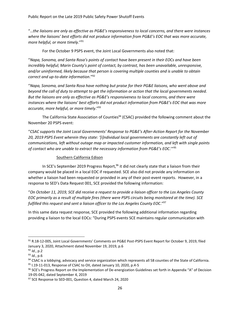"…*the liaisons are only as effective as PG&E's responsiveness to local concerns, and there were instances where the liaisons' best efforts did not produce information from PG&E's EOC that was more accurate, more helpful, or more timely*." 91

For the October 9 PSPS event, the Joint Local Governments also noted that:

"*Napa, Sonoma, and Santa Rosa's points of contact have been present in their EOCs and have been incredibly helpful; Marin County's point of contact, by contrast, has been unavailable, unresponsive, and/or uninformed, likely because that person is covering multiple counties and is unable to obtain correct and up-to-date information*."<sup>92</sup>

"*Napa, Sonoma, and Santa Rosa have nothing but praise for their PG&E liaisons, who went above and beyond the call of duty to attempt to get the information or action that the local governments needed. But the liaisons are only as effective as PG&E's responsiveness to local concerns, and there were instances where the liaisons' best efforts did not product information from PG&E's EOC that was more accurate, more helpful, or more timely*."<sup>93</sup>

The California State Association of Counties<sup>94</sup> (CSAC) provided the following comment about the November 20 PSPS event:

"*CSAC supports the Joint Local Governments' Response to PG&E's After-Action Report for the November 20, 2019 PSPS Event wherein they state: '[i]ndividual local governments are constantly left out of communications, left without outage map or impacted customer information, and left with single points of contact who are unable to extract the necessary information from PG&E's EOC*.'"<sup>95</sup>

#### Southern California Edison

In SCE's September 2019 Progress Report,<sup>96</sup> it did not clearly state that a liaison from their company would be placed in a local EOC if requested. SCE also did not provide any information on whether a liaison had been requested or provided in any of their post-event reports. However, in a response to SED's Data Request 001, SCE provided the following information:

"*On October 11, 2019, SCE did receive a request to provide a liaison officer to the Los Angeles County EOC primarily as a result of multiple fires (there were PSPS circuits being monitored at the time). SCE fulfilled this request and sent a liaison officer to the Los Angeles County EOC*."<sup>97</sup>

In this same data request response, SCE provided the following additional information regarding providing a liaison to the local EOCs: "During PSPS events SCE maintains regular communication with

<sup>91</sup> R.18-12-005, Joint Local Governments' Comments on PG&E Post-PSPS Event Report for October 9, 2019, filed January 3, 2020, Attachment dated November 19, 2019, p.6

<sup>92</sup> *Id.*, p.2

<sup>93</sup> *Id.*, p.6

<sup>94</sup> CSAC is a lobbying, advocacy and service organization which represents all 58 counties of the State of California.

 $95$  I.19-11-013, Response of CSAC to OII, dated January 10, 2020, p.4-5

<sup>96</sup> SCE's Progress Report on the Implementation of De-energization Guidelines set forth in Appendix "A" of Decision 19-05-042, dated September 4, 2019

<sup>&</sup>lt;sup>97</sup> SCE Response to SED-001, Question 4, dated March 24, 2020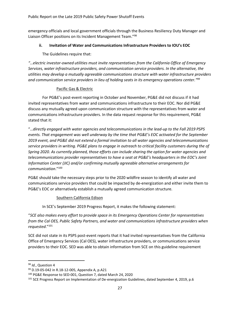emergency officials and local government officials through the Business Resiliency Duty Manager and Liaison Officer positions on its Incident Management Team."<sup>98</sup>

#### **ii. Invitation of Water and Communications Infrastructure Providers to IOU's EOC**

The Guidelines require that:

*"…electric investor-owned utilities must invite representatives from the California Office of Emergency Services, water infrastructure providers, and communication service providers. In the alternative, the utilities may develop a mutually agreeable communications structure with water infrastructure providers and communication service providers in lieu of holding seats in its emergency operations center." 99*

#### Pacific Gas & Electric

For PG&E's post-event reporting in October and November, PG&E did not discuss if it had invited representatives from water and communications infrastructure to their EOC. Nor did PG&E discuss any mutually agreed upon communication structure with the representatives from water and communications infrastructure providers. In the data request response for this requirement, PG&E stated that it:

"…*directly engaged with water agencies and telecommunications in the lead-up to the Fall 2019 PSPS events. That engagement was well underway by the time that PG&E's EOC activated for the September 2019 event, and PG&E did not extend a formal invitation to all water agencies and telecommunications service providers in writing. PG&E plans to engage in outreach to critical facility customers during the of Spring 2020. As currently planned, those efforts can include sharing the option for water agencies and telecommunications provider representatives to have a seat at PG&E's headquarters in the EOC's Joint Information Center (JIC) and/or confirming mutually agreeable alternative arrangements for communication*."<sup>100</sup>

PG&E should take the necessary steps prior to the 2020 wildfire season to identify all water and communications service providers that could be impacted by de-energization and either invite them to PG&E's EOC or alternatively establish a mutually agreed communication structure.

#### Southern California Edison

In SCE's September 2019 Progress Report, it makes the following statement:

"*SCE also makes every effort to provide space in its Emergency Operations Center for representatives from the Cal OES, Public Safety Partners, and water and communications infrastructure providers when requested*." 101

SCE did not state in its PSPS post-event reports that it had invited representatives from the California Office of Emergency Services (Cal OES), water infrastructure providers, or communications service providers to their EOC. SED was able to obtain information from SCE on this guideline requirement

<sup>98</sup> *Id.*, Question 4

<sup>99</sup> D.19-05-042 in R.18-12-005, Appendix A, p.A21

<sup>100</sup> PG&E Response to SED-001, Question 7, dated March 24, 2020

<sup>&</sup>lt;sup>101</sup> SCE Progress Report on Implementation of De-energization Guidelines, dated September 4, 2019, p.6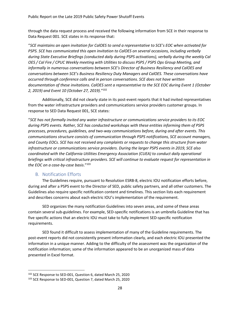through the data request process and received the following information from SCE in their response to Data Request 001. SCE states in its response that:

"*SCE maintains an open invitation for CalOES to send a representative to SCE's EOC when activated for PSPS. SCE has communicated this open invitation to CalOES on several occasions, including verbally during State Executive Briefings (conducted daily during PSPS activations), verbally during the weekly Cal OES / Cal Fire / CPUC Weekly meeting with Utilities to discuss PSPS / PSPS Ops Group Meeting, and informally in numerous conversations between SCE's Director of Business Resiliency and CalOES and conversations between SCE's Business Resiliency Duty Managers and CalOES. These conversations have occurred through conference calls and in person conversations. SCE does not have written documentation of these invitations. CalOES sent a representative to the SCE EOC during Event 1 (October 2, 2019) and Event 10 (October 27, 2019)*."<sup>102</sup>

Additionally, SCE did not clearly state in its post-event reports that it had invited representatives from the water infrastructure providers and communications service providers customer groups. In response to SED Data Request 001, SCE states:

"*SCE has not formally invited any water infrastructure or communications service providers to its EOC during PSPS events. Rather, SCE has conducted workshops with these entities informing them of PSPS processes, procedures, guidelines, and two-way communications before, during and after events. This communications structure consists of communication through PSPS notifications, SCE account managers, and County EOCs. SCE has not received any complaints or requests to change this structure from water infrastructure or communications service providers. During the larger PSPS events in 2019, SCE also coordinated with the California Utilities Emergency Association (CUEA) to conduct daily operational briefings with critical infrastructure providers. SCE will continue to evaluate request for representation in the EOC on a case-by-case basis*."<sup>103</sup>

#### B. Notification Efforts

<span id="page-28-0"></span>The Guidelines require, pursuant to Resolution ESRB-8, electric IOU notification efforts before, during and after a PSPS event to the Director of SED, public safety partners, and all other customers. The Guidelines also require specific notification content and timelines. This section lists each requirement and describes concerns about each electric IOU's implementation of the requirement.

SED organizes the many notification Guidelines into seven areas, and some of these areas contain several sub-guidelines. For example, SED-specific notifications is an umbrella Guideline that has five specific actions that an electric IOU must take to fully implement SED-specific notification requirements.

SED found it difficult to assess implementation of many of the Guideline requirements. The post-event reports did not consistently present information clearly, and each electric IOU presented the information in a unique manner. Adding to the difficulty of the assessment was the organization of the notification information; some of the information appeared to be an unorganized mass of data presented in Excel format.

<sup>102</sup> SCE Response to SED-001, Question 6, dated March 25, 2020

<sup>&</sup>lt;sup>103</sup> SCE Response to SED-001, Question 7, dated March 25, 2020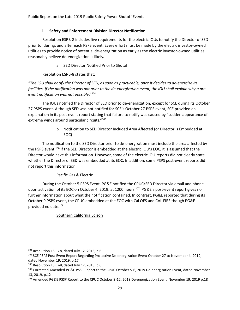#### **i. Safety and Enforcement Division Director Notification**

Resolution ESRB-8 includes five requirements for the electric IOUs to notify the Director of SED prior to, during, and after each PSPS event. Every effort must be made by the electric investor-owned utilities to provide notice of potential de-energization as early as the electric investor-owned utilities reasonably believe de-energization is likely**.** 

a. SED Director Notified Prior to Shutoff

Resolution ESRB-8 states that:

"*The IOU shall notify the Director of SED, as soon as practicable, once it decides to de-energize its facilities. If the notification was not prior to the de-energization event, the IOU shall explain why a preevent notification was not possible*."<sup>104</sup>

The IOUs notified the Director of SED prior to de-energization, except for SCE during its October 27 PSPS event. Although SED was not notified for SCE's October 27 PSPS event, SCE provided an explanation in its post-event report stating that failure to notify was caused by "sudden appearance of extreme winds around particular circuits."<sup>105</sup>

> b. Notification to SED Director Included Area Affected (or Director is Embedded at EOC)

The notification to the SED Director prior to de-energization must include the area affected by the PSPS event.<sup>106</sup> If the SED Director is embedded at the electric IOU's EOC, it is assumed that the Director would have this information. However, some of the electric IOU reports did not clearly state whether the Director of SED was embedded at its EOC. In addition, some PSPS post-event reports did not report this information.

#### Pacific Gas & Electric

During the October 5 PSPS Event, PG&E notified the CPUC/SED Director via email and phone upon activation of its EOC on October 4, 2019, at 1200 hours.<sup>107</sup> PG&E's post-event report gives no further information about what the notification contained. In contrast, PG&E reported that during its October 9 PSPS event, the CPUC embedded at the EOC with Cal OES and CAL FIRE though PG&E provided no date. 108

#### Southern California Edison

<sup>104</sup> Resolution ESRB-8, dated July 12, 2018, p.6

<sup>105</sup> SCE PSPS Post-Event Report Regarding Pro-active De-energization Event October 27 to November 4, 2019, dated November 19, 2019, p.17

<sup>106</sup> Resolution ESRB-8, dated July 12, 2018, p.6

<sup>107</sup> Corrected Amended PG&E PSSP Report to the CPUC October 5-6, 2019 De-energization Event, dated November 13, 2019, p.12

<sup>&</sup>lt;sup>108</sup> Amended PG&E PSSP Report to the CPUC October 9-12, 2019 De-energization Event, November 19, 2019 p.18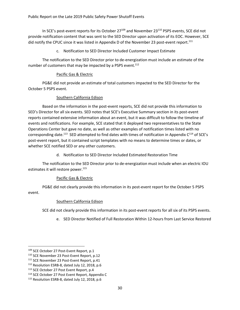In SCE's post-event reports for its October  $27^{109}$  and November  $23^{110}$  PSPS events, SCE did not provide notification content that was sent to the SED Director upon activation of its EOC. However, SCE did notify the CPUC since it was listed in Appendix D of the November 23 post-event report.<sup>111</sup>

c. Notification to SED Director Included Customer Impact Estimate

The notification to the SED Director prior to de-energization must include an estimate of the number of customers that may be impacted by a PSPS event.<sup>112</sup>

#### Pacific Gas & Electric

PG&E did not provide an estimate of total customers impacted to the SED Director for the October 5 PSPS event.

#### Southern California Edison

Based on the information in the post-event reports, SCE did not provide this information to SED's Director for all six events. SED notes that SCE's Executive Summary section in its post-event reports contained extensive information about an event, but it was difficult to follow the timeline of events and notifications. For example, SCE stated that it deployed two representatives to the State Operations Center but gave no date, as well as other examples of notification times listed with no corresponding date.<sup>113</sup> SED attempted to find dates with times of notification in Appendix  $C^{114}$  of SCE's post-event report, but it contained script templates with no means to determine times or dates, or whether SCE notified SED or any other customers.

d. Notification to SED Director Included Estimated Restoration Time

The notification to the SED Director prior to de-energization must include when an electric IOU estimates it will restore power.<sup>115</sup>

#### Pacific Gas & Electric

PG&E did not clearly provide this information in its post-event report for the October 5 PSPS event.

#### Southern California Edison

SCE did not clearly provide this information in its post-event reports for all six of its PSPS events.

e. SED Director Notified of Full Restoration Within 12-hours from Last Service Restored

<sup>109</sup> SCE October 27 Post-Event Report, p.1

<sup>&</sup>lt;sup>110</sup> SCE November 23 Post-Event Report, p.12

<sup>&</sup>lt;sup>111</sup> SCE November 23 Post-Event Report, p.41

<sup>112</sup> Resolution ESRB-8, dated July 12, 2018, p.6

<sup>113</sup> SCE October 27 Post Event Report, p.4

<sup>114</sup> SCE October 27 Post Event Report, Appendix C

<sup>115</sup> Resolution ESRB-8, dated July 12, 2018, p.6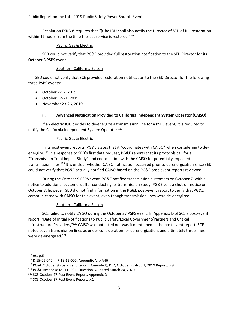Resolution ESRB-8 requires that "[t]he IOU shall also notify the Director of SED of full restoration within 12 hours from the time the last service is restored."<sup>116</sup>

#### Pacific Gas & Electric

SED could not verify that PG&E provided full restoration notification to the SED Director for its October 5 PSPS event.

#### Southern California Edison

SED could not verify that SCE provided restoration notification to the SED Director for the following three PSPS events:

- October 2-12, 2019
- October 12-21, 2019
- November 23-26, 2019

#### **ii. Advanced Notification Provided to California Independent System Operator (CAISO)**

If an electric IOU decides to de-energize a transmission line for a PSPS event, it is required to notify the California Independent System Operator. 117

#### Pacific Gas & Electric

In its post-event reports, PG&E states that it "coordinates with CAISO" when considering to deenergize.<sup>118</sup> In a response to SED's first data request, PG&E reports that its protocols call for a "Transmission Total Impact Study" and coordination with the CAISO for potentially impacted transmission lines.<sup>119</sup> It is unclear whether CAISO notification occurred prior to de-energization since SED could not verify that PG&E actually notified CAISO based on the PG&E post-event reports reviewed.

During the October 9 PSPS event, PG&E notified transmission customers on October 7, with a notice to additional customers after conducting its transmission study. PG&E sent a shut-off notice on October 8; however, SED did not find information in the PG&E post-event report to verify that PG&E communicated with CAISO for this event, even though transmission lines were de-energized.

#### Southern California Edison

SCE failed to notify CAISO during the October 27 PSPS event. In Appendix D of SCE's post-event report, "Date of Initial Notifications to Public Safety/Local Government/Partners and Critical Infrastructure Providers,"<sup>120</sup> CAISO was not listed nor was it mentioned in the post-event report. SCE noted seven transmission lines as under consideration for de-energization, and ultimately three lines were de-energized. 121

<sup>116</sup> *Id.*, p.6

<sup>117</sup> D.19-05-042 in R.18-12-005, Appendix A, p.A46

<sup>118</sup> PG&E October 9 Post-Event Report (Amended), P. 7; October 27-Nov 1, 2019 Report, p.9

<sup>119</sup> PG&E Response to SED-001, Question 37, dated March 24, 2020

<sup>&</sup>lt;sup>120</sup> SCE October 27 Post Event Report, Appendix D

<sup>&</sup>lt;sup>121</sup> SCE October 27 Post Event Report, p.1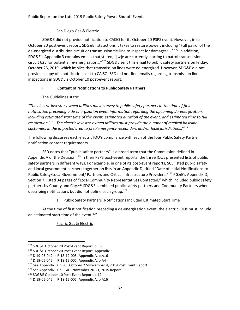#### San Diego Gas & Electric

SDG&E did not provide notification to CAISO for its October 20 PSPS event. However, in its October 20 post-event report, SDG&E lists actions it takes to restore power, including "Full patrol of the de-energized distribution circuit or transmission tie-line to inspect for damages;...."<sup>122</sup> In addition, SDG&E's Appendix 3 contains emails that stated, "[w]e are currently starting to patrol transmission circuit 625 for potential re-energization..."<sup>123</sup> SDG&E sent this email to public safety partners on Friday, October 25, 2019, which implies that transmission lines were de-energized. However, SDG&E did not provide a copy of a notification sent to CAISO. SED did not find emails regarding transmission line inspections in SDG&E's October 10 post-event report.

#### **iii. Content of Notifications to Public Safety Partners**

The Guidelines state:

"*The electric investor-owned utilities must convey to public safety partners at the time of first notification preceding a de-energization event information regarding the upcoming de-energization, including estimated start time of the event, estimated duration of the event, and estimated time to full restoration*." "…*The electric investor owned utilities must provide the number of medical baseline customers in the impacted area to first/emergency responders and/or local jurisdictions*." 124

The following discusses each electric IOU's compliance with each of the four Public Safety Partner notification content requirements.

SED notes that "public safety partners" is a broad term that the Commission defined in Appendix A of the Decision.<sup>125</sup> In their PSPS post-event reports, the three IOUs presented lists of public safety partners in different ways. For example, in one of its post-event reports, SCE listed public safety and local government partners together on lists in an Appendix D, titled "Date of Initial Notifications to Public Safety/Local Government/ Partners and Critical Infrastructure Providers."<sup>126</sup> PG&E's Appendix D, Section 7, listed 34 pages of "Local Community Representatives Contacted," which included public safety partners by County and City.<sup>127</sup> SDG&E combined public safety partners and Community Partners when describing notifications but did not define each group.<sup>128</sup>

a. Public Safety Partners' Notifications Included Estimated Start Time

At the time of first notification preceding a de-energization event, the electric IOUs must include an estimated start time of the event.<sup>129</sup>

#### Pacific Gas & Electric

<sup>122</sup> SDG&E October 20 Post-Event Report, p. 39.

<sup>123</sup> SDG&E October 20 Post-Event Report, Appendix 3.

<sup>124</sup> D.19-05-042 in R.18-12-005, Appendix A, p.A16

<sup>125</sup> D.19-05-042 in R.18-12-005, Appendix A, p.A4

<sup>126</sup> See Appendix D in SCE October 27-November 4, 2019 Post Event Report

<sup>127</sup> See Appendix D in PG&E November 20-21, 2019 Report.

<sup>128</sup> SDG&E October 10 Post-Event Report, p.12

<sup>129</sup> D.19-05-042 in R.18-12-005, Appendix A, p.A16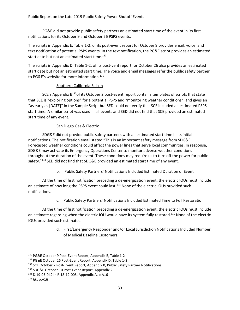PG&E did not provide public safety partners an estimated start time of the event in its first notifications for its October 9 and October 26 PSPS events.

The scripts in Appendix E, Table 1-2, of its post-event report for October 9 provides email, voice, and text notification of potential PSPS events. In the text notification, the PG&E script provides an estimated start date but not an estimated start time.<sup>130</sup>

The scripts in Appendix D, Table 1-2, of its post-vent report for October 26 also provides an estimated start date but not an estimated start time. The voice and email messages refer the public safety partner to PG&E's website for more information.<sup>131</sup>

#### Southern California Edison

SCE's Appendix  $B^{132}$ of its October 2 post-event report contains templates of scripts that state that SCE is "exploring options" for a potential PSPS and "monitoring weather conditions" and gives an "as early as [DATE]" in the Sample Script but SED could not verify that SCE included an estimated PSPS start time. A similar script was used in all events and SED did not find that SCE provided an estimated start time of any event.

#### San Diego Gas & Electric

SDG&E did not provide public safety partners with an estimated start time in its initial notifications. The notification email stated "This is an important safety message from SDG&E. Forecasted weather conditions could affect the power lines that serve local communities. In response, SDG&E may activate its Emergency Operations Center to monitor adverse weather conditions throughout the duration of the event. These conditions may require us to turn off the power for public safety."<sup>133</sup> SED did not find that SDG&E provided an estimated start time of any event.

b. Public Safety Partners' Notifications Included Estimated Duration of Event

At the time of first notification preceding a de-energization event, the electric IOUs must include an estimate of how long the PSPS event could last.<sup>134</sup> None of the electric IOUs provided such notifications.

c. Public Safety Partners' Notifications Included Estimated Time to Full Restoration

At the time of first notification preceding a de-energization event, the electric IOUs must include an estimate regarding when the electric IOU would have its system fully restored.<sup>135</sup> None of the electric IOUs provided such estimates.

> d. First/Emergency Responder and/or Local Jurisdiction Notifications Included Number of Medical Baseline Customers

<sup>130</sup> PG&E October 9 Post-Event Report, Appendix E, Table 1-2

<sup>131</sup> PG&E October 26 Post-Event Report, Appendix D, Table 1-2

<sup>132</sup> SCE October 2 Post-Event Report, Appendix B, Public Safety Partner Notifications

<sup>133</sup> SDG&E October 10 Post-Event Report, Appendix 2

<sup>134</sup> D.19-05-042 in R.18-12-005, Appendix A, p.A16

<sup>135</sup> *Id.*, p.A16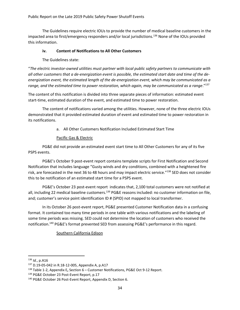The Guidelines require electric IOUs to provide the number of medical baseline customers in the impacted area to first/emergency responders and/or local jurisdictions.<sup>136</sup> None of the IOUs provided this information.

#### **iv. Content of Notifications to All Other Customers**

The Guidelines state:

"*The electric investor-owned utilities must partner with local public safety partners to communicate with all other customers that a de-energization event is possible, the estimated start date and time of the deenergization event, the estimated length of the de-energization event, which may be communicated as a range, and the estimated time to power restoration, which again, may be communicated as a range*." 137

The content of this notification is divided into three separate pieces of information: estimated event start-time, estimated duration of the event, and estimated time to power restoration.

The content of notifications varied among the utilities. However, none of the three electric IOUs demonstrated that it provided estimated duration of event and estimated time to power restoration in its notifications.

a. All Other Customers Notification Included Estimated Start Time

#### Pacific Gas & Electric

PG&E did not provide an estimated event start time to All Other Customers for any of its five PSPS events.

PG&E's October 9 post-event report contains template scripts for First Notification and Second Notification that includes language "Gusty winds and dry conditions, combined with a heightened fire risk, are forecasted in the next 36 to 48 hours and may impact electric service." <sup>138</sup> SED does not consider this to be notification of an estimated start time for a PSPS event.

PG&E's October 23 post-event report indicates that, 2,100 total customers were not notified at all, including 22 medical baseline customers.<sup>139</sup> PG&E reasons included: no customer information on file, and; customer's service point identification ID # (SPID) not mapped to local transformer.

In its October 26 post-event report, PG&E presented Customer Notification data in a confusing format. It contained too many time periods in one table with various notifications and the labeling of some time periods was missing. SED could not determine the location of customers who received the notification.<sup>140</sup> PG&E's format prevented SED from assessing PG&E's performance in this regard.

Southern California Edison

<sup>136</sup> *Id.*, p.A16

<sup>137</sup> D.19-05-042 in R.18-12-005, Appendix A, p.A17

<sup>138</sup> Table 1-2, Appendix E**,** Section 6 – Customer Notifications, PG&E Oct 9-12 Report.

<sup>&</sup>lt;sup>139</sup> PG&E October 23 Post-Event Report, p.17

<sup>&</sup>lt;sup>140</sup> PG&E October 26 Post-Event Report, Appendix D, Section 6.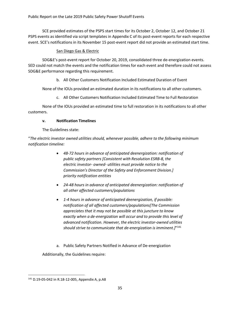SCE provided estimates of the PSPS start times for its October 2, October 12, and October 21 PSPS events as identified via script templates in Appendix C of its post-event reports for each respective event. SCE's notifications in its November 15 post-event report did not provide an estimated start time.

#### San Diego Gas & Electric

SDG&E's post-event report for October 20, 2019, consolidated three de-energization events. SED could not match the events and the notification times for each event and therefore could not assess SDG&E performance regarding this requirement.

b. All Other Customers Notification Included Estimated Duration of Event

None of the IOUs provided an estimated duration in its notifications to all other customers.

c. All Other Customers Notification Included Estimated Time to Full Restoration

None of the IOUs provided an estimated time to full restoration in its notifications to all other customers.

#### **v. Notification Timelines**

The Guidelines state:

"*The electric investor owned utilities should, whenever possible, adhere to the following minimum notification timeline:*

- *48-72 hours in advance of anticipated deenergization: notification of public safety partners [Consistent with Resolution ESRB-8, the electric investor- owned- utilities must provide notice to the Commission's Director of the Safety and Enforcement Division.] priority notification entities*
- *24-48 hours in advance of anticipated deenergization: notification of all other affected customers/populations*
- *1-4 hours in advance of anticipated deenergization, if possible: notification of all affected customers/populations[The Commission appreciates that it may not be possible at this juncture to know exactly when a de-energization will occur and to provide this level of advanced notification. However, the electric investor-owned utilities should strive to communicate that de-energization is imminent.]*" 141
- a. Public Safety Partners Notified in Advance of De-energization

Additionally, the Guidelines require:

<sup>141</sup> D.19-05-042 in R.18-12-005, Appendix A, p.A8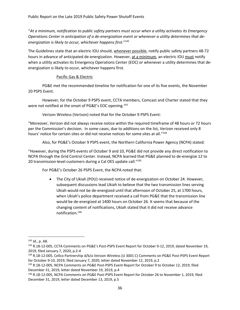"*At a minimum, notification to public safety partners must occur when a utility activates its Emergency Operations Center in anticipation of a de-energization event or whenever a utility determines that deenergization is likely to occur, whichever happens first*." 142

The Guidelines state that an electric IOU should, whenever possible, notify public safety partners 48-72 hours in advance of anticipated de-energization. However, at a minimum, an electric IOU must notify when a utility activates its Emergency Operations Center (EOC) or whenever a utility determines that deenergization is likely to occur, whichever happens first.

#### Pacific Gas & Electric

PG&E met the recommended timeline for notification for one of its five events, the November 20 PSPS Event.

However, for the October 9 PSPS event, CCTA members, Comcast and Charter stated that they were not notified at the onset of PG&E's EOC opening.<sup>143</sup>

Verizon Wireless (Verizon) noted that for the October 9 PSPS Event:

"Moreover, Verizon did not always receive notice within the required timeframe of 48 hours or 72 hours per the Commission's decision. In some cases, due to additions on the list, Verizon received only 8 hours' notice for certain sites or did not receive notices for some sites at all."<sup>144</sup>

Also, for PG&E's October 9 PSPS event, the Northern California Power Agency (NCPA) stated:

"However, during the PSPS events of October 9 and 10, PG&E did not provide any direct notification to NCPA through the Grid Control Center. Instead, NCPA learned that PG&E planned to de-energize 12 to 20 transmission-level customers during a Cal OES update call."145

For PG&E's October 26 PSPS Event, the NCPA noted that:

• The City of Ukiah (POU) received notice of de-energization on October 24. However, subsequent discussions lead Ukiah to believe that the two transmission lines serving Ukiah would not be de-energized until that afternoon of October 25, at 1700 hours, when Ukiah's police department received a call from PG&E that the transmission line would be de-energized at 1400 hours on October 26. It seems that because of the changing content of notifications, Ukiah stated that it did not receive advance notification.<sup>146</sup>

<sup>142</sup> *Id.*, p. A8.

<sup>143</sup> R.18-12-005, CCTA Comments on PG&E's Post-PSPS Event Report for October 9-12, 2019, dated November 19, 2019, filed January 7, 2020, p.2-4

<sup>144</sup> R.18-12-005, Cellco Partnership d/b/a Verizon Wireless (U 3001 C) Comments on PG&E Post-PSPS Event Report for October 9-10, 2019, filed January 7, 2020, letter dated November 12, 2019, p.2

<sup>145</sup> R.18-12-005, NCPA Comments on PG&E Post-PSPS Event Report for October 9 to October 12, 2019, filed December 31, 2019, letter dated November 19, 2019, p.4

<sup>146</sup> R.18-12-005, NCPA Comments on PG&E Post-PSPS Event Report for October 26 to November 1, 2019, filed December 31, 2019, letter dated December 13, 2019, p.5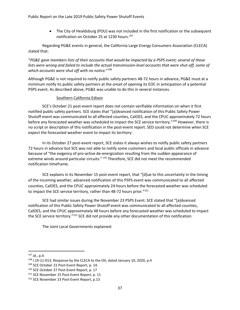Public Report on the Late 2019 Public Safety Power Shutoff Events

• The City of Healdsburg (POU) was not included in the first notification or the subsequent notification on October 25 at 1230 hours.<sup>147</sup>

Regarding PG&E events in general, the California Large Energy Consumers Association (CLECA) stated that:

"*PG&E gave members lists of their accounts that would be impacted by a PSPS event; several of these lists were wrong and failed to include the actual transmission-level accounts that were shut-off, some of which accounts were shut off with no notice*." 148

Although PG&E is not required to notify public safety partners 48-72 hours in advance, PG&E must at a minimum notify its public safety partners at the onset of opening its EOC in anticipation of a potential PSPS event. As described above, PG&E was unable to do this in several instances.

#### Southern California Edison

SCE's October 21 post-event report does not contain verifiable information on when it first notified public safety partners. SCE states that "[a]dvanced notification of this Public Safety Power Shutoff event was communicated to all affected counties, CalOES, and the CPUC approximately 72 hours before any forecasted weather was scheduled to impact the SCE service territory."<sup>149</sup> However, there is no script or description of this notification in the post-event report. SED could not determine when SCE expect the forecasted weather event to impact its territory.

In its October 27 post-event report, SCE states it always wishes to notify public safety partners 72 hours in advance but SCE was not able to notify some customers and local public officials in advance because of "the exigency of pro-active de-energization resulting from the sudden appearance of extreme winds around particular circuits." <sup>150</sup> Therefore, SCE did not meet the recommended notification timeframe.

SCE explains in its November 15 post-event report, that "[d]ue to this uncertainty in the timing of the incoming weather, advanced notification of this PSPS event was communicated to all affected counties, CalOES, and the CPUC approximately 24 hours before the forecasted weather was scheduled to impact the SCE service territory, rather than 48-72 hours prior."<sup>151</sup>

SCE had similar issues during the November 23 PSPS Event. SCE stated that "[a]dvanced notification of this Public Safety Power Shutoff event was communicated to all affected counties, CalOES, and the CPUC approximately 48 hours before any forecasted weather was scheduled to impact the SCE service territory."<sup>152</sup> SCE did not provide any other documentation of this notification.

The Joint Local Governments explained:

<sup>147</sup> *Id.*, p.4

<sup>148</sup> I.19-11-013, Response by the CLECA to the OII, dated January 10, 2020, p.4

<sup>&</sup>lt;sup>149</sup> SCE October 21 Post-Event Report, p. 14.

<sup>&</sup>lt;sup>150</sup> SCE October 27 Post-Event Report, p. 17

<sup>&</sup>lt;sup>151</sup> SCE November 15 Post-Event Report, p. 11

<sup>152</sup> SCE November 23 Post-Event Report, p.13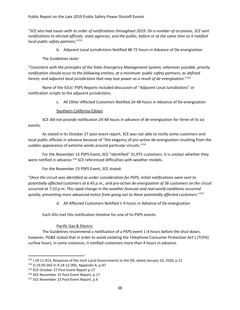"*SCE also had issues with its order of notifications throughout 2019. On a number of occasions, SCE sent notifications to elected officials, state agencies, and the public, before or at the same time as it notified local public safety partners*."<sup>153</sup>

b. Adjacent Local Jurisdictions Notified 48-72 hours in Advance of De-energization

The Guidelines state:

"*Consistent with the principles of the State Emergency Management System, whenever possible, priority notification should occur to the following entities, at a minimum: public safety partners, as defined herein, and adjacent local jurisdictions that may lose power as a result of de-energization*." 154

None of the IOUs' PSPS Reports included discussion of "Adjacent Local Jurisdictions" or notification scripts to the adjacent jurisdictions.

c. All Other Affected Customers Notified 24-48 hours in Advance of De-energization

#### Southern California Edison

SCE did not provide notification 24-48 hours in advance of de-energization for three of its six events.

As stated in its October 27 post-event report, SCE was not able to notify some customers and local public officials in advance because of "the exigency of pro-active de-energization resulting from the sudden appearance of extreme winds around particular circuits."<sup>155</sup>

For the November 15 PSPS Event, SCE "identified" 31,975 customers. It is unclear whether they were notified in advance.<sup>156</sup> SCE referenced difficulties with weather models.

For the November 23 PSPS Event, SCE stated:

"*Once the circuit was identified as under consideration for PSPS, initial notifications were sent to potentially affected customers at 6:45 p.m., and pro-active de-energization of 36 customers on the circuit occurred at 7:23 p.m. This rapid change in the weather forecast and real-world conditions occurred quickly, preventing more advanced notice from going out to these potentially affected customers*."<sup>157</sup>

d. All Affected Customers Notified 1-4 hours in Advance of De-energization

Each IOU met this notification timeline for one of its PSPS events.

#### Pacific Gas & Electric

The Guidelines recommend a notification of a PSPS event 1-4 hours before the shut-down, however, PG&E stated that in order to avoid violating the Telephone Consumer Protection Act's (TCPA) curfew hours, in some instances, it notified customers more than 4 hours in advance.

<sup>153</sup> I.19-11-013, Response of the Joint Local Governments to the OII, dated January 10, 2020, p.21

<sup>154</sup> D.19-05-042 in R.18-12-005, Appendix A, p.A7

<sup>155</sup> SCE October 27 Post-Event Report p.17

<sup>&</sup>lt;sup>156</sup> SCE November 15 Post-Event Report, p.17

<sup>157</sup> SCE November 23 Post-Event Report, p.6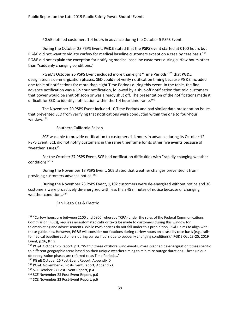PG&E notified customers 1-4 hours in advance during the October 5 PSPS Event.

During the October 23 PSPS Event, PG&E stated that the PSPS event started at 0100 hours but PG&E did not want to violate curfew for medical baseline customers except on a case by case basis.<sup>158</sup> PG&E did not explain the exception for notifying medical baseline customers during curfew hours other than "suddenly changing conditions."

PG&E's October 26 PSPS Event included more than eight "Time Periods"<sup>159</sup> that PG&E designated as de-energization phases. SED could not verify notification timing because PG&E included one table of notifications for more than eight Time Periods during this event. In the table, the final advance notification was a 12-hour notification, followed by a shut-off notification that told customers that power would be shut off soon or was already shut off. The presentation of the notifications made it difficult for SED to identify notification within the 1-4 hour timeframe.<sup>160</sup>

The November 20 PSPS Event included 10 Time Periods and had similar data presentation issues that prevented SED from verifying that notifications were conducted within the one to four-hour window. 161

#### Southern California Edison

SCE was able to provide notification to customers 1-4 hours in advance during its October 12 PSPS Event. SCE did not notify customers in the same timeframe for its other five events because of "weather issues."

For the October 27 PSPS Event, SCE had notification difficulties with "rapidly changing weather conditions." 162

During the November 13 PSPS Event, SCE stated that weather changes prevented it from providing customers advance notice.<sup>163</sup>

During the November 23 PSPS Event, 1,192 customers were de-energized without notice and 36 customers were proactively de-energized with less than 45 minutes of notice because of changing weather conditions. 164

#### San Diego Gas & Electric

<sup>158 &</sup>quot;Curfew hours are between 2100 and 0800, whereby TCPA (under the rules of the Federal Communications Commission (FCC)), requires no automated calls or texts be made to customers during this window for telemarketing and advertisements. While PSPS notices do not fall under this prohibition, PG&E aims to align with these guidelines. However, PG&E will consider notifications during curfew hours on a case by case basis (e.g., calls to medical baseline customers during curfew hours due to suddenly changing conditions)." PG&E Oct 23-25, 2019 Event, p.16, ftn 9

<sup>159</sup> PG&E October 26 Report, p.1. "Within these offshore wind events, PG&E planned de-energization times specific to different geographic areas based on their unique weather timing to minimize outage durations. These unique de-energization phases are referred to as Time Periods…"

<sup>160</sup> PG&E October 26 Post-Event Report, Appendix D

<sup>&</sup>lt;sup>161</sup> PG&E November 20 Post-Event Report, Appendix C

<sup>&</sup>lt;sup>162</sup> SCE October 27 Post-Event Report, p.4

<sup>&</sup>lt;sup>163</sup> SCE November 23 Post-Event Report, p.6

<sup>164</sup> SCE November 23 Post-Event Report, p.6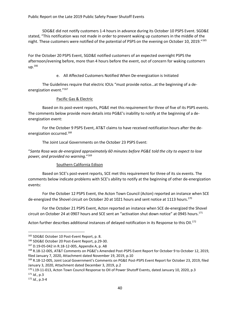Public Report on the Late 2019 Public Safety Power Shutoff Events

SDG&E did not notify customers 1-4 hours in advance during its October 10 PSPS Event. SGD&E stated, "This notification was not made in order to prevent waking up customers in the middle of the night. These customers were notified of the potential of PSPS on the evening on October 10, 2019."165

For the October 20 PSPS Event, SGD&E notified customers of an expected overnight PSPS the afternoon/evening before, more than 4 hours before the event, out of concern for waking customers up.<sup>166</sup>

e. All Affected Customers Notified When De-energization is Initiated

The Guidelines require that electric IOUs "must provide notice…at the beginning of a deenergization event."<sup>167</sup>

#### Pacific Gas & Electric

Based on its post-event reports, PG&E met this requirement for three of five of its PSPS events. The comments below provide more details into PG&E's inability to notify at the beginning of a deenergization event:

For the October 9 PSPS Event, AT&T claims to have received notification hours after the deenergization occurred.<sup>168</sup>

The Joint Local Governments on the October 23 PSPS Event:

"*Santa Rosa was de-energized approximately 60 minutes before PG&E told the city to expect to lose power, and provided no warning*."<sup>169</sup>

#### Southern California Edison

Based on SCE's post-event reports, SCE met this requirement for three of its six events. The comments below indicate problems with SCE's ability to notify at the beginning of other de-energization events:

For the October 12 PSPS Event, the Acton Town Council (Acton) reported an instance when SCE de-energized the Shovel circuit on October 20 at 1021 hours and sent notice at 1113 hours.<sup>170</sup>

For the October 21 PSPS Event, Acton reported an instance when SCE de-energized the Shovel circuit on October 24 at 0907 hours and SCE sent an "activation shut down notice" at 0945 hours.<sup>171</sup>

Acton further describes additional instances of delayed notification in its Response to this OII.<sup>172</sup>

<sup>165</sup> SDG&E October 10 Post-Event Report, p. 8.

<sup>166</sup> SDG&E October 20 Post-Event Report, p.29-30.

<sup>167</sup> D.19-05-042 in R.18-12-005, Appendix A, p. A8

<sup>168</sup> R.18-12-005, AT&T Comments on PG&E's Amended Post-PSPS Event Report for October 9 to October 12, 2019, filed January 7, 2020, Attachment dated November 19, 2019, p.10

<sup>169</sup> R.18-12-005, Joint Local Government's Comments on PG&E Post-PSPS Event Report for October 23, 2019, filed January 3, 2020, Attachment dated December 3, 2019, p.2

<sup>170</sup> I.19-11-013, Acton Town Council Response to OII of Power Shutoff Events, dated January 10, 2020, p.3

<sup>171</sup> *Id.*, p.3

<sup>172</sup> *Id.*, p.3-4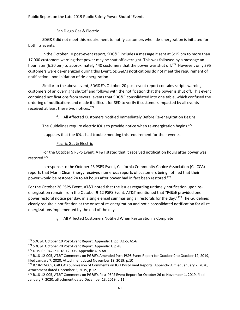## San Diego Gas & Electric

SDG&E did not meet this requirement to notify customers when de-energization is initiated for both its events.

In the October 10 post-event report, SDG&E includes a message it sent at 5:15 pm to more than 17,000 customers warning that power may be shut off overnight. This was followed by a message an hour later (6:30 pm) to approximately 440 customers that the power was shut off.<sup>173</sup> However, only 395 customers were de-energized during this Event. SDG&E's notifications do not meet the requirement of notification upon initiation of de-energization.

Similar to the above event, SDG&E's October 20 post-event report contains scripts warning customers of an overnight shutoff and follows with the notification that the power is shut off. This event contained notifications from several events that SDG&E consolidated into one table, which confused the ordering of notifications and made it difficult for SED to verify if customers impacted by all events received at least these two notices. 174

f. All Affected Customers Notified Immediately Before Re-energization Begins

The Guidelines require electric IOUs to provide notice when re-energization begins.<sup>175</sup>

It appears that the IOUs had trouble meeting this requirement for their events.

## Pacific Gas & Electric

For the October 9 PSPS Event, AT&T stated that it received notification hours after power was restored.<sup>176</sup>

In response to the October 23 PSPS Event, California Community Choice Association (CalCCA) reports that Marin Clean Energy received numerous reports of customers being notified that their power would be restored 24 to 48 hours after power had in fact been restored.<sup>177</sup>

For the October 26 PSPS Event, AT&T noted that the issues regarding untimely notification upon reenergization remain from the October 9-12 PSPS Event. AT&T mentioned that "PG&E provided one power restoral notice per day, in a single email summarizing all restorals for the day."<sup>178</sup> The Guidelines clearly require a notification at the onset of re-energization and not a consolidated notification for all reenergizations implemented by the end of the day.

g. All Affected Customers Notified When Restoration is Complete

<sup>173</sup> SDG&E October 10 Post-Event Report, Appendix 1, pp. A1-5, A1-6

<sup>174</sup> SDG&E October 20 Post-Event Report, Appendix 1, p.48

<sup>175</sup> D.19-05-042 in R.18-12-005, Appendix A, p.A8

<sup>176</sup> R.18-12-005, AT&T Comments on PG&E's Amended Post-PSPS Event Report for October 9 to October 12, 2019, filed January 7, 2020, Attachment dated November 19, 2019, p.10

<sup>177</sup> R.18-12-005, CalCCA's Submission of Comments on IOU Post-Event Reports, Appendix A, filed January 7, 2020, Attachment dated December 3, 2019, p.12

<sup>178</sup> R.18-12-005, AT&T Comments on PG&E's Post-PSPS Event Report for October 26 to November 1, 2019, filed January 7, 2020, attachment dated December 13, 2019, p.11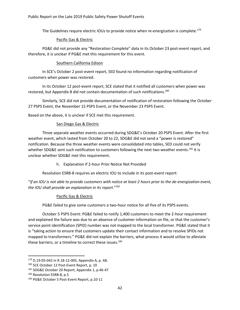The Guidelines require electric IOUs to provide notice when re-energization is complete.<sup>179</sup>

#### Pacific Gas & Electric

PG&E did not provide any "Restoration Complete" data in its October 23 post-event report, and therefore, it is unclear if PG&E met this requirement for this event.

#### Southern California Edison

In SCE's October 2 post-event report, SED found no information regarding notification of customers when power was restored.

In its October 12 post-event report, SCE stated that it notified all customers when power was restored, but Appendix B did not contain documentation of such notifications.<sup>180</sup>

Similarly, SCE did not provide documentation of notification of restoration following the October 27 PSPS Event, the November 15 PSPS Event, or the November 23 PSPS Event.

Based on the above, it is unclear if SCE met this requirement.

#### San Diego Gas & Electric

Three separate weather events occurred during SDG&E's October 20 PSPS Event. After the first weather event, which lasted from October 20 to 22, SDG&E did not send a "power is restored" notification. Because the three weather events were consolidated into tables, SED could not verify whether SDG&E sent such notification to customers following the next two weather events.<sup>181</sup> It is unclear whether SDG&E met this requirement.

h. Explanation if 2-hour Prior Notice Not Provided

Resolution ESRB-8 requires an electric IOU to include in its post-event report:

"*If an IOU is not able to provide customers with notice at least 2 hours prior to the de-energization event, the IOU shall provide an explanation in its report*."<sup>182</sup>

#### Pacific Gas & Electric

PG&E failed to give some customers a two-hour notice for all five of its PSPS events.

October 5 PSPS Event: PG&E failed to notify 1,400 customers to meet the 2-hour requirement and explained the failure was due to an absence of customer information on file, or that the customer's service point identification (SPID) number was not mapped to the local transformer. PG&E stated that it is "taking action to ensure that customers update their contact information and to resolve SPIDs not mapped to transformers." PG&E did not explain the barriers, what process it would utilize to alleviate these barriers, or a timeline to correct these issues.<sup>183</sup>

<sup>179</sup> D.19-05-042 in R.18-12-005, Appendix A, p. A8.

<sup>180</sup> SCE October 12 Post-Event Report, p. 10

<sup>181</sup> SDG&E October 20 Report, Appendix 1, p.46-47

<sup>182</sup> Resolution ESRB-8, p.5

<sup>183</sup> PG&E October 5 Post-Event Report, p.10-11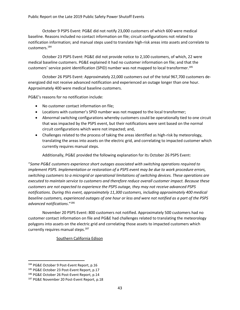October 9 PSPS Event: PG&E did not notify 23,000 customers of which 600 were medical baseline. Reasons included no contact information on file; circuit configurations not related to notification information; and manual steps used to translate high-risk areas into assets and correlate to customers. 184

October 23 PSPS Event: PG&E did not provide notice to 2,100 customers, of which, 22 were medical baseline customers. PG&E explained it had no customer information on file; and that the customers' service point identification (SPID) number was not mapped to local transformer.<sup>185</sup>

October 26 PSPS Event: Approximately 22,000 customers out of the total 967,700 customers deenergized did not receive advanced notification and experienced an outage longer than one hour. Approximately 400 were medical baseline customers.

PG&E's reasons for no notification include:

- No customer contact information on file;
- Locations with customer's SPID number was not mapped to the local transformer;
- Abnormal switching configurations whereby customers could be operationally tied to one circuit that was impacted by the PSPS event, but their notifications were sent based on the normal circuit configurations which were not impacted; and,
- Challenges related to the process of taking the areas identified as high-risk by meteorology, translating the areas into assets on the electric grid, and correlating to impacted customer which currently requires manual steps.

Additionally, PG&E provided the following explanation for its October 26 PSPS Event:

"*Some PG&E customers experience short outages associated with switching operations required to implement PSPS. Implementation or restoration of a PSPS event may be due to work procedure errors, switching customers to a microgrid or operational limitations of switching devices. These operations are executed to maintain service to customers and therefore reduce overall customer impact. Because these customers are not expected to experience the PSPS outage, they may not receive advanced PSPS notifications. During this event, approximately 11,300 customers, including approximately 400 medical baseline customers, experienced outages of one hour or less and were not notified as a part of the PSPS advanced notifications*." 186

November 20 PSPS Event: 800 customers not notified. Approximately 500 customers had no customer contact information on file and PG&E had challenges related to translating the meteorology polygons into assets on the electric grid and correlating those assets to impacted customers which currently requires manual steps.<sup>187</sup>

Southern California Edison

<sup>184</sup> PG&E October 9 Post-Event Report, p.16

<sup>185</sup> PG&E October 23 Post-Event Report, p.17

<sup>186</sup> PG&E October 26 Post-Event Report, p.14

<sup>187</sup> PG&E November 20 Post-Event Report, p.18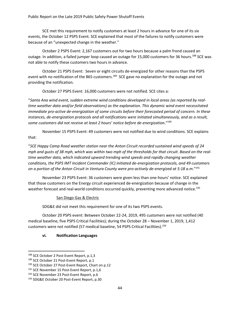SCE met this requirement to notify customers at least 2 hours in advance for one of its six events, the October 12 PSPS Event. SCE explained that most of the failures to notify customers were because of an "unexpected change in the weather."

October 2 PSPS Event: 2,167 customers out for two hours because a palm frond caused an outage. In addition, a failed jumper loop caused an outage for 15,000 customers for 36 hours.<sup>188</sup> SCE was not able to notify these customers two hours in advance.

October 21 PSPS Event: Seven or eight circuits de-energized for other reasons than the PSPS event with no notification of the 865 customers.<sup>189</sup> SCE gave no explanation for the outage and not providing the notification.

October 27 PSPS Event: 16,000 customers were not notified. SCE cites a:

"*Santa Ana wind event, sudden extreme wind conditions developed in local areas (as reported by realtime weather data and/or field observations) as the explanation. This dynamic wind event necessitated immediate pro-active de-energization of some circuits before their forecasted period of concern. In these instances, de-energization protocols and all notifications were initiated simultaneously, and as a result, some customers did not receive at least 2 hours' notice before de-energization*."<sup>190</sup>

November 15 PSPS Event: 49 customers were not notified due to wind conditions. SCE explains that:

"*SCE Happy Camp Road weather station near the Anton Circuit recorded sustained wind speeds of 24 mph and gusts of 38 mph, which was within two mph of the thresholds for that circuit. Based on the realtime weather data, which indicated upward trending wind speeds and rapidly changing weather conditions, the PSPS IMT Incident Commander (IC) initiated de-energization protocols, and 49 customers on a portion of the Anton Circuit in Ventura County were pro-actively de-energized at 5:18 a.m*."<sup>191</sup>

November 23 PSPS Event: 36 customers were given less than one-hours' notice. SCE explained that those customers on the Energy circuit experienced de-energization because of change in the weather forecast and real-world conditions occurred quickly, preventing more advanced notice.<sup>192</sup>

#### San Diego Gas & Electric

SDG&E did not meet this requirement for one of its two PSPS events.

October 20 PSPS event: Between October 22-24, 2019, 495 customers were not notified (40 medical baseline, five PSPS Critical Facilities); during the October 28 – November 1, 2019, 1,412 customers were not notified (57 medical baseline, 54 PSPS Critical Facilities). 193

#### **vi. Notification Languages**

<sup>188</sup> SCE October 2 Post-Event Report, p.1,3

<sup>189</sup> SCE October 21 Post-Event Report, p.1

<sup>&</sup>lt;sup>190</sup> SCE October 27 Post-Event Report, Chart on p.12

<sup>&</sup>lt;sup>191</sup> SCE November 15 Post-Event Report, p.1,6

<sup>&</sup>lt;sup>192</sup> SCE November 23 Post-Event Report, p.6

<sup>193</sup> SDG&E October 20 Post-Event Report, p.30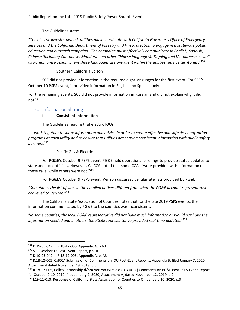The Guidelines state:

"*The electric investor owned- utilities must coordinate with California Governor's Office of Emergency Services and the California Department of Forestry and Fire Protection to engage in a statewide public education and outreach campaign. The campaign must effectively communicate in English, Spanish, Chinese (including Cantonese, Mandarin and other Chinese languages), Tagalog and Vietnamese as well as Korean and Russian where those languages are prevalent within the utilities' service territories*." 194

## Southern California Edison

SCE did not provide information in the required eight languages for the first event. For SCE's October 10 PSPS event, it provided information in English and Spanish only.

For the remaining events, SCE did not provide information in Russian and did not explain why it did not. 195

## C. Information Sharing

## **i. Consistent Information**

The Guidelines require that electric IOUs:

*"… work together to share information and advice in order to create effective and safe de-energization programs at each utility and to ensure that utilities are sharing consistent information with public safety partners.<sup>196</sup>*

## Pacific Gas & Electric

For PG&E's October 9 PSPS event, PG&E held operational briefings to provide status updates to state and local officials. However, CalCCA noted that some CCAs "were provided with information on these calls, while others were not."<sup>197</sup>

For PG&E's October 9 PSPS event, Verizon discussed cellular site lists provided by PG&E:

"*Sometimes the list of sites in the emailed notices differed from what the PG&E account representative conveyed to Verizon*." 198

The California State Association of Counties notes that for the late 2019 PSPS events, the information communicated by PG&E to the counties was inconsistent:

"*In some counties, the local PG&E representative did not have much information or would not have the information needed and in others, the PG&E representative provided real-time updates.*" 199

<sup>194</sup> D.19-05-042 in R.18-12-005, Appendix A, p.A3

<sup>&</sup>lt;sup>195</sup> SCE October 12 Post-Event Report, p.9-10

<sup>196</sup> D.19-05-042 in R.18-12-005, Appendix A, p. A3

<sup>197</sup> R.18-12-005, CalCCA Submission of Comments on IOU Post-Event Reports, Appendix B, filed January 7, 2020, Attachment dated November 19, 2019, p.3

<sup>198</sup> R.18-12-005, Cellco Partnership d/b/a Verizon Wireless (U 3001 C) Comments on PG&E Post-PSPS Event Report for October 9-10, 2019, filed January 7, 2020, Attachment A, dated November 12, 2019, p.2

<sup>&</sup>lt;sup>199</sup> I.19-11-013, Response of California State Association of Counties to OII, January 10, 2020, p.3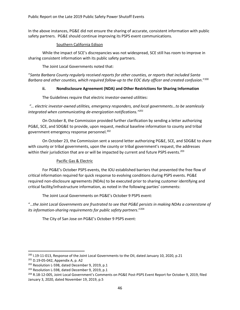In the above instances, PG&E did not ensure the sharing of accurate, consistent information with public safety partners. PG&E should continue improving its PSPS event communications.

#### Southern California Edison

While the impact of SCE's discrepancies was not widespread, SCE still has room to improve in sharing consistent information with its public safety partners.

The Joint Local Governments noted that:

"*Santa Barbara County regularly received reports for other counties, or reports that included Santa Barbara and other counties, which required follow-up to the EOC duty officer and created confusion*."<sup>200</sup>

#### **ii. Nondisclosure Agreement (NDA) and Other Restrictions for Sharing Information**

The Guidelines require that electric investor-owned utilities:

*"… electric investor-owned utilities, emergency responders, and local governments…to be seamlessly integrated when communicating de-energization notifications."<sup>201</sup>*

On October 8, the Commission provided further clarification by sending a letter authorizing PG&E, SCE, and SDG&E to provide, upon request, medical baseline information to county and tribal government emergency response personnel.<sup>202</sup>

On October 23, the Commission sent a second letter authorizing PG&E, SCE, and SDG&E to share with county or tribal governments, upon the county or tribal government's request, the addresses within their jurisdiction that are or will be impacted by current and future PSPS events.<sup>203</sup>

#### Pacific Gas & Electric

For PG&E's October PSPS events, the IOU established barriers that prevented the free flow of critical information required for quick response to evolving conditions during PSPS events. PG&E required non-disclosure agreements (NDAs) to be executed prior to sharing customer identifying and critical facility/infrastructure information, as noted in the following parties' comments:

The Joint Local Governments on PG&E's October 9 PSPS event:

"…*the Joint Local Governments are frustrated to see that PG&E persists in making NDAs a cornerstone of its information-sharing requirements for public safety partners*." 204

The City of San Jose on PG&E's October 9 PSPS event:

<sup>&</sup>lt;sup>200</sup> I.19-11-013, Response of the Joint Local Governments to the OII, dated January 10, 2020, p.21

<sup>201</sup> D.19-05-042, Appendix A, p. A2

<sup>&</sup>lt;sup>202</sup> Resolution L-598, dated December 9, 2019, p.1

<sup>&</sup>lt;sup>203</sup> Resolution L-598, dated December 9, 2019, p.1

<sup>204</sup> R.18-12-005, Joint Local Government's Comments on PG&E Post-PSPS Event Report for October 9, 2019, filed January 3, 2020, dated November 19, 2019, p.5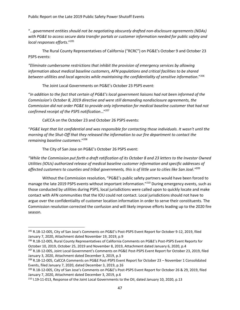"…*government entities should not be negotiating obscurely drafted non-disclosure agreements (NDAs) with PG&E to access secure data transfer portals or customer information needed for public safety and local responses efforts*." 205

The Rural County Representatives of California ("RCRC") on PG&E's October 9 and October 23 PSPS events:

*"Eliminate cumbersome restrictions that inhibit the provision of emergency services by allowing information about medical baseline customers, AFN populations and critical facilities to be shared between utilities and local agencies while maintaining the confidentiality of sensitive information*." 206

The Joint Local Governments on PG&E's October 23 PSPS event:

"*In addition to the fact that certain of PG&E's local government liaisons had not been informed of the Commission's October 8, 2019 directive and were still demanding nondisclosure agreements, the Commission did not order PG&E to provide only information for medical baseline customer that had not confirmed receipt of the PSPS notification*…" 207

CalCCA on the October 23 and October 26 PSPS events:

"*PG&E kept that list confidential and was responsible for contacting those individuals. It wasn't until the morning of the Shut-Off that they released the information to our fire department to contact the remaining baseline customers*." 208

The City of San Jose on PG&E's October 26 PSPS event:

*"While the Commission put forth a draft ratification of its October 8 and 23 letters to the Investor Owned Utilities (IOUs) authorized release of medical baseline customer information and specific addresses of affected customers to counties and tribal governments, this is of little use to cities like San José."* 209

Without the Commission resolution, "PG&E's public safety partners would have been forced to manage the late 2019 PSPS events without important information."<sup>210</sup> During emergency events, such as those conducted by utilities during PSPS, local jurisdictions were called upon to quickly locate and make contact with AFN communities that the IOU could not contact. Local jurisdictions should not have to argue over the confidentiality of customer location information in order to serve their constituents. The Commission resolution corrected the confusion and will likely improve efforts leading up to the 2020 fire season.

<sup>206</sup> R.18-12-005, Rural County Representatives of California Comments on PG&E's Post-PSPS Event Reports for October 10, 2019, October 25, 2019 and November 8, 2019, Attachment dated January 6, 2020, p.4

<sup>205</sup> R.18-12-005, City of San Jose's Comments on PG&E's Post-PSPS Event Report for October 9-12, 2019, filed January 7, 2020, Attachment dated November 19, 2019, p.9

<sup>207</sup> R.18-12-005, Joint Local Government's Comments on PG&E Post-PSPS Event Report for October 23, 2019, filed January 3, 2020, Attachment dated December 3, 2019, p.3

<sup>208</sup> R.18-12-005, CalCCA Comments on PG&E Post-PSPS Event Report for October 23 – November 1 Consolidated Events, filed January 7, 2020, dated December 3, 2019, p.16

<sup>209</sup> R.18-12-005, City of San Jose's Comments on PG&E's Post-PSPS Event Report for October 26 & 29, 2019, filed January 7, 2020, Attachment dated December 3, 2019, p.6

<sup>&</sup>lt;sup>210</sup> I.19-11-013, Response of the Joint Local Governments to the OII, dated January 10, 2020, p.13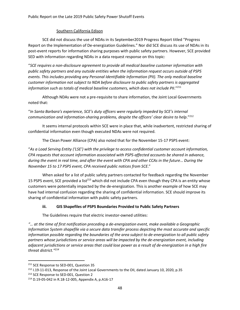## Southern California Edison

SCE did not discuss the use of NDAs in its September2019 Progress Report titled "Progress Report on the Implementation of De-energization Guidelines." Nor did SCE discuss its use of NDAs in its post-event reports for information sharing purposes with public safety partners. However, SCE provided SED with information regarding NDAs in a data request response on this topic:

"*SCE requires a non-disclosure agreement to provide all medical baseline customer information with public safety partners and any outside entities when the information request occurs outside of PSPS events. This includes providing any Personal Identifiable Information (PII). The only medical baseline customer information not subject to NDA before disclosure to public safety partners is aggregated*  information such as totals of medical baseline customers, which does not include PII."<sup>211</sup>

Although NDAs were not a pre-requisite to share information, the Joint Local Governments noted that:

## "*In Santa Barbara's experience, SCE's duty officers were regularly impeded by SCE's internal communication and information-sharing problems, despite the officers' clear desire to help*."<sup>212</sup>

It seems internal protocols within SCE were in place that, while inadvertent, restricted sharing of confidential information even though executed NDAs were not required.

The Clean Power Alliance (CPA) also noted that for the November 15-17 PSPS event:

"*As a Load Serving Entity ('LSE') with the privilege to access confidential customer account information, CPA requests that account information associated with PSPS-affected accounts be shared in advance, during the event in real time, and after the event with CPA and other CCAs in the future*… *During the November 15 to 17 PSPS event, CPA received public notices from SCE*."

When asked for a list of public safety partners contacted for feedback regarding the November 15 PSPS event, SCE provided a list<sup>213</sup> which did not include CPA even though they CPA is an entity whose customers were potentially impacted by the de-energization. This is another example of how SCE may have had internal confusion regarding the sharing of confidential information. SCE should improve its sharing of confidential information with public safety partners.

## **iii. GIS Shapefiles of PSPS Boundaries Provided to Public Safety Partners**

The Guidelines require that electric investor-owned utilities:

*"… at the time of first notification preceding a de-energization event, make available a Geographic Information System shapefile via a secure data transfer process depicting the most accurate and specific information possible regarding the boundaries of the area subject to de-energization to all public safety partners whose jurisdictions or service areas will be impacted by the de-energization event, including adjacent jurisdictions or service areas that could lose power as a result of de-energization in a high fire threat district." 214*

<sup>&</sup>lt;sup>211</sup> SCE Response to SED-001, Question 35

<sup>&</sup>lt;sup>212</sup> I.19-11-013, Response of the Joint Local Governments to the OII, dated January 10, 2020, p.35

<sup>&</sup>lt;sup>213</sup> SCE Response to SED-001, Question 2

<sup>214</sup> D.19-05-042 in R.18-12-005, Appendix A, p.A16-17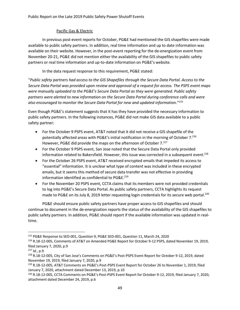#### Pacific Gas & Electric

In previous post-event reports for October, PG&E had mentioned the GIS shapefiles were made available to public safety partners. In addition, real time information and up to date information was available on their website. However, in the post-event reporting for the de-energization event from November 20-21, PG&E did not mention either the availability of the GIS shapefiles to public safety partners or real time information and up-to-date information on PG&E's website.

In the data request response to this requirement, PG&E stated:

"*Public safety partners had access to the GIS Shapefiles through the Secure Data Portal. Access to the Secure Data Portal was provided upon review and approval of a request for access. The PSPS event maps were manually uploaded to the PG&E's Secure Data Portal as they were generated. Public safety partners were alerted to new information on the Secure Data Portal during conference calls and were also encouraged to monitor the Secure Data Portal for new and updated informatio*n."<sup>215</sup>

Even though PG&E's statement suggests that it has they have provided the necessary information to public safety partners. In the following instances, PG&E did not make GIS data available to a public safety partner:

- For the October 9 PSPS event, AT&T noted that it did not receive a GIS shapefile of the potentially affected areas with PG&E's initial notification in the morning of October 7. 216 However, PG&E did provide the maps on the afternoon of October 7.<sup>217</sup>
- For the October 9 PSPS event, San Jose noted that the Secure Data Portal only provided information related to Bakersfield. However, this issue was corrected in a subsequent event.<sup>218</sup>
- For the October 26 PSPS event, AT&T received encrypted emails that impeded its access to "essential" information. It is unclear what type of content was included in these encrypted emails, but it seems this method of secure data transfer was not effective in providing information identified as confidential to PG&E. 219
- For the November 20 PSPS event, CCTA claims that its members were not provided credentials to log into PG&E's Secure Data Portal. As public safety partners, CCTA highlights its request made to PG&E on its July 8, 2019 letter requesting login credentials for its secure web portal.<sup>220</sup>

PG&E should ensure public safety partners have proper access to GIS shapefiles and should continue to document in the de-energization reports the status of the availability of the GIS shapefiles to public safety partners. In addition, PG&E should report if the available information was updated in realtime.

<sup>215</sup> PG&E Response to SED-001, Question 9, PG&E SED-001, Question 11, March 24, 2020

<sup>216</sup> R.18-12-005, Comments of AT&T on Amended PG&E Report for October 9-12 PSPS, dated November 19, 2019, filed January 7, 2020, p.9

<sup>217</sup> *Id.*, p.9

<sup>218</sup> R.18-12-005, City of San Jose's Comments on PG&E's Post-PSPS Event Report for October 9-12, 2019, dated November 19, 2019, filed January 7, 2020, p.9

<sup>219</sup> R.18-12-005, AT&T Comments on PG&E's Post-PSPS Event Report for October 26 to November 1, 2019, filed January 7, 2020, attachment dated December 13, 2019, p.10

<sup>220</sup> R.18-12-005, CCTA Comments on PG&E's Post-PSPS Event Report for October 9-12, 2019, filed January 7, 2020, attachment dated December 24, 2019, p.6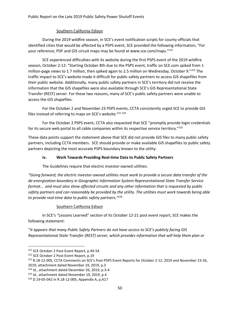### Southern California Edison

During the 2019 wildfire season, in SCE's event notification scripts for county officials that identified cities that would be affected by a PSPS event, SCE provided the following information, "For your reference, PDF and GIS circuit maps may be found at www.sce.com/maps."<sup>221</sup>

SCE experienced difficulties with its website during the first PSPS event of the 2019 wildfire season, October 2-12: "Starting October 8th due to the PSPS event, traffic on SCE.com spiked from 1 million-page views to 1.7 million, then spiked again to 2.5 million on Wednesday, October 9."<sup>222</sup> The traffic impact to SCE's website made it difficult for public safety partners to access GIS shapefiles from their public website. Additionally, many public safety partners in SCE's territory did not receive the information that the GIS shapefiles were also available through SCE's GIS Representational State Transfer (REST) server. For these two reasons, many of SCE's public safety partners were unable to access the GIS shapefiles.

For the October 2 and November 23 PSPS events, CCTA consistently urged SCE to provide GIS files instead of referring to maps on SCE's website.<sup>223 224</sup>

For the October 2 PSPS event, CCTA also requested that SCE "promptly provide login credentials for its secure web portal to all cable companies within its respective service territory."<sup>225</sup>

These data points support the statement above that SCE did not provide GIS files to many public safety partners, including CCTA members. SCE should provide or make available GIS shapefiles to public safety partners depicting the most accurate PSPS boundary known to the utility.

## **iv. Work Towards Providing Real-time Data to Public Safety Partners**

The Guidelines require that electric investor-owned utilities:

*"Going forward, the electric investor-owned utilities must work to provide a secure data transfer of the de-energization boundary in Geographic Information System Representational State Transfer Service format… and must also show affected circuits and any other information that is requested by public safety partners and can reasonably be provided by the utility. The utilities must work towards being able to provide real-time data to public safety partners."<sup>226</sup>*

#### Southern California Edison

In SCE's "Lessons Learned" section of its October 12-21 post event report, SCE makes the following statement:

"*It appears that many Public Safety Partners do not have access to SCE's publicly facing GIS Representational State Transfer (REST) server, which provides information that will help them plan or* 

<sup>221</sup> SCE October 2 Post-Event Report, p.49-54

<sup>&</sup>lt;sup>222</sup> SCE October 2 Post-Event Report, p.19

<sup>&</sup>lt;sup>223</sup> R.18-12-005, CCTA Comments on SCE's Post-PSPS Event Reports for October 2-12, 2019 and November 23-26,

<sup>2019,</sup> attachment dated November 19, 2019, p.3

<sup>224</sup> *Id.*, attachment dated December 26, 2019, p.3-4

<sup>225</sup> *Id.*, attachment dated November 19, 2019, p.4

<sup>226</sup> D.19-05-042 in R.18-12-005, Appendix A, p.A17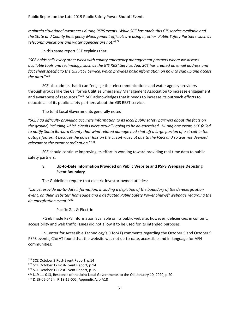*maintain situational awareness during PSPS events. While SCE has made this GIS service available and the State and County Emergency Management officials are using it, other 'Public Safety Partners' such as telecommunications and water agencies are not*."<sup>227</sup>

In this same report SCE explains that:

"*SCE holds calls every other week with county emergency management partners where we discuss available tools and technology, such as the GIS REST Service. And SCE has created an email address and fact sheet specific to the GIS REST Service, which provides basic information on how to sign up and access the data*."<sup>228</sup>

SCE also admits that it can "engage the telecommunications and water agency providers through groups like the California Utilities Emergency Management Association to increase engagement and awareness of resources."<sup>229</sup> SCE acknowledges that it needs to increase its outreach efforts to educate all of its public safety partners about the GIS REST service.

The Joint Local Governments generally noted:

"*SCE had difficulty providing accurate information to its local public safety partners about the facts on the ground, including which circuits were actually going to be de-energized…During one event, SCE failed to notify Santa Barbara County that wind-related damage had shut off a large portion of a circuit in the outage footprint because the power loss on the circuit was not due to the PSPS and so was not deemed relevant to the event coordination*." 230

SCE should continue improving its effort in working toward providing real-time data to public safety partners.

## **v. Up-to-Date Information Provided on Public Website and PSPS Webpage Depicting Event Boundary**

The Guidelines require that electric investor-owned utilities:

*"…must provide up-to-date information, including a depiction of the boundary of the de-energization event, on their websites' homepage and a dedicated Public Safety Power Shut-off webpage regarding the de-energization event."<sup>231</sup>* 

#### Pacific Gas & Electric

PG&E made PSPS information available on its public website; however, deficiencies in content, accessibility and web traffic issues did not allow it to be used for its intended purposes.

In Center for Accessible Technology's (CforAT) comments regarding the October 5 and October 9 PSPS events, CforAT found that the website was not up-to-date, accessible and in-language for AFN communities:

<sup>&</sup>lt;sup>227</sup> SCE October 2 Post-Event Report, p.14

<sup>&</sup>lt;sup>228</sup> SCE October 12 Post-Event Report, p.14

<sup>&</sup>lt;sup>229</sup> SCE October 12 Post-Event Report, p.15

<sup>&</sup>lt;sup>230</sup> I.19-11-013, Response of the Joint Local Governments to the OII, January 10, 2020, p.20

<sup>231</sup> D.19-05-042 in R.18-12-005, Appendix A, p.A18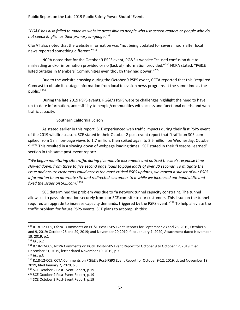"*PG&E has also failed to make its website accessible to people who use screen readers or people who do not speak English as their primary language*." 232

CforAT also noted that the website information was "not being updated for several hours after local news reported something different."<sup>233</sup>

NCPA noted that for the October 9 PSPS event, PG&E's website "caused confusion due to misleading and/or information provided or no (lack of) information provided."<sup>234</sup> NCPA stated: "PG&E listed outages in Members' Communities even though they had power."<sup>235</sup>

Due to the website crashing during the October 9 PSPS event, CCTA reported that this "required Comcast to obtain its outage information from local television news programs at the same time as the public."<sup>236</sup>

During the late 2019 PSPS events, PG&E's PSPS website challenges highlight the need to have up-to-date information, accessibility to people/communities with access and functional needs, and web traffic capacity.

#### Southern California Edison

As stated earlier in this report, SCE experienced web traffic impacts during their first PSPS event of the 2019 wildfire season. SCE stated in their October 2 post-event report that "traffic on SCE.com spiked from 1 million-page views to 1.7 million, then spiked again to 2.5 million on Wednesday, October 9."<sup>237</sup> This resulted in a slowing down of webpage loading times. SCE stated in their "Lessons Learned" section in this same post-event report:

"*We began monitoring site traffic during five-minute increments and noticed the site's response time slowed down, from three to five second page loads to page loads of over 30 seconds. To mitigate the issue and ensure customers could access the most critical PSPS updates, we moved a subset of our PSPS information to an alternate site and redirected customers to it while we increased our bandwidth and fixed the issues on SCE.com*."<sup>238</sup>

SCE determined the problem was due to "a network tunnel capacity constraint. The tunnel allows us to pass information securely from our SCE.com site to our customers. This issue on the tunnel required an upgrade to increase capacity demands, triggered by the PSPS event."<sup>239</sup> To help alleviate the traffic problem for future PSPS events, SCE plans to accomplish this:

<sup>&</sup>lt;sup>232</sup> R.18-12-005, CforAT Comments on PG&E Post-PSPS Event Reports for September 23 and 25, 2019; October 5 and 9, 2019; October 26 and 29, 2019; and November 20,2019, filed January 7, 2020, Attachment dated November 19, 2019, p.1

<sup>233</sup> *Id.*, p.2

<sup>&</sup>lt;sup>234</sup> R.18-12-005, NCPA Comments on PG&E Post-PSPS Event Report for October 9 to October 12, 2019, filed December 31, 2019, letter dated November 19, 2019, p.3

<sup>235</sup> *Id.*, p.3

<sup>&</sup>lt;sup>236</sup> R.18-12-005, CCTA Comments on PG&E's Post-PSPS Event Report for October 9-12, 2019, dated November 19, 2019, filed January 7, 2020, p.3

<sup>&</sup>lt;sup>237</sup> SCE October 2 Post-Event Report, p.19

<sup>&</sup>lt;sup>238</sup> SCE October 2 Post-Event Report, p.19

<sup>&</sup>lt;sup>239</sup> SCE October 2 Post-Event Report, p.19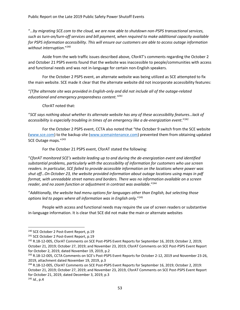"…*by migrating SCE.com to the cloud, we are now able to shutdown non-PSPS transactional services, such as turn-on/turn-off services and bill payment, when required to make additional capacity available for PSPS information accessibility. This will ensure our customers are able to access outage information without interruption*."<sup>240</sup>

Aside from the web traffic issues described above, CforAT's comments regarding the October 2 and October 21 PSPS events found that the website was inaccessible to people/communities with access and functional needs and was not in-language for certain non-English speakers.

For the October 2 PSPS event, an alternate website was being utilized as SCE attempted to fix the main website. SCE made it clear that the alternate website did not incorporate accessibility features:

"*[T]he alternate site was provided in English-only and did not include all of the outage-related educational and emergency preparedness content." 241*

CforAT noted that:

"*SCE says nothing about whether its alternate website has any of these accessibility features…lack of accessibility is especially troubling in times of an emergency like a de-energization event*." 242

For the October 2 PSPS event, CCTA also noted that "the October 9 switch from the SCE website [\(www.sce.com\)](http://www.sce.com/) to the backup site [\(www.scemaintenance.com\)](http://www.scemaintenance.com/) prevented them from obtaining updated SCE Outage maps."<sup>243</sup>

For the October 21 PSPS event, CforAT stated the following:

"*CforAT monitored SCE's website leading up to and during the de-energization event and identified substantial problems, particularly with the accessibility of information for customers who use screen readers. In particular, SCE failed to provide accessible information on the locations where power was shut off…On October 23, the website provided information about outage locations using maps in pdf format, with unreadable street names and borders. There was no information available on a screen reader, and no zoom function or adjustment in contrast was available*." 244

"*Additionally, the website had menu options for languages other than English, but selecting those options led to pages where all information was in English only*."<sup>245</sup>

People with access and functional needs may require the use of screen readers or substantive in-language information. It is clear that SCE did not make the main or alternate websites

<sup>&</sup>lt;sup>240</sup> SCE October 2 Post-Event Report, p.19

<sup>&</sup>lt;sup>241</sup> SCE October 2 Post-Event Report, p.19

<sup>&</sup>lt;sup>242</sup> R.18-12-005, CforAT Comments on SCE Post-PSPS Event Reports for September 16, 2019; October 2, 2019; October 21, 2019; October 27, 2019; and November 23, 2019, CforAT Comments on SCE Post-PSPS Event Report for October 2, 2019, dated November 19, 2019, p.2

<sup>&</sup>lt;sup>243</sup> R.18-12-005, CCTA Comments on SCE's Post-PSPS Event Reports for October 2-12, 2019 and November 23-26, 2019, attachment dated November 19, 2019, p.3

<sup>244</sup> R.18-12-005, CforAT Comments on SCE Post-PSPS Event Reports for September 16, 2019; October 2, 2019: October 21, 2019; October 27, 2019; and November 23, 2019, CforAT Comments on SCE Post-PSPS Event Report for October 21, 2019, dated December 3, 2019, p.3

<sup>245</sup> *Id.*, p.4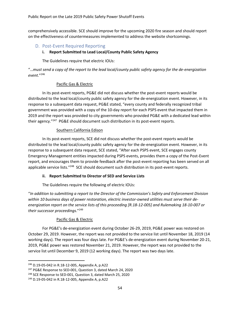comprehensively accessible. SCE should improve for the upcoming 2020 fire season and should report on the effectiveness of countermeasures implemented to address the website shortcomings.

## D. Post-Event Required Reporting

#### **i. Report Submitted to Lead Local/County Public Safety Agency**

The Guidelines require that electric IOUs:

"…*must send a copy of the report to the lead local/county public safety agency for the de-energization event*."<sup>246</sup>

#### Pacific Gas & Electric

In its post-event reports, PG&E did not discuss whether the post-event reports would be distributed to the lead local/county public safety agency for the de-energization event. However, in its response to a subsequent data request, PG&E stated, "every county and federally recognized tribal government was provided with a copy of the 10-day report for each PSPS event that impacted them in 2019 and the report was provided to city governments who provided PG&E with a dedicated lead within their agency."<sup>247</sup> PG&E should document such distribution in its post-event reports.

#### Southern California Edison

In its post-event reports, SCE did not discuss whether the post-event reports would be distributed to the lead local/county public safety agency for the de-energization event. However, in its response to a subsequent data request, SCE stated, "After each PSPS event, SCE engages county Emergency Management entities impacted during PSPS events, provides them a copy of the Post-Event report, and encourages them to provide feedback after the post-event reporting has been served on all applicable service lists."<sup>248</sup> SCE should document such distribution in its post-event reports.

#### **ii. Report Submitted to Director of SED and Service Lists**

The Guidelines require the following of electric IOUs:

"*In addition to submitting a report to the Director of the Commission's Safety and Enforcement Division within 10 business days of power restoration, electric investor-owned utilities must serve their deenergization report on the service lists of this proceeding [R.18-12-005] and Rulemaking 18-10-007 or their successor proceedings*."<sup>249</sup>

#### Pacific Gas & Electric

For PG&E's de-energization event during October 26-29, 2019, PG&E power was restored on October 29, 2019. However, the report was not provided to the service list until November 18, 2019 (14 working days). The report was four days late. For PG&E's de-energization event during November 20-21, 2019, PG&E power was restored November 21, 2019. However, the report was not provided to the service list until December 9, 2019 (12 working days). The report was two days late.

<sup>246</sup> D.19-05-042 in R.18-12-005, Appendix A, p.A22

<sup>&</sup>lt;sup>247</sup> PG&E Response to SED-001, Question 3, dated March 24, 2020

<sup>&</sup>lt;sup>248</sup> SCE Response to SED-001, Question 3, dated March 25, 2020

<sup>249</sup> D.19-05-042 in R.18-12-005, Appendix A, p.A22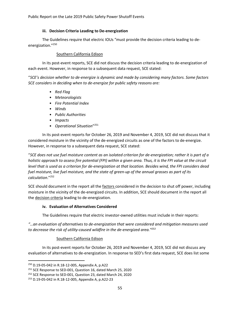Public Report on the Late 2019 Public Safety Power Shutoff Events

#### **iii. Decision Criteria Leading to De-energization**

The Guidelines require that electric IOUs "must provide the decision criteria leading to deenergization." 250

#### Southern California Edison

In its post-event reports, SCE did not discuss the decision criteria leading to de-energization of each event. However, in response to a subsequent data request, SCE stated:

"*SCE's decision whether to de-energize is dynamic and made by considering many factors. Some factors SCE considers in deciding when to de-energize for public safety reasons are:*

- *Red Flag*
- *Meteorologists*
- *Fire Potential Index*
- *Winds*
- *Public Authorities*
- *Impacts*
- *Operational Situation*" 251

In its post-event reports for October 26, 2019 and November 4, 2019, SCE did not discuss that it considered moisture in the vicinity of the de-energized circuits as one of the factors to de-energize. However, in response to a subsequent data request, SCE stated:

"*SCE does not use fuel moisture content as an isolated criterion for de-energization; rather it is part of a holistic approach to assess fire potential (FPI) within a given area. Thus, it is the FPI value at the circuit level that is used as a criterion for de-energization at that location. Besides wind, the FPI considers dead fuel moisture, live fuel moisture, and the state of green-up of the annual grasses as part of its calculation*."<sup>252</sup>

SCE should document in the report all the *factors* considered in the decision to shut off power, including moisture in the vicinity of the de-energized circuits. In addition, SCE should document in the report all the decision criteria leading to de-energization.

#### **iv. Evaluation of Alternatives Considered**

The Guidelines require that electric investor-owned utilities must include in their reports:

*"…an evaluation of alternatives to de-energization that were considered and mitigation measures used to decrease the risk of utility-caused wildfire in the de-energized area."<sup>253</sup>*

#### Southern California Edison

In its post-event reports for October 26, 2019 and November 4, 2019, SCE did not discuss any evaluation of alternatives to de-energization. In response to SED's first data request, SCE does list some

<sup>250</sup> D.19-05-042 in R.18-12-005, Appendix A, p.A22

<sup>&</sup>lt;sup>251</sup> SCE Response to SED-001, Question 16, dated March 25, 2020

<sup>&</sup>lt;sup>252</sup> SCE Response to SED-001, Question 23, dated March 24, 2020

<sup>253</sup> D.19-05-042 in R.18-12-005, Appendix A, p.A22-23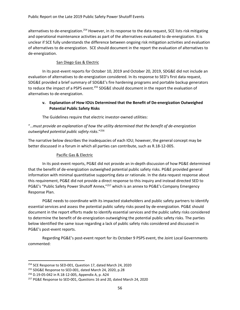alternatives to de-energization.<sup>254</sup> However, in its response to the data request, SCE lists risk mitigating and operational maintenance activities as part of the alternatives evaluated to de-energization. It is unclear if SCE fully understands the difference between ongoing risk mitigation activities and evaluation of alternatives to de-energization. SCE should document in the report the evaluation of alternatives to de-energization.

### San Diego Gas & Electric

In its post-event reports for October 10, 2019 and October 20, 2019, SDG&E did not include an evaluation of alternatives to de-energization considered. In its response to SED's first data request, SDG&E provided a brief summary of SDG&E's fire hardening programs and portable backup generators to reduce the impact of a PSPS event.<sup>255</sup> SDG&E should document in the report the evaluation of alternatives to de-energization.

## **v. Explanation of How IOUs Determined that the Benefit of De-energization Outweighed Potential Public Safety Risks**

The Guidelines require that electric investor-owned utilities:

## "…*must provide an explanation of how the utility determined that the benefit of de-energization outweighed potential public safety risks*." 256

The narrative below describes the inadequacies of each IOU; however, the general concept may be better discussed in a forum in which all parties can contribute, such as R.18-12-005.

## Pacific Gas & Electric

In its post-event reports, PG&E did not provide an in-depth discussion of how PG&E determined that the benefit of de-energization outweighed potential public safety risks. PG&E provided general information with minimal quantitative supporting data or rationale. In the data request response about this requirement, PG&E did not provide a direct response to this inquiry and instead directed SED to PG&E's "Public Safety Power Shutoff Annex,"<sup>257</sup> which is an annex to PG&E's Company Emergency Response Plan.

PG&E needs to coordinate with its impacted stakeholders and public safety partners to identify essential services and assess the potential public safety risks posed by de-energization. PG&E should document in the report efforts made to identify essential services and the public safety risks considered to determine the benefit of de-energization outweighing the potential public safety risks. The parties below identified the same issue regarding a lack of public safety risks considered and discussed in PG&E's post-event reports.

Regarding PG&E's post-event report for its October 9 PSPS event, the Joint Local Governments commented:

<sup>&</sup>lt;sup>254</sup> SCE Response to SED-001, Question 17, dated March 24, 2020

<sup>255</sup> SDG&E Response to SED-001, dated March 24, 2020, p.28

<sup>256</sup> D.19-05-042 in R.18-12-005, Appendix A, p. A24

<sup>257</sup> PG&E Response to SED-001, Questions 16 and 20, dated March 24, 2020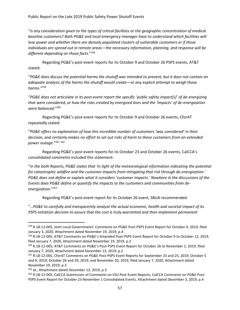"*Is any consideration given to the types of critical facilities or the geographic concentration of medical baseline customers? Both PG&E and local emergency manager have to understand which facilities will lose power and whether there are densely populated clusters of vulnerable customers or if those individuals are spread out in remote areas—the necessary information, planning, and response will be different depending on those facts*."<sup>258</sup>

Regarding PG&E's post-event reports for its October 9 and October 26 PSPS events, AT&T stated:

"*PG&E does discuss the potential harms the shutoff was intended to prevent, but it does not contain an adequate analysis of the harms the shutoff would create—or any explicit attempt to weigh those harms*."<sup>259</sup>

"*PG&E does not articulate in its post-event report the specific 'public safety impact[s]' of de-energizing that were considered, or how the risks created by energized lines and the 'impacts' of de-energization were balanced*."<sup>260</sup>

Regarding PG&E's post-event reports for its October 9 and October 26 events, CforAT repeatedly stated:

"*PG&E offers no explanation of how this incredible number of customers 'was considered' in their decision, and certainly makes no effort to set out risks of harm to these customers from an extended power outage*."<sup>261</sup> <sup>262</sup>

Regarding PG&E's post-event reports for its October 23 and October 26 events, CalCCA's consolidated comments included this statement:

"*In the both Reports, PG&E states that 'in light of the meteorological information indicating the potential for catastrophic wildfire and the customer impacts from mitigating that risk through de-energization.' PG&E does not define or explain what it considers 'customer impacts.' Nowhere in the discussions of the Events does PG&E define or quantify the impacts to the customers and communities from deenergization*."<sup>263</sup>

Regarding PG&E's post-event report for its October 26 event, SBUA recommended:

"…*PG&E to carefully and transparently analyze the actual economic, health and societal impact of its PSPS-initiation decision to assure that the cost is truly warranted and then implement permanent* 

<sup>258</sup> R.18-12-005, Joint Local Governments' Comments on PG&E Post-PSPS Event Report for October 9, 2019, filed January 3, 2020, Attachment dated November 19, 2019, p.4

<sup>259</sup> R.18-12-005, AT&T Comments on PG&E's Amended Post-PSPS Event Report for October 9 to October 12, 2019, filed January 7, 2020, Attachment dated November 19, 2019, p.2

<sup>260</sup> R.18-12-005, AT&T Comments on PG&E's Post-PSPS Event Report for October 26 to November 1, 2019, filed January 7, 2020, Attachment dated December 13, 2019, p.2

<sup>261</sup> R.18-12-005, CforAT Comments on PG&E Post-PSPS Event Reports for September 23 and 25, 2019; October 5 and 9, 2019; October 26 and 29, 2019; and November 20, 2019, filed January 7, 2020, Attachment dated November 19, 2019, p.3

<sup>262</sup> *Id.*, Attachment dated December 13, 2019, p.3

<sup>263</sup> R.18-12-005, CalCCA Submission of Comments on IOU Post-Event Reports, CalCCA Comments on PG&E Post-PSPS Event Report for October 23-November 1 Consolidated Events, Attachment dated December 3, 2019, p.4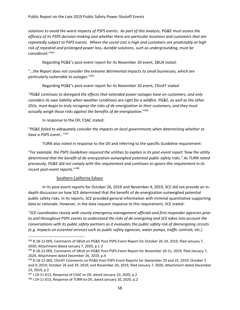*solutions to avoid the worst impacts of PSPS events. As part of this analysis, PG&E must assess the efficacy of its PSPS decision-making and whether there are particular locations and customers that are repeatedly subject to PSPS events. Where the social cost is high and customers are predictably at high risk of repeated and prolonged power loss, durable solutions, such as undergrounding, must be considered*."<sup>264</sup>

Regarding PG&E's post-event report for its November 20 event, SBUA noted:

"…*the Report does not consider the extreme detrimental impacts to small businesses, which are particularly vulnerable to outages*."<sup>265</sup>

Regarding PG&E's post-event report for its November 20 event, CforAT stated:

"*PG&E continues to disregard the effects that extended power outages have on customers, and only considers its own liability when weather conditions are right for a wildfire. PG&E, as well as the other IOUs, must begin to truly recognize the risks of de-energization to their customers, and they must actually weigh those risks against the benefits of de-energization*."<sup>266</sup>

In response to the OII, CSAC stated:

"*PG&E failed to adequately consider the impacts on local governments when determining whether to have a PSPS event*…"<sup>267</sup>

TURN also noted in response to the OII and referring to the specific Guideline requirement:

"*For example, the PSPS Guidelines required the utilities to explain in its post-event report 'how the utility determined that the benefit of de-energization outweighed potential public safety risks." As TURN noted previously, PG&E did not comply with this requirement and continues to ignore this requirement in its recent post-event reports*."<sup>268</sup>

#### Southern California Edison

In its post-event reports for October 26, 2019 and November 4, 2019, SCE did not provide an indepth discussion on how SCE determined that the benefit of de-energization outweighed potential public safety risks. In its reports, SCE provided general information with minimal quantitative supporting data or rationale. However, in the data request response to this requirement, SCE stated:

"*SCE coordinates closely with county emergency management officials and first responder agencies prior to and throughout PSPS events to understand the risks of de-energizing and SCE takes into account the conversations with its public safety partners as it evaluates the public safety risk of deenergizing circuits (e.g. impacts on essential services such as public safety agencies, water pumps, traffic controls, etc.)* 

<sup>&</sup>lt;sup>264</sup> R.18-12-005, Comments of SBUA on PG&E Post-PSPS Event Report for October 26-29, 2019, filed January 7, 2020, Attachment dated January 7, 2020, p.1-2

<sup>&</sup>lt;sup>265</sup> R.18-12-005, Comments of SBUA on PG&E Post-PSPS Event Report for November 20-21, 2019, filed January 7, 2020, Attachment dated December 26, 2019, p.4

<sup>266</sup> R.18-12-005, CforAT Comments on PG&E Post-PSPS Event Reports for September 23 and 25, 2019; October 5 and 9, 2019; October 26 and 29, 2019; and November 20, 2019, filed January 7, 2020, Attachment dated December 23, 2019, p.2

 $267$  I.19-11-013, Response of CSAC to OII, dated January 10, 2020, p.2

<sup>&</sup>lt;sup>268</sup> I.19-11-013, Response of TURN to OII, dated January 10, 2020, p.2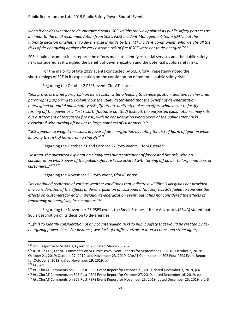*when it decides whether to de-energize circuits. SCE weighs the viewpoint of its public safety partners as an input to the final recommendation from SCE's PSPS Incident Management Team (IMT), but the ultimate decision of whether to de-energize is made by the IMT Incident Commander, who weighs all the risks of de-energizing against the very extreme risk of fire if SCE were not to de-energize*."<sup>269</sup>

SCE should document in its reports the efforts made to identify essential services and the public safety risks considered as it weighed the benefit of de-energization and the potential public safety risks.

For the majority of late 2019 events conducted by SCE, CforAT repeatedly noted the shortcomings of SCE in its explanation on the consideration of potential public safety risks.

Regarding the October 2 PSPS event, CforAT stated:

"*SCE provides a brief paragraph on its 'decision criteria leading to de-energization, and two further brief paragraphs purporting to explain 'how the utility determined that the benefit of de-energization outweighed potential public safety risks,'[footnote omitted] makes no effort whatsoever to justify turning off the power as a 'last resort.'[footnote omitted] Instead, the purported explanation simply sets out a statement of forecasted fire risk, with no consideration whatsoever of the public safety risks associated with turning off power to large numbers of customers*." 270

"*SCE appears to weight the scales in favor of de-energization by noting the risk of harm of ignition while ignoring the risk of harm from a shutoff*."<sup>271</sup>

Regarding the October 21 and October 27 PSPS events, CforAT stated:

"*Instead, the purported explanation simply sets out a statement of forecasted fire risk, with no consideration whatsoever of the public safety risks associated with turning off power to large numbers of customers*…"<sup>272</sup> <sup>273</sup>

Regarding the November 23 PSPS event, CforAT noted:

"*Its continued recitation of various weather conditions that indicate a wildfire is likely has not provided any consideration of the effects of de-energization on customers. Not only has SCE failed to consider the effects on customers for each individual de-energization event, but it has not considered the effects of repeatedly de-energizing its customers*."<sup>274</sup>

Regarding the November 23 PSPS event, the Small Business Utility Advocates (SBUA) stated that SCE's description of its decision to de-energize:

"…*fails to identify consideration of any countervailing risks to public safety that would be created by deenergizing power lines. For instance, was lack of traffic controls at intersections and street lights,* 

<sup>&</sup>lt;sup>269</sup> SCE Response to SED-001, Question 20, dated March 25, 2020

<sup>270</sup> R.18-12-005, CforAT Comments on SCE Post-PSPS Event Reports for September 16, 2019; October 2, 2019: October 21, 2019; October 27, 2019; and November 23, 2019, CforAT Comments on SCE Post-PSPS Event Report for October 2, 2019, dated November 19, 2019, p.4

<sup>271</sup> *Id.*, p.4

<sup>272</sup> *Id.*, CforAT Comments on SCE Post-PSPS Event Report for October 21, 2019, dated December 3, 2019, p.4

<sup>273</sup> *Id.*, CforAT Comments on SCE Post-PSPS Event Report for October 27, 2019, dated December 16, 2019, p.4

<sup>274</sup> *Id.*, CforAT Comments on SCE Post-PSPS Event Report for November 23, 2019, dated December 23, 2019, p.2-3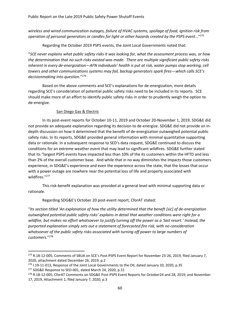*wireless and wired communication outages, failure of HVAC systems, spoilage of food, ignition risk from operation of personal generators or candles for light or other hazards created by the PSPS event*…"<sup>275</sup>

Regarding the October 2019 PSPS events, the Joint Local Governments noted that:

"*SCE never explains what public safety risks it was looking for, what the assessment process was, or how the determination that no such risks existed was made. There are multiple significant public safety risks inherent in every de-energization—AFN individuals' health is put at risk, water pumps stop working, cell towers and other communications systems may fail, backup generators spark fires—which calls SCE's decisionmaking into question*." 276

Based on the above comments and SCE's explanations for de-energization, more details regarding SCE's consideration of potential public safety risks need to be included in its reports. SCE should make more of an effort to identify public safety risks in order to prudently weigh the option to de-energize.

#### San Diego Gas & Electric

In its post-event reports for October 10-11, 2019 and October 20-November 1, 2019, SDG&E did not provide an adequate explanation regarding its decision to de-energize. SDG&E did not provide an indepth discussion on how it determined that the benefit of de-energization outweighed potential public safety risks. In its reports, SDG&E provided general information with minimal quantitative supporting data or rationale. In a subsequent response to SED's data request, SDG&E continued to discuss the conditions for an extreme weather event that may lead to significant wildfires. SDG&E further stated that its "largest PSPS events have impacted less than 10% of the its customers within the HFTD and less than 2% of the overall customer base. And while that in no way diminishes the impacts those customers experience, in SDG&E's experience and even the experience across the state, that the losses that occur with a power outage are nowhere near the potential loss of life and property associated with wildfires." 277

This risk-benefit explanation was provided at a general level with minimal supporting data or rationale.

Regarding SDG&E's October 20 post-event report, CforAT stated:

"*Its section titled 'An explanation of how the utility determined that the beneft [sic] of de-energization outweighed potential public safety risks' explains in detail that weather conditions were right for a wildfire, but makes no effort whatsoever to justify turning off the power as a 'last resort.' Instead, the purported explanation simply sets out a statement of forecasted fire risk, with no consideration whatsoever of the public safety risks associated with turning off power to large numbers of customers*."<sup>278</sup>

<sup>276</sup> I.19-11-013, Response of the Joint Local Governments to the OII, dated January 10, 2020, p.35

<sup>277</sup> SDG&E Response to SED-001, dated March 24, 2020, p.31

<sup>275</sup> R.18-12-005, Comments of SBUA on SCE's Post-PSPS Event Report for November 23-26, 2019, filed January 7, 2020, attachment dated December 26, 2019, p.2

<sup>278</sup> R.18-12-005, CforAT Comments on SDG&E Post-PSPS Event Reports for October24 and 28, 2019; and November 17, 2019, Attachment 1, filed January 7, 2020, p.3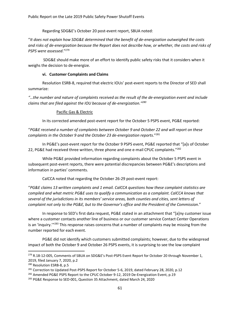Regarding SDG&E's October 20 post-event report, SBUA noted:

"*It does not explain how SDG&E determined that the benefit of de-energization outweighed the costs and risks of de-energization because the Report does not describe how, or whether, the costs and risks of PSPS were assessed*." 279

SDG&E should make more of an effort to identify public safety risks that it considers when it weighs the decision to de-energize.

#### **vi. Customer Complaints and Claims**

Resolution ESRB-8, required that electric IOUs' post-event reports to the Director of SED shall summarize:

*"…the number and nature of complaints received as the result of the de-energization event and include claims that are filed against the IOU because of de-energization."<sup>280</sup>*

## Pacific Gas & Electric

In its corrected amended post-event report for the October 5 PSPS event, PG&E reported:

"*PG&E received a number of complaints between October 9 and October 22 and will report on these complaints in the October 9 and the October 23 de-energization reports*."<sup>281</sup>

In PG&E's post-event report for the October 9 PSPS event, PG&E reported that "[a]s of October 22, PG&E had received three written, three phone and one e-mail CPUC complaints."<sup>282</sup>

While PG&E provided information regarding complaints about the October 5 PSPS event in subsequent post-event reports, there were potential discrepancies between PG&E's descriptions and information in parties' comments.

CalCCA noted that regarding the October 26-29 post-event report:

"*PG&E claims 13 written complaints and 1 email. CalCCA questions how these complaint statistics are compiled and what metric PG&E uses to qualify a communication as a complaint. CalCCA knows that several of the jurisdictions in its members' service areas, both counties and cities, sent letters of complaint not only to the PG&E, but to the Governor's office and the President of the Commission*."

In response to SED's first data request, PG&E stated in an attachment that "[a]ny customer issue where a customer contacts another line of business or our customer service Contact Center Operations is an 'inquiry.'"<sup>283</sup> This response raises concerns that a number of complaints may be missing from the number reported for each event.

PG&E did not identify which customers submitted complaints; however, due to the widespread impact of both the October 9 and October 26 PSPS events, it is surprising to see the low complaint

<sup>&</sup>lt;sup>279</sup> R.18-12-005, Comments of SBUA on SDG&E's Post-PSPS Event Report for October 20 through November 1, 2019, filed January 7, 2020, p.2

<sup>&</sup>lt;sup>280</sup> Resolution ESRB-8, p.5

<sup>&</sup>lt;sup>281</sup> Correction to Updated Post-PSPS Report for October 5-6, 2019, dated February 28, 2020, p.12

<sup>&</sup>lt;sup>282</sup> Amended PG&E PSPS Report to the CPUC October 9-12, 2019 De-Energization Event, p.19

<sup>&</sup>lt;sup>283</sup> PG&E Response to SED-001, Question 35 Attachment, dated March 24, 2020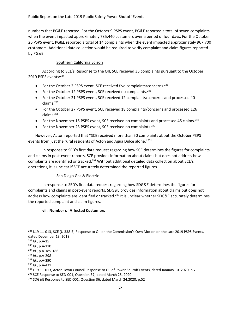numbers that PG&E reported. For the October 9 PSPS event, PG&E reported a total of seven complaints when the event impacted approximately 735,440 customers over a period of four days. For the October 26 PSPS event, PG&E reported a total of 14 complaints when the event impacted approximately 967,700 customers. Additional data collection would be required to verify complaint and claim figures reported by PG&E.

#### Southern California Edison

According to SCE's Response to the OII, SCE received 35 complaints pursuant to the October 2019 PSPS events: 284

- For the October 2 PSPS event, SCE received five complaints/concerns.<sup>285</sup>
- For the October 12 PSPS event, SCE received no complaints. $286$
- For the October 21 PSPS event, SCE received 12 complaints/concerns and processed 40 claims. 287
- For the October 27 PSPS event, SCE received 18 complaints/concerns and processed 126 claims. 288
- For the November 15 PSPS event, SCE received no complaints and processed 45 claims.<sup>289</sup>
- For the November 23 PSPS event, SCE received no complaints.<sup>290</sup>

However, Acton reported that "SCE received more than 50 complaints about the October PSPS events from just the rural residents of Acton and Agua Dulce alone."<sup>291</sup>

In response to SED's first data request regarding how SCE determines the figures for complaints and claims in post-event reports, SCE provides information about claims but does not address how complaints are identified or tracked.<sup>292</sup> Without additional detailed data collection about SCE's operations, it is unclear if SCE accurately determined the reported figures.

#### San Diego Gas & Electric

In response to SED's first data request regarding how SDG&E determines the figures for complaints and claims in post-event reports, SDG&E provides information about claims but does not address how complaints are identified or tracked.<sup>293</sup> It is unclear whether SDG&E accurately determines the reported complaint and claim figures.

#### **vii. Number of Affected Customers**

<sup>&</sup>lt;sup>284</sup> I.19-11-013, SCE (U 338-E) Response to OII on the Commission's Own Motion on the Late 2019 PSPS Events, dated December 13, 2019

<sup>285</sup> *Id.*, p.A-15

<sup>286</sup> *Id.*, p.A-110

<sup>287</sup> *Id.*, p.A-185-186

<sup>288</sup> *Id.*, p.A-298

<sup>289</sup> *Id.*, p.A-390

<sup>290</sup> *Id.*, p.A-431

<sup>&</sup>lt;sup>291</sup> I.19-11-013, Acton Town Council Response to OII of Power Shutoff Events, dated January 10, 2020, p.7

<sup>&</sup>lt;sup>292</sup> SCE Response to SED-001, Question 37, dated March 25, 2020

<sup>&</sup>lt;sup>293</sup> SDG&E Response to SED-001, Question 36, dated March 24,2020, p.52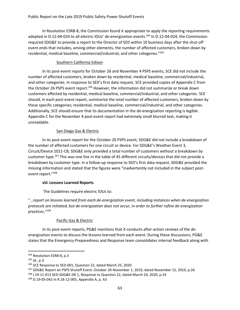In Resolution ESRB-8, the Commission found it appropriate to apply the reporting requirements adopted in D.12-04-024 to all electric IOUs' de-energization events.<sup>294</sup> In D.12-04-024, the Commission required SDG&E to provide a report to the Director of SED within 10 business days after the shut-off event ends that includes, among other elements, the number of affected customers, broken down by residential, medical baseline, commercial/industrial, and other categories."<sup>295</sup>

#### Southern California Edison

In its post-event reports for October 26 and November 4 PSPS events, SCE did not include the number of affected customers, broken down by residential, medical baseline, commercial/industrial, and other categories. In response to SED's first data request, SCE provided copies of Appendix C from the October 26 PSPS event report.<sup>296</sup> However, the information did not summarize or break down customers affected by residential, medical baseline, commercial/industrial, and other categories. SCE should, in each post-event report, summarize the total number of affected customers, broken down by these specific categories; residential, medical baseline, commercial/industrial, and other categories. Additionally, SCE should ensure that its documentation in the de-energization reporting is legible. Appendix C for the November 4 post-event report had extremely small blurred text, making it unreadable.

#### San Diego Gas & Electric

In its post-event report for the October 20 PSPS event, SDG&E did not include a breakdown of the number of affected customers for one circuit or device. For SDG&E's Weather Event 3, Circuit/Device 1021-CB, SDG&E only provided a total number of customers without a breakdown by customer type.<sup>297</sup> This was one line in the table of 45 different circuits/devices that did not provide a breakdown by customer type. In a follow-up response to SED's first data request, SDG&E provided the missing information and stated that the figures were "inadvertently not included in the subject postevent report."<sup>298</sup>

#### **viii. Lessons Learned Reports**

The Guidelines require electric IOUs to:

"…*report on lessons learned from each de-energization event, including instances when de-energization protocols are initiated, but de-energization does not occur, in order to further refine de-energization practices*."<sup>299</sup>

#### Pacific Gas & Electric

In its post-event reports, PG&E mentions that it conducts after-action reviews of the deenergization events to discuss the lessons learned from each event. During these discussions, PG&E states that the Emergency Preparedness and Response team consolidates internal feedback along with

<sup>&</sup>lt;sup>294</sup> Resolution ESRB-8, p.3

<sup>295</sup> *Id.*, p.3

<sup>&</sup>lt;sup>296</sup> SCE Response to SED-001, Question 22, dated March 25, 2020

<sup>297</sup> SDG&E Report on PSPS Shutoff Event: October 20-November 1, 2019, dated November 15, 2019, p.26

 $298$  1.19-11-013 SED-SDG&E DR 1, Response to Question 22, dated March 24, 2020, p.33

<sup>299</sup> D.19-05-042 in R.18-12-005, Appendix A, p. A3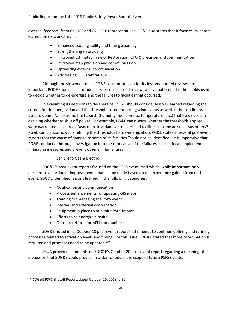external feedback from Cal OES and CAL FIRE representatives. PG&E also states that it focuses its lessons learned on six workstreams:

- Enhanced scoping ability and timing accuracy
- Strengthening data quality
- Improved Estimated Time of Restoration (ETOR) precision and communication
- Improved map precision and communication
- Optimizing external communication
- Addressing EOC staff fatigue

Although the six workstreams PG&E concentrates on for its lessons learned reviews are important, PG&E should also include in its lessons learned reviews an evaluation of the thresholds used to decide whether to de-energize and the failures to facilities that occurred.

In evaluating its decisions to de-energize, PG&E should consider lessons learned regarding the criteria for de-energization and the thresholds used for strong wind events as well as the conditions used to define "an extreme fire hazard" (humidity, fuel dryness, temperature, etc.) that PG&E used in deciding whether to shut off power. For example, PG&E can discuss whether the thresholds applied were warranted in all areas. Was there less damage to overhead facilities in some areas versus others? PG&E can discuss how it is refining the thresholds for de-energization. PG&E states in several post-event reports that the cause of damage to some of its facilities "could not be identified." It is imperative that PG&E conduct a thorough investigation into the root cause of the failures, so that it can implement mitigating measures and prevent other similar failures.

#### San Diego Gas & Electric

SDG&E's post-event reports focused on the PSPS event itself which, while important, only pertains to a portion of improvements that can be made based on the experience gained from each event. SDG&E identified lessons learned in the following categories:

- Notification and communication
- Process enhancements for updating GIS maps
- Training for managing the PSPS event
- Internal and external coordination
- Equipment in place to minimize PSPS impact
- Efforts to re-energize circuits
- Outreach efforts for AFN communities

SDG&E noted in its October 10 post-event report that it needs to continue defining and refining processes related to activation levels and timing. For this issue, SDG&E stated that more coordination is required and processes need to be updated.<sup>300</sup>

SBUA provided comments on SDG&E's October 20 post-event report regarding a meaningful discussion that SDG&E could provide in order to reduce the scope of future PSPS events:

<sup>300</sup> SDG&E PSPS Shutoff Report, dated October 25, 2019, p.35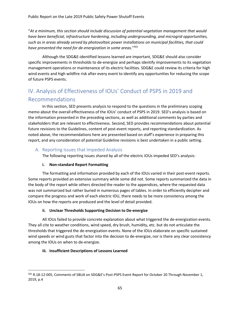"*At a minimum, this section should include discussion of potential vegetation management that would have been beneficial, infrastructure hardening, including undergrounding, and microgrid opportunities, such as in areas already served by photovoltaic power installations on municipal facilities, that could have prevented the need for de-energization in some areas*."<sup>301</sup>

Although the SDG&E-identified lessons learned are important, SDG&E should also consider specific improvements in thresholds to de-energize and perhaps identify improvements to its vegetation management operations or maintenance of its electric facilities. SDG&E could review its criteria for high wind events and high wildfire risk after every event to identify any opportunities for reducing the scope of future PSPS events.

# IV. Analysis of Effectiveness of IOUs' Conduct of PSPS in 2019 and Recommendations

In this section, SED presents analysis to respond to the questions in the preliminary scoping memo about the overall effectiveness of the IOUs' conduct of PSPS in 2019. SED's analysis is based on the information presented in the preceding sections, as well as additional comments by parties and stakeholders that are relevant to effectiveness. Second, SED provides recommendations about potential future revisions to the Guidelines, content of post-event reports, and reporting standardization. As noted above, the recommendations here are presented based on staff's experience in preparing this report, and any consideration of potential Guideline revisions is best undertaken in a public setting.

## A. Reporting Issues that Impeded Analysis

The following reporting issues shared by all of the electric IOUs impeded SED's analysis:

## **i. Non-standard Report Formatting**

The formatting and information provided by each of the IOUs varied in their post-event reports. Some reports provided an extensive summary while some did not. Some reports summarized the data in the body of the report while others directed the reader to the appendices, where the requested data was not summarized but rather buried in numerous pages of tables. In order to efficiently decipher and compare the progress and work of each electric IOU, there needs to be more consistency among the IOUs on how the reports are produced and the level of detail provided.

#### **ii. Unclear Thresholds Supporting Decision to De-energize**

All IOUs failed to provide concrete explanation about what triggered the de-energization events. They all cite to weather conditions, wind speed, dry brush, humidity, etc. but do not articulate the thresholds that triggered the de-energization events. None of the IOUs elaborate on specific sustained wind speeds or wind gusts that factor into the decision to de-energize, nor is there any clear consistency among the IOUs on when to de-energize.

## **iii. Insufficient Descriptions of Lessons Learned**

<sup>301</sup> R.18-12-005, Comments of SBUA on SDG&E's Post-PSPS Event Report for October 20 Through November 1, 2019, p.4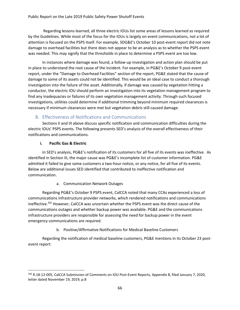Regarding lessons learned, all three electric IOUs list some areas of lessons learned as required by the Guidelines. While most of the focus for the IOUs is largely on event communications, not a lot of attention is focused on the PSPS itself. For example, SDG&E's October 10 post-event report did not note damage to overhead facilities but there does not appear to be an analysis as to whether the PSPS event was needed. This may signify that the thresholds in place to determine a PSPS event are too low.

In instances where damage was found, a follow-up investigation and action plan should be put in place to understand the root cause of the incident. For example, in PG&E's October 9 post-event report, under the "Damage to Overhead Facilities" section of the report, PG&E stated that the cause of damage to some of its assets could not be identified. This would be an ideal case to conduct a thorough investigation into the failure of the asset. Additionally, if damage was caused by vegetation hitting a conductor, the electric IOU should perform an investigation into its vegetation management program to find any inadequacies or failures of its own vegetation management activity. Through such focused investigations, utilities could determine if additional trimming beyond minimum required clearances is necessary if minimum clearances were met but vegetation debris still caused damage.

## B. Effectiveness of Notifications and Communications

Sections II and III above discuss specific notification and communication difficulties during the electric IOUs' PSPS events. The following presents SED's analysis of the overall effectiveness of their notifications and communications.

#### **i. Pacific Gas & Electric**

In SED's analysis, PG&E's notification of its customers for all five of its events was ineffective. As identified in Section III, the major cause was PG&E's incomplete list of customer information. PG&E admitted it failed to give some customers a two-hour notice, or any notice, for all five of its events. Below are additional issues SED identified that contributed to ineffective notification and communication.

#### a. Communication Network Outages

Regarding PG&E's October 9 PSPS event, CalCCA noted that many CCAs experienced a loss of communications infrastructure provider networks, which rendered notifications and communications ineffective. <sup>302</sup> However, CalCCA was uncertain whether the PSPS event was the direct cause of the communications outages and whether backup power was available. PG&E and the communications infrastructure providers are responsible for assessing the need for backup power in the event emergency communications are required.

#### b. Positive/Affirmative Notifications for Medical Baseline Customers

Regarding the notification of medical baseline customers, PG&E mentions in its October 23 postevent report:

<sup>&</sup>lt;sup>302</sup> R.18-12-005, CalCCA Submission of Comments on IOU Post-Event Reports, Appendix B, filed January 7, 2020, letter dated November 19, 2019, p.8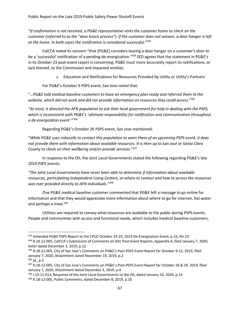"*If confirmation is not received, a PG&E representative visits the customer home to check on the customer (referred to as the "door knock process"). If the customer does not answer, a door hanger is left at the home. In both cases the notification is considered successful.*" 303

CalCCA noted its concern "that [PG&E] considers leaving a door hanger on a customer's door to be a 'successful' notification of a pending de-energization."<sup>304</sup> SED agrees that the statement in PG&E's in its October 23 post-event report is concerning. PG&E must more accurately report its notifications, or lack thereof, to the Commission and impacted entities.

c. Education and Notifications for Resources Provided by Utility or Utility's Partners

For PG&E's October 9 PSPS event, San Jose noted that:

"…*PG&E told medical baseline customers to have an emergency plan ready and referred them to the website, which did not work and did not provide information on resources they could access.*" 305

"*At most, it directed the AFN population to ask their local government for help in dealing with the PSPS, which is inconsistent with PG&E's 'ultimate responsibility for notification and communication throughout a de-energization event*.'"<sup>306</sup>

Regarding PG&E's October 26 PSPS event, San Jose mentioned:

"*While PG&E uses robocalls to contact this population to warn them of an upcoming PSPS event, it does not provide them with information about available resources. It is then up to San José or Santa Clara County to check on their wellbeing and/or provide services*."<sup>307</sup>

In response to the OII, the Joint Local Governments stated the following regarding PG&E's late 2019 PSPS events:

"*The Joint Local Governments have never been able to determine if information about available resources, participating Independent Living Centers, or whom to contact and how to access the resources was ever provided directly to AFN individuals*." 308

One PG&E medical baseline customer commented that PG&E left a message to go online for information and that they would appreciate more information about where to go for internet, hot water and perhaps a meal.<sup>309</sup>

Utilities are required to convey what resources are available to the public during PSPS events. People and communities with access and functional needs, which includes medical baseline customers,

<sup>&</sup>lt;sup>303</sup> Amended PG&E PSPS Report to the CPUC October 23-25, 2019 De-Energization Event, p.16, ftn.10 <sup>304</sup> R.18-12-005, CalCCA's Submission of Comments on IOU Post-Event Reports, Appendix A, filed January 7, 2020, letter dated December 3, 2019, p.12

<sup>305</sup> R.18-12-005, City of San Jose's Comments on PG&E's Post-PSPS Event Report for October 9-12, 2019, filed January 7, 2020, Attachment dated November 19, 2019, p.2

<sup>306</sup> *Id.*, p.5

<sup>307</sup> R.18-12-005, City of San Jose's Comments on PG&E's Post-PSPS Event Report for October 26 & 29, 2019, filed January 7, 2020, Attachment dated December 3, 2019, p.4

<sup>&</sup>lt;sup>308</sup> I.19-11-013, Response of the Joint Local Governments to the OII, dated January 10, 2020, p.14

<sup>309</sup> R.18-12-005, Public Comments, dated December 8, 2019, p.10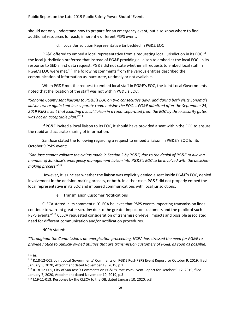should not only understand how to prepare for an emergency event, but also know where to find additional resources for each, inherently different PSPS event.

d. Local Jurisdiction Representative Embedded in PG&E EOC

PG&E offered to embed a local representative from a requesting local jurisdiction in its EOC if the local jurisdiction preferred that instead of PG&E providing a liaison to embed at the local EOC. In its response to SED's first data request, PG&E did not state whether all requests to embed local staff in PG&E's EOC were met.<sup>310</sup> The following comments from the various entities described the communication of information as inaccurate, untimely or not available.

When PG&E met the request to embed local staff in PG&E's EOC, the Joint Local Governments noted that the location of the staff was not within PG&E's EOC:

"*Sonoma County sent liaisons to PG&E's EOC on two consecutive days, and during both visits Sonoma's liaisons were again kept in a separate room outside the EOC. …PG&E admitted after the September 25, 2019 PSPS event that isolating a local liaison in a room separated from the EOC by three security gates was not an acceptable plan*."<sup>311</sup>

If PG&E invited a local liaison to its EOC, it should have provided a seat within the EOC to ensure the rapid and accurate sharing of information.

San Jose stated the following regarding a request to embed a liaison in PG&E's EOC for its October 9 PSPS event:

"*San Jose cannot validate the claims made in Section 2 by PG&E, due to the denial of PG&E to allow a member of San Jose's emergency management liaison into PG&E's EOC to be involved with the decisionmaking process*."<sup>312</sup>

However, it is unclear whether the liaison was explicitly denied a seat inside PG&E's EOC, denied involvement in the decision-making process, or both. In either case, PG&E did not properly embed the local representative in its EOC and impaired communications with local jurisdictions.

e. Transmission Customer Notifications

CLECA stated in its comments: "CLECA believes that PSPS events impacting transmission lines continue to warrant greater scrutiny due to the greater impact on customers and the public of such PSPS events."<sup>313</sup> CLECA requested consideration of transmission-level impacts and possible associated need for different communication and/or notification procedures.

NCPA stated:

"*Throughout the Commission's de-energization proceeding, NCPA has stressed the need for PG&E to provide notice to publicly owned utilities that are transmission customers of PG&E as soon as possible.* 

<sup>310</sup> *Id.*

<sup>311</sup> R.18-12-005, Joint Local Governments' Comments on PG&E Post-PSPS Event Report for October 9, 2019, filed January 3, 2020, Attachment dated November 19, 2019, p.2

<sup>312</sup> R.18-12-005, City of San Jose's Comments on PG&E's Post-PSPS Event Report for October 9-12, 2019, filed January 7, 2020, Attachment dated November 19, 2019, p.3

<sup>&</sup>lt;sup>313</sup> I.19-11-013, Response by the CLECA to the OII, dated January 10, 2020, p.3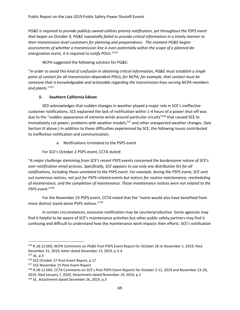*PG&E is required to provide publicly owned utilities priority notification, yet throughout the PSPS event that began on October 9, PG&E repeatedly failed to provide critical information in a timely manner to their transmission-level customers for planning and preparedness. The moment PG&E begins assessments of whether a transmission line is even potentially within the scope of a planned deenergization event, it is required to notify POUs*."<sup>314</sup>

NCPA suggested the following solution for PG&E:

"*In order to avoid this kind of confusion in obtaining critical information, PG&E must establish a single point of contact for all transmission-dependent POUs; for NCPA, for example, that contact must be someone that is knowledgeable and actionable regarding the transmission lines serving NCPA members and plants*." 315

#### **ii. Southern California Edison**

SED acknowledges that sudden changes in weather played a major role in SCE's ineffective customer notifications. SCE explained the lack of notification within 1-4 hours of a power shut-off was due to the "sudden appearance of extreme winds around particular circuits"<sup>316</sup> that caused SCE to immediately cut power; problems with weather models;<sup>317</sup> and other unexpected weather changes. (See Section III above.) In addition to these difficulties experienced by SCE, the following issues contributed to ineffective notification and communication.

a. Notifications Unrelated to the PSPS event

For SCE's October 2 PSPS event, CCTA stated:

"*A major challenge stemming from SCE's recent PSPS events concerned the burdensome nature of SCE's over-notification email process. Specifically, SCE appears to use only one distribution list for all notifications, including those unrelated to the PSPS event. For example, during the PSPS event, SCE sent out numerous notices, not just for PSPS-related events but notices for routine maintenance, rescheduling of maintenance, and the completion of maintenance. Those maintenance notices were not related to the PSPS event*." 318

For the November 23 PSPS event, CCTA noted that the "event would also have benefited from more distinct stand-alone PSPS notices."<sup>319</sup>

In certain circumstances, excessive notification may be counterproductive. Some agencies may find it helpful to be aware of SCE's maintenance activities but other public safety partners may find it confusing and difficult to understand how the maintenance work impacts their efforts. SCE's notification

<sup>314</sup> R.18-12-005, NCPA Comments on PG&E Post-PSPS Event Report for October 26 to November 1, 2019, filed December 31, 2019, letter dated December 13, 2019, p.3-4

<sup>315</sup> *Id.*, p.5

<sup>316</sup> SCE October 27 Post-Event Report, p.17

<sup>317</sup> SCE November 15 Post-Event Report

<sup>318</sup> R.18-12-005, CCTA Comments on SCE's Post-PSPS Event Reports for October 2-12, 2019 and November 23-26, 2019, filed January 7, 2020, Attachment dated November 19, 2019, p.2

<sup>319</sup> *Id.*, Attachment dated December 26, 2019, p.3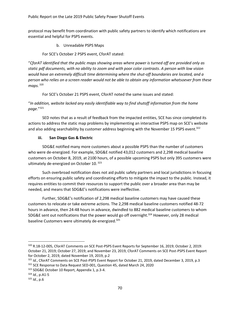protocol may benefit from coordination with public safety partners to identify which notifications are essential and helpful for PSPS events.

b. Unreadable PSPS Maps

For SCE's October 2 PSPS event, CforAT stated:

"*CforAT identified that the public maps showing areas where power is turned off are provided only as static pdf documents, with no ability to zoom and with poor color contrasts*. *A person with low vision would have an extremely difficult time determining where the shut-off boundaries are located, and a person who relies on a screen reader would not be able to obtain any information whatsoever from these maps.* <sup>320</sup>

For SCE's October 21 PSPS event, CforAT noted the same issues and stated:

"*In addition, website lacked any easily identifiable way to find shutoff information from the home page*."<sup>321</sup>

SED notes that as a result of feedback from the impacted entities, SCE has since completed its actions to address the static map problems by implementing an interactive PSPS map on SCE's website and also adding searchability by customer address beginning with the November 15 PSPS event.<sup>322</sup>

## **iii. San Diego Gas & Electric**

SDG&E notified many more customers about a possible PSPS than the number of customers who were de-energized. For example, SDG&E notified 43,012 customers and 2,298 medical baseline customers on October 8, 2019, at 2100 hours, of a possible upcoming PSPS but only 395 customers were ultimately de-energized on October 10.<sup>323</sup>

Such overbroad notification does not aid public safety partners and local jurisdictions in focusing efforts on ensuring public safety and coordinating efforts to mitigate the impact to the public. Instead, it requires entities to commit their resources to support the public over a broader area than may be needed, and means that SDG&E's notifications were ineffective.

Further, SDG&E's notification of 2,298 medical baseline customers may have caused these customers to relocate or take extreme actions. The 2,298 medical baseline customers notified 48-72 hours in advance, then 24-48 hours in advance, dwindled to 882 medical baseline customers to whom SDG&E sent out notifications that the power would go off overnight.<sup>324</sup> However, only 28 medical baseline Customers were ultimately de-energized.<sup>325</sup>

<sup>320</sup> R.18-12-005, CforAT Comments on SCE Post-PSPS Event Reports for September 16, 2019; October 2, 2019: October 21, 2019; October 27, 2019; and November 23, 2019, CforAT Comments on SCE Post-PSPS Event Report for October 2, 2019, dated November 19, 2019, p.2

<sup>321</sup> *Id.*, CforAT Comments on SCE Post-PSPS Event Report for October 21, 2019, dated December 3, 2019, p.3

<sup>&</sup>lt;sup>322</sup> SCE Response to Data Request SED-001, Question 45, dated March 24, 2020

<sup>323</sup> SDG&E October 10 Report, Appendix 1, p.3-4.

<sup>324</sup> *Id.*, p.A1-5

<sup>325</sup> *Id*., p.6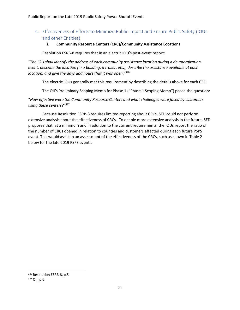## C. Effectiveness of Efforts to Minimize Public Impact and Ensure Public Safety (IOUs and other Entities)

## **i. Community Resource Centers (CRC)/Community Assistance Locations**

Resolution ESRB-8 requires that in an electric IOU's post-event report:

"*The IOU shall identify the address of each community assistance location during a de-energization event, describe the location (in a building, a trailer, etc.), describe the assistance available at each location, and give the days and hours that it was open*."<sup>326</sup>

The electric IOUs generally met this requirement by describing the details above for each CRC.

The OII's Preliminary Scoping Memo for Phase 1 ("Phase 1 Scoping Memo") posed the question:

"*How effective were the Community Resource Centers and what challenges were faced by customers using these centers?*" 327

Because Resolution ESRB-8 requires limited reporting about CRCs, SED could not perform extensive analysis about the effectiveness of CRCs. To enable more extensive analysis in the future, SED proposes that, at a minimum and in addition to the current requirements, the IOUs report the ratio of the number of CRCs opened in relation to counties and customers affected during each future PSPS event. This would assist in an assessment of the effectiveness of the CRCs, such as shown in Table 2 below for the late 2019 PSPS events.

<sup>&</sup>lt;sup>326</sup> Resolution ESRB-8, p.5

<sup>327</sup> OII, p.6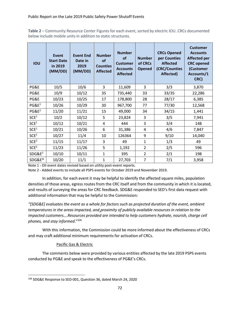**Table 2** – Community Resource Center Figures for each event, sorted by electric IOU. CRCs documented below include mobile units in addition to static structures.

| <b>IOU</b>         | <b>Event</b><br><b>Start Date</b><br>in 2019<br>(MM/DD) | <b>Event End</b><br>Date in<br>2019<br>(MM/DD) | <b>Number</b><br>of<br><b>Counties</b><br><b>Affected</b> | <b>Number</b><br><b>of</b><br><b>Customer</b><br><b>Accounts</b><br><b>Affected</b> | <b>Number</b><br>of CRCs<br><b>Opened</b> | <b>CRCs Opened</b><br>per Counties<br><b>Affected</b><br>(CRC/Counties<br>Affected) | <b>Customer</b><br><b>Accounts</b><br><b>Affected per</b><br><b>CRC</b> opened<br>(Customer<br>Accounts/1<br>CRC) |
|--------------------|---------------------------------------------------------|------------------------------------------------|-----------------------------------------------------------|-------------------------------------------------------------------------------------|-------------------------------------------|-------------------------------------------------------------------------------------|-------------------------------------------------------------------------------------------------------------------|
| PG&E               | 10/5                                                    | 10/6                                           | 3                                                         | 11,609                                                                              | 3                                         | 3/3                                                                                 | 3,870                                                                                                             |
| PG&E               | 10/9                                                    | 10/12                                          | 35                                                        | 735,440                                                                             | 33                                        | 33/35                                                                               | 22,286                                                                                                            |
| PG&E               | 10/23                                                   | 10/25                                          | 17                                                        | 178,800                                                                             | 28                                        | 28/17                                                                               | 6,385                                                                                                             |
| PGE <sup>1</sup>   | 10/26                                                   | 10/29                                          | 30                                                        | 967,700                                                                             | 77                                        | 77/30                                                                               | 12,568                                                                                                            |
| $PG&E^2$           | 11/20                                                   | 11/21                                          | 15                                                        | 49,000                                                                              | 34                                        | 34/15                                                                               | 1,441                                                                                                             |
| SCE <sup>1</sup>   | 10/2                                                    | 10/12                                          | 5                                                         | 23,824                                                                              | 3                                         | 3/5                                                                                 | 7,941                                                                                                             |
| SCE <sup>1</sup>   | 10/12                                                   | 10/21                                          | 4                                                         | 444                                                                                 | 3                                         | 3/4                                                                                 | 148                                                                                                               |
| SCE <sup>1</sup>   | 10/21                                                   | 10/26                                          | 6                                                         | 31,386                                                                              | 4                                         | 4/6                                                                                 | 7,847                                                                                                             |
| SCE <sup>1</sup>   | 10/27                                                   | 11/4                                           | 10                                                        | 126364                                                                              | 9                                         | 9/10                                                                                | 14,040                                                                                                            |
| SCE <sup>2</sup>   | 11/15                                                   | 11/17                                          | 3                                                         | 49                                                                                  | $\mathbf{1}$                              | 1/3                                                                                 | 49                                                                                                                |
| SCE <sup>2</sup>   | 11/23                                                   | 11/26                                          | 5                                                         | 1,192                                                                               | $\overline{2}$                            | 2/5                                                                                 | 596                                                                                                               |
| SDG&E <sup>2</sup> | 10/10                                                   | 10/11                                          | $\mathbf{1}$                                              | 395                                                                                 | $\overline{2}$                            | 2/1                                                                                 | 198                                                                                                               |
| SDG&E*             | 10/20                                                   | 11/1                                           | $\mathbf 1$                                               | 27,703                                                                              | 7                                         | 7/1                                                                                 | 3,958                                                                                                             |

Note 1 - OII event dates revised based on utility post-event reports.

Note 2 - Added events to include all PSPS events for October 2019 and November 2019.

In addition, for each event it may be helpful to identify the affected square miles, population densities of those areas, egress routes from the CRC itself and from the community in which it is located, and results of surveying the areas for CRC feedback. SDG&E responded to SED's first data request with additional information that may be helpful to the Commission:

*"[SDG&E] evaluates the event as a whole for factors such as projected duration of the event, ambient temperatures in the areas impacted, and proximity of publicly available resources in relation to the impacted customers…*.*Resources provided are intended to help customers hydrate, nourish, charge cell phones, and stay informed*."<sup>328</sup>

With this information, the Commission could be more informed about the effectiveness of CRCs and may craft additional minimum requirements for activation of CRCs.

# Pacific Gas & Electric

The comments below were provided by various entities affected by the late 2019 PSPS events conducted by PG&E and speak to the effectiveness of PG&E's CRCs.

<sup>328</sup> SDG&E Response to SED-001, Question 36, dated March 24, 2020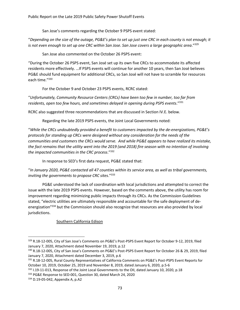San Jose's comments regarding the October 9 PSPS event stated:

"*Depending on the size of the outage, PG&E's plan to set up just one CRC in each county is not enough; it is not even enough to set up one CRC within San Jose. San Jose covers a large geographic area.*"<sup>329</sup>

San Jose also commented on the October 26 PSPS event:

"During the October 26 PSPS event, San José set up its own five CRCs to accommodate its affected residents more effectively. …If PSPS events will continue for another 10 years, then San José believes PG&E should fund equipment for additional CRCs, so San José will not have to scramble for resources each time." 330

For the October 9 and October 23 PSPS events, RCRC stated:

"*Unfortunately, Community Resource Centers (CRCs) have been too few in number, too far from residents, open too few hours, and sometimes delayed in opening during PSPS events*."<sup>331</sup>

RCRC also suggested three recommendations that are discussed in Section IV.E. below.

Regarding the late 2019 PSPS events, the Joint Local Governments noted:

"*While the CRCs undoubtedly provided a benefit to customers impacted by the de-energizations, PG&E's protocols for standing up CRCs were designed without any consideration for the needs of the communities and customers the CRCs would serve. And while PG&E appears to have realized its mistake, the fact remains that the utility went into the 2019 (and 2018) fire season with no intention of involving the impacted communities in the CRC process*."<sup>332</sup>

In response to SED's first data request, PG&E stated that:

"*In January 2020, PG&E contacted all 47 counties within its service area, as well as tribal governments, inviting the governments to propose CRC sites*."<sup>333</sup>

PG&E understood the lack of coordination with local jurisdictions and attempted to correct the issue with the late 2019 PSPS events. However, based on the comments above, the utility has room for improvement regarding minimizing public impacts through its CRCs. As the Commission Guidelines stated, "electric utilities are ultimately responsible and accountable for the safe deployment of deenergization"<sup>334</sup> but the Commission should also recognize that resources are also provided by local jurisdictions.

# Southern California Edison

<sup>329</sup> R.18-12-005, City of San Jose's Comments on PG&E's Post-PSPS Event Report for October 9-12, 2019, filed January 7, 2020, Attachment dated November 19, 2019, p.12

<sup>330</sup> R.18-12-005, City of San Jose's Comments on PG&E's Post-PSPS Event Report for October 26 & 29, 2019, filed January 7, 2020, Attachment dated December 3, 2019, p.6

<sup>331</sup> R.18-12-005, Rural County Representatives of California Comments on PG&E's Post-PSPS Event Reports for October 10, 2019, October 25, 2019 and November 8, 2019, dated January 6, 2020, p.5-6

<sup>332</sup> I.19-11-013, Response of the Joint Local Governments to the OII, dated January 10, 2020, p.18

<sup>&</sup>lt;sup>333</sup> PG&E Response to SED-001, Question 30, dated March 24, 2020

<sup>334</sup> D.19-05-042, Appendix A, p.A2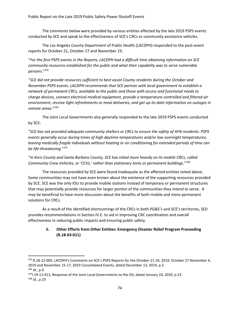The comments below were provided by various entities affected by the late 2019 PSPS events conducted by SCE and speak to the effectiveness of SCE's CRCs or community assistance vehicles.

The Los Angeles County Department of Public Health (LACDPH) responded to the post-event reports for October 21, October 27 and November 15:

"*For the first PSPS events in the Reports, LACDPH had a difficult time obtaining information on SCE community resources established for the public and what their capability was to serve vulnerable persons*." 335

"*SCE did not provide resources sufficient to best assist County residents during the October and November PSPS events. LACDPH recommends that SCE partner with local government to establish a network of permanent CRCs, available to the public and those with access and functional needs to charge devices, connect electrical medical equipment, provide a temperature-controlled and filtered air environment, receive light refreshments or meal deliveries, and get up-to-date information on outages in remote areas*."<sup>336</sup>

The Joint Local Governments also generally responded to the late 2019 PSPS events conducted by SCE:

"*SCE has not provided adequate community shelters or CRCs to ensure the safety of AFN residents. PSPS events generally occur during times of high daytime temperatures and/or low overnight temperatures; leaving medically fragile individuals without heating or air conditioning for extended periods of time can be life-threatening*."<sup>337</sup>

"*In Kern County and Santa Barbara County, SCE has relied more heavily on its mobile CRCs, called Community Crew Vehicles, or 'CCVs,' rather than stationary tents or permanent buildings*."<sup>338</sup>

The resources provided by SCE were found inadequate as the affected entities noted above. Some communities may not have even known about the existence of the supporting resources provided by SCE. SCE was the only IOU to provide mobile stations instead of temporary or permanent structures that may potentially provide resources for larger portion of the communities they intend to serve. It may be beneficial to have more discussion about the benefits of both mobile and more permanent solutions for CRCs.

As a result of the identified shortcomings of the CRCs in both PG&E's and SCE's territories, SED provides recommendations in Section IV.E. to aid in improving CRC coordination and overall effectiveness in reducing public impacts and ensuring public safety.

# **ii. Other Efforts from Other Entities: Emergency Disaster Relief Program Proceeding (R.18-03-011)**

<sup>335</sup> R.18-12-005, LACDPH's Comments on SCE's PSPS Reports for the October 21-26, 2019, October 27-November 4, 2019 and November 15-17, 2019 Consolidated Events, dated December 13, 2019, p.3

<sup>336</sup> *Id.*, p.4

<sup>&</sup>lt;sup>337</sup>I.19-11-013, Response of the Joint Local Governments to the OII, dated January 10, 2020, p.23 <sup>338</sup> *Id.*, p.23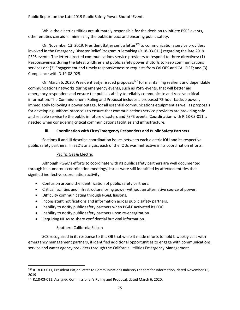While the electric utilities are ultimately responsible for the decision to initiate PSPS events, other entities can aid in minimizing the public impact and ensuring public safety.

On November 13, 2019, President Batjer sent a letter<sup>339</sup> to communications service providers involved in the Emergency Disaster Relief Program rulemaking (R.18-03-011) regarding the late 2019 PSPS events. The letter directed communications service providers to respond to three directives: (1) Responsiveness during the latest wildfires and public safety power shutoffs to keep communications services on; (2) Engagement and timely responsiveness to requests from Cal OES and CAL FIRE; and (3) Compliance with D.19-08-025.

On March 6, 2020, President Batjer issued proposals<sup>340</sup> for maintaining resilient and dependable communications networks during emergency events, such as PSPS events, that will better aid emergency responders and ensure the public's ability to reliably communicate and receive critical information. The Commissioner's Ruling and Proposal includes a proposed 72-hour backup power, immediately following a power outage, for all essential communications equipment as well as proposals for developing uniform protocols to ensure that communications service providers are providing safe and reliable service to the public in future disasters and PSPS events. Coordination with R.18-03-011 is needed when considering critical communications facilities and infrastructure.

#### **iii. Coordination with First/Emergency Responders and Public Safety Partners**

Sections II and III describe coordination issues between each electric IOU and its respective public safety partners. In SED's analysis, each of the IOUs was ineffective in its coordination efforts.

#### Pacific Gas & Electric

Although PG&E's efforts to coordinate with its public safety partners are well documented through its numerous coordination meetings, issues were still identified by affected entities that signified ineffective coordination activity:

- Confusion around the identification of public safety partners.
- Critical facilities and infrastructure losing power without an alternative source of power.
- Difficulty communicating through PG&E liaisons.
- Inconsistent notifications and information across public safety partners.
- Inability to notify public safety partners when PG&E activated its EOC.
- Inability to notify public safety partners upon re-energization.
- Requiring NDAs to share confidential but vital information.

#### Southern California Edison

SCE recognized in its response to this OII that while it made efforts to hold biweekly calls with emergency management partners, it identified additional opportunities to engage with communications service and water agency providers through the California Utilities Emergency Management

<sup>339</sup> R.18-03-011, President Batjer Letter to Communications Industry Leaders for Information, dated November 13, 2019

<sup>&</sup>lt;sup>340</sup> R.18-03-011, Assigned Commissioner's Ruling and Proposal, dated March 6, 2020.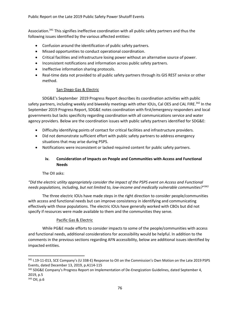Association.<sup>341</sup> This signifies ineffective coordination with all public safety partners and thus the following issues identified by the various affected entities:

- Confusion around the identification of public safety partners.
- Missed opportunities to conduct operational coordination.
- Critical facilities and infrastructure losing power without an alternative source of power.
- Inconsistent notifications and information across public safety partners.
- Ineffective information sharing protocols.
- Real-time data not provided to all public safety partners through its GIS REST service or other method.

#### San Diego Gas & Electric

SDG&E's September 2019 Progress Report describes its coordination activities with public safety partners, including weekly and biweekly meetings with other IOUs, Cal OES and CAL FIRE.<sup>342</sup> In the September 2019 Progress Report, SDG&E notes coordination with first/emergency responders and local governments but lacks specificity regarding coordination with all communications service and water agency providers. Below are the coordination issues with public safety partners identified for SDG&E:

- Difficulty identifying points of contact for critical facilities and infrastructure providers.
- Did not demonstrate sufficient effort with public safety partners to address emergency situations that may arise during PSPS.
- Notifications were inconsistent or lacked required content for public safety partners.

# **iv. Consideration of Impacts on People and Communities with Access and Functional Needs**

The OII asks:

*"Did the electric utility appropriately consider the impact of the PSPS event on Access and Functional needs populations, including, but not limited to, low-income and medically vulnerable communities?"<sup>343</sup>*

The three electric IOUs have made steps in the right direction to consider people/communities with access and functional needs but can improve consistency in identifying and communicating effectively with those populations. The electric IOUs have generally worked with CBOs but did not specify if resources were made available to them and the communities they serve.

#### Pacific Gas & Electric

While PG&E made efforts to consider impacts to some of the people/communities with access and functional needs, additional considerations for accessibility would be helpful. In addition to the comments in the previous sections regarding AFN accessibility, below are additional issues identified by impacted entities.

<sup>341</sup> I.19-11-013, SCE Company's (U 338-E) Response to Oll on the Commission's Own Motion on the Late 2019 PSPS Events, dated December 13, 2019, p.A114-115

<sup>&</sup>lt;sup>342</sup> SDG&E Company's Progress Report on Implementation of De-Energization Guidelines, dated September 4, 2019, p.5

<sup>343</sup> OII, p.6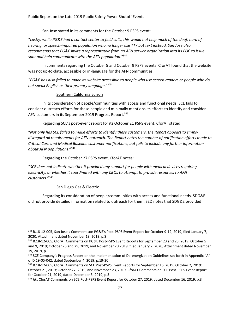San Jose stated in its comments for the October 9 PSPS event:

"*Lastly, while PG&E had a contact center to field calls, this would not help much of the deaf, hard of hearing, or speech-impaired population who no longer use TTY but text instead. San Jose also recommends that PG&E invite a representative from an AFN service organization into its EOC to issue spot and help communicate with the AFN population*."<sup>344</sup>

In comments regarding the October 5 and October 9 PSPS events, CforAT found that the website was not up-to-date, accessible or in-language for the AFN communities:

"*PG&E has also failed to make its website accessible to people who use screen readers or people who do not speak English as their primary language*."<sup>345</sup>

#### Southern California Edison

In its consideration of people/communities with access and functional needs, SCE fails to consider outreach efforts for these people and minimally mentions its efforts to identify and consider AFN customers in its September 2019 Progress Report.<sup>346</sup>

Regarding SCE's post-event report for its October 21 PSPS event, CforAT stated:

"*Not only has SCE failed to make efforts to identify these customers, the Report appears to simply disregard all requirements for AFN outreach. The Report notes the number of notification efforts made to Critical Care and Medical Baseline customer notifications, but fails to include any further information about AFN populations*."<sup>347</sup>

Regarding the October 27 PSPS event, CforAT notes:

"*SCE does not indicate whether it provided any support for people with medical devices requiring electricity, or whether it coordinated with any CBOs to attempt to provide resources to AFN customers*."<sup>348</sup>

#### San Diego Gas & Electric

Regarding its consideration of people/communities with access and functional needs, SDG&E did not provide detailed information related to outreach for them. SED notes that SDG&E provided

<sup>344</sup> R.18-12-005, San Jose's Comment son PG&E's Post-PSPS Event Report for October 9-12, 2019, filed January 7, 2020, Attachment dated November 19, 2019, p.8

<sup>345</sup> R.18-12-005, CforAT Comments on PG&E Post-PSPS Event Reports for September 23 and 25, 2019; October 5 and 9, 2019; October 26 and 29, 2019; and November 20,2019, filed January 7, 2020, Attachment dated November 19, 2019, p.1

<sup>346</sup> SCE Company's Progress Report on the Implementation of De-energization Guidelines set forth in Appendix "A" of D.19-05-042, dated September 4, 2019, p.19-20

<sup>347</sup> R.18-12-005, CforAT Comments on SCE Post-PSPS Event Reports for September 16, 2019; October 2, 2019: October 21, 2019; October 27, 2019; and November 23, 2019, CforAT Comments on SCE Post-PSPS Event Report for October 21, 2019, dated December 3, 2019, p.3

<sup>348</sup> *Id.*, CforAT Comments on SCE Post-PSPS Event Report for October 27, 2019, dated December 16, 2019, p.3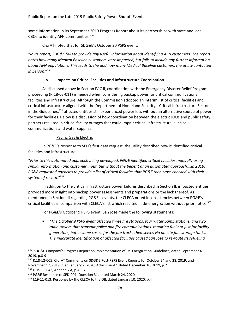some information in its September 2019 Progress Report about its partnerships with state and local CBOs to identify AFN communities.<sup>349</sup>

CforAT noted that for SDG&E's October 20 PSPS event:

"*In its report, SDG&E fails to provide any useful information about identifying AFN customers. The report notes how many Medical Baseline customers were impacted, but fails to include any further information about AFN populations. This leads to the and how many Medical Baseline customers the utility contacted in person*."<sup>350</sup>

#### **v. Impacts on Critical Facilities and Infrastructure Coordination**

As discussed above in Section IV.C.ii, coordination with the Emergency Disaster Relief Program proceeding (R.18-03-011) is needed when considering backup power for critical communications facilities and infrastructure. Although the Commission adopted an interim list of critical facilities and critical infrastructure aligned with the Department of Homeland Security's Critical Infrastructure Sectors in the Guidelines,<sup>351</sup> affected entities still experienced power loss without an alternative source of power for their facilities. Below is a discussion of how coordination between the electric IOUs and public safety partners resulted in critical facility outages that could impair critical infrastructure, such as communications and water supplies.

#### Pacific Gas & Electric

In PG&E's response to SED's first data request, the utility described how it identified critical facilities and infrastructure:

"*Prior to this automated approach being developed, PG&E identified critical facilities manually using similar information and customer input, but without the benefit of an automated approach….In 2019, PG&E requested agencies to provide a list of critical facilities that PG&E then cross checked with their system of record*."<sup>352</sup>

In addition to the critical infrastructure power failures described in Section II, impacted entities provided more insight into backup power assessments and preparations or the lack thereof. As mentioned in Section III regarding PG&E's events, the CLECA noted inconsistencies between PG&E's critical facilities in comparison with CLECA's list which resulted in de-energization without prior notice.<sup>353</sup>

For PG&E's October 9 PSPS event, San Jose made the following statements:

• "*The October 9 PSPS event affected three fire stations, four water pump stations, and two radio towers that transmit police and fire communications, requiring fuel not just for facility generators, but in some cases, for the fire trucks themselves via on-site fuel storage tanks. The inaccurate identification of affected facilities caused San Jose to re-route its refueling* 

<sup>351</sup> D.19-05.042, Appendix A, p.A5-6

<sup>&</sup>lt;sup>349</sup> SDG&E Company's Progress Report on Implementation of De-Energization Guidelines, dated September 4, 2019, p.8-9

<sup>350</sup> R.18-12-005, CforAT Comments on SDG&E Post-PSPS Event Reports for October 24 and 28, 2019; and November 17, 2019, filed January 7, 2020, Attachment 1 dated December 10, 2019, p.2

<sup>352</sup> PG&E Response to SED-001, Question 31, dated March 24, 2020

<sup>353</sup> I.19-11-013, Response by the CLECA to the OII, dated January 10, 2020, p.4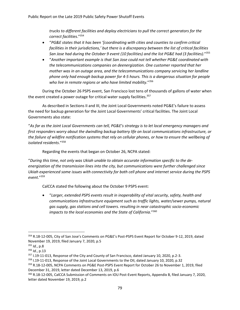*trucks to different facilities and deploy electricians to pull the correct generators for the correct facilities*." 354

- "*PG&E states that it has been '[coordinating with cities and counties to confirm critical facilities in their jurisdictions,' but there is a discrepancy between the list of critical facilities San Jose had during the October 9 event (10 facilities) and the list PG&E had (3 facilities).*" 355
- "*Another important example is that San Jose could not tell whether PG&E coordinated with the telecommunications companies on deenergization. One customer reported that her mother was in an outage area, and the telecommunications company servicing her landline phone only had enough backup power for 4-5 hours. This is a dangerous situation for people who live in remote regions or who have limited mobility*."<sup>356</sup>

During the October 26 PSPS event, San Francisco lost tens of thousands of gallons of water when the event created a power outage for critical water supply facilities.<sup>357</sup>

As described in Sections II and III, the Joint Local Governments noted PG&E's failure to assess the need for backup generation for the Joint Local Governments' critical facilities. The Joint Local Governments also state:

"*As far as the Joint Local Governments can tell, PG&E's strategy is to let local emergency managers and first responders worry about the dwindling backup battery life on local communications infrastructure, or the failure of wildfire notification systems that rely on cellular phones, or how to ensure the wellbeing of isolated residents*."<sup>358</sup>

Regarding the events that began on October 26, NCPA stated:

"*During this time, not only was Ukiah unable to obtain accurate information specific to the deenergization of the transmission lines into the city, but communications were further challenged since Ukiah experienced some issues with connectivity for both cell phone and internet service during the PSPS event*."<sup>359</sup>

CalCCA stated the following about the October 9 PSPS event:

• "*Larger, extended PSPS events result in inoperability of vital security, safety, health and communications infrastructure equipment such as traffic lights, water/sewer pumps, natural gas supply, gas stations and cell towers. resulting in near catastrophic socio-economic impacts to the local economies and the State of California*."<sup>360</sup>

<sup>354</sup> R.18-12-005, City of San Jose's Comments on PG&E's Post-PSPS Event Report for October 9-12, 2019, dated November 19, 2019, filed January 7, 2020, p.5

<sup>355</sup> *Id.*, p.8

<sup>356</sup> *Id.*, p.13

<sup>&</sup>lt;sup>357</sup> I.19-11-013, Response of the City and County of San Francisco, dated January 10, 2020, p.2-3.

<sup>&</sup>lt;sup>358</sup> I.19-11-013, Response of the Joint Local Governments to the OII, dated January 10, 2020, p.32

<sup>359</sup> R.18-12-005, NCPA Comments on PG&E Post-PSPS Event Report for October 26 to November 1, 2019, filed December 31, 2019, letter dated December 13, 2019, p.6

<sup>360</sup> R.18-12-005, CalCCA Submission of Comments on IOU Post-Event Reports, Appendix B, filed January 7, 2020, letter dated November 19, 2019, p.2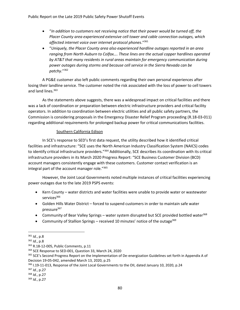- "*In addition to customers not receiving notice that their power would be turned off, the Placer County area experienced extensive cell tower and cable connection outages, which affected internet voice over internet protocol phones*."<sup>361</sup>
- "*Uniquely, the Placer County area also experienced hardline outages reported in an area ranging from North Auburn to Colfax…. These lines are the actual copper hardlines operated by AT&T that many residents in rural areas maintain for emergency communication during power outages during storms and because cell service in the Sierra Nevada can be patchy*."<sup>362</sup>

A PG&E customer also left public comments regarding their own personal experiences after losing their landline service. The customer noted the risk associated with the loss of power to cell towers and land lines.<sup>363</sup>

As the statements above suggests, there was a widespread impact on critical facilities and there was a lack of coordination or preparation between electric infrastructure providers and critical facility operators. In addition to coordination between electric utilities and all public safety partners, the Commission is considering proposals in the Emergency Disaster Relief Program proceeding (R.18-03-011) regarding additional requirements for prolonged backup power for critical communications facilities.

#### Southern California Edison

In SCE's response to SED's first data request, the utility described how it identified critical facilities and infrastructure: "SCE uses the North American Industry Classification System (NAICS) codes to identify critical infrastructure providers."<sup>364</sup> Additionally, SCE describes its coordination with its critical infrastructure providers in its March 2020 Progress Report: "SCE Business Customer Division (BCD) account managers consistently engage with these customers. Customer contact verification is an integral part of the account manager role." 365

However, the Joint Local Governments noted multiple instances of critical facilities experiencing power outages due to the late 2019 PSPS events:

- Kern County water districts and water facilities were unable to provide water or wastewater services<sup>366</sup>
- Golden Hills Water District forced to suspend customers in order to maintain safe water pressure<sup>367</sup>
- Community of Bear Valley Springs water system disrupted but SCE provided bottled water<sup>368</sup>
- Community of Stallion Springs received 10 minutes' notice of the outage  $369$

<sup>361</sup> *Id.*, p.8

<sup>362</sup> *Id.*, p.8

<sup>363</sup> R.18-12-005, Public Comments, p.11

<sup>364</sup> SCE Response to SED-001, Question 33, March 24, 2020

<sup>365</sup> SCE's Second Progress Report on the Implementation of De-energization Guidelines set forth in Appendix A of Decision 19-05-042, amended March 13, 2020, p.25

<sup>&</sup>lt;sup>366</sup> I.19-11-013, Response of the Joint Local Governments to the OII, dated January 10, 2020, p.24

<sup>367</sup> *Id.*, p.27

<sup>368</sup> *Id.*, p.27

<sup>369</sup> *Id.*, p.27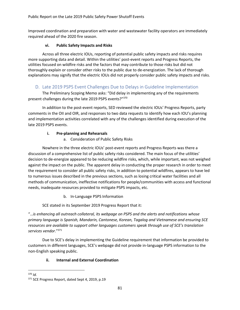Public Report on the Late 2019 Public Safety Power Shutoff Events

Improved coordination and preparation with water and wastewater facility operators are immediately required ahead of the 2020 fire season.

# **vi. Public Safety Impacts and Risks**

Across all three electric IOUs, reporting of potential public safety impacts and risks requires more supporting data and detail. Within the utilities' post-event reports and Progress Reports, the utilities focused on wildfire risks and the factors that may contribute to those risks but did not thoroughly explain or consider other risks to the public due to de-energization. The lack of thorough explanations may signify that the electric IOUs did not properly consider public safety impacts and risks.

# D. Late 2019 PSPS Event Challenges Due to Delays in Guideline Implementation

The Preliminary Scoping Memo asks: "Did delay in implementing any of the requirements present challenges during the late 2019 PSPS events?"<sup>370</sup>

In addition to the post-event reports, SED reviewed the electric IOUs' Progress Reports, party comments in the OII and OIR, and responses to two data requests to identify how each IOU's planning and implementation activities correlated with any of the challenges identified during execution of the late 2019 PSPS events.

# **i. Pre-planning and Rehearsals**

a. Consideration of Public Safety Risks

Nowhere in the three electric IOUs' post-event reports and Progress Reports was there a discussion of a comprehensive list of public safety risks considered. The main focus of the utilities' decision to de-energize appeared to be reducing wildfire risks, which, while important, was not weighed against the impact on the public. The apparent delay in conducting the proper research in order to meet the requirement to consider all public safety risks, in addition to potential wildfires, appears to have led to numerous issues described in the previous sections, such as losing critical water facilities and all methods of communication, ineffective notifications for people/communities with access and functional needs, inadequate resources provided to mitigate PSPS impacts, etc.

b. In-Language PSPS Information

SCE stated in its September 2019 Progress Report that it:

"…*is enhancing all outreach collateral, its webpage on PSPS and the alerts and notifications whose primary language is Spanish, Mandarin, Cantonese, Korean, Tagalog and Vietnamese and ensuring SCE resources are available to support other languages customers speak through use of SCE's translation services vendor*."<sup>371</sup>

Due to SCE's delay in implementing the Guideline requirement that information be provided to customers in different languages, SCE's webpage did not provide in-language PSPS information to the non-English speaking public.

# **ii. Internal and External Coordination**

<sup>370</sup> *Id.*

<sup>371</sup> SCE Progress Report, dated Sept 4, 2019, p.19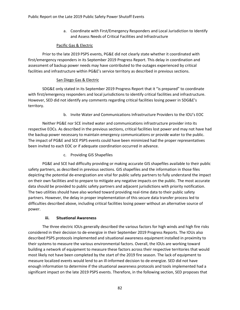a. Coordinate with First/Emergency Responders and Local Jurisdiction to Identify and Assess Needs of Critical Facilities and Infrastructure

#### Pacific Gas & Electric

Prior to the late 2019 PSPS events, PG&E did not clearly state whether it coordinated with first/emergency responders in its September 2019 Progress Report. This delay in coordination and assessment of backup power needs may have contributed to the outages experienced by critical facilities and infrastructure within PG&E's service territory as described in previous sections.

#### San Diego Gas & Electric

SDG&E only stated in its September 2019 Progress Report that it "is prepared" to coordinate with first/emergency responders and local jurisdictions to identify critical facilities and infrastructure. However, SED did not identify any comments regarding critical facilities losing power in SDG&E's territory.

b. Invite Water and Communications Infrastructure Providers to the IOU's EOC

Neither PG&E nor SCE invited water and communications infrastructure provider into its respective EOCs. As described in the previous sections, critical facilities lost power and may not have had the backup power necessary to maintain emergency communications or provide water to the public. The impact of PG&E and SCE PSPS events could have been minimized had the proper representatives been invited to each EOC or if adequate coordination occurred in advance.

c. Providing GIS Shapefiles

PG&E and SCE had difficulty providing or making accurate GIS shapefiles available to their public safety partners, as described in previous sections. GIS shapefiles and the information in those files depicting the potential de-energization are vital for public safety partners to fully understand the impact on their own facilities and to prepare to mitigate any negative impacts on the public. The most accurate data should be provided to public safety partners and adjacent jurisdictions with priority notification. The two utilities should have also worked toward providing real-time data to their public safety partners. However, the delay in proper implementation of this secure data transfer process led to difficulties described above, including critical facilities losing power without an alternative source of power.

#### **iii. Situational Awareness**

The three electric IOUs generally described the various factors for high winds and high fire risks considered in their decision to de-energize in their September 2019 Progress Reports. The IOUs also described PSPS protocols implemented and situational awareness equipment installed in proximity to their systems to measure the various environmental factors. Overall, the IOUs are working toward building a network of equipment to measure these factors across their respective territories that would most likely not have been completed by the start of the 2019 fire season. The lack of equipment to measure localized events would lend to an ill-informed decision to de-energize. SED did not have enough information to determine if the situational awareness protocols and tools implemented had a significant impact on the late 2019 PSPS events. Therefore, in the following section, SED proposes that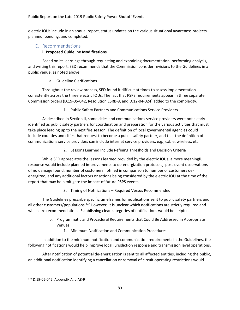electric IOUs include in an annual report, status updates on the various situational awareness projects planned, pending, and completed.

# E. Recommendations

#### **i. Proposed Guideline Modifications**

Based on its learnings through requesting and examining documentation, performing analysis, and writing this report, SED recommends that the Commission consider revisions to the Guidelines in a public venue, as noted above.

a. Guideline Clarifications

Throughout the review process, SED found it difficult at times to assess implementation consistently across the three electric IOUs. The fact that PSPS requirements appear in three separate Commission orders (D.19-05-042, Resolution ESRB-8, and D.12-04-024) added to the complexity.

1. Public Safety Partners and Communications Service Providers

As described in Section II, some cities and communications service providers were not clearly identified as public safety partners for coordination and preparation for the various activities that must take place leading up to the next fire season. The definition of local governmental agencies could include counties and cities that request to become a public safety partner, and that the definition of communications service providers can include internet service providers, e.g., cable, wireless, etc.

2. Lessons Learned Include Refining Thresholds and Decision Criteria

While SED appreciates the lessons learned provided by the electric IOUs, a more meaningful response would include planned improvements to de-energization protocols, post-event observations of no damage found, number of customers notified in comparison to number of customers deenergized, and any additional factors or actions being considered by the electric IOU at the time of the report that may help mitigate the impact of future PSPS events.

3. Timing of Notifications – Required Versus Recommended

The Guidelines prescribe specific timeframes for notifications sent to public safety partners and all other customers/populations.<sup>372</sup> However, it is unclear which notifications are strictly required and which are recommendations. Establishing clear categories of notifications would be helpful.

- b. Programmatic and Procedural Requirements that Could Be Addressed in Appropriate Venues
	- 1. Minimum Notification and Communication Procedures

In addition to the minimum notification and communication requirements in the Guidelines, the following notifications would help improve local jurisdiction response and transmission level operations.

After notification of potential de-energization is sent to all affected entities, including the public, an additional notification identifying a cancellation or removal of circuit operating restrictions would

<sup>372</sup> D.19-05-042, Appendix A, p.A8-9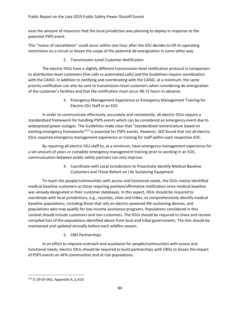ease the amount of resources that the local jurisdiction was planning to deploy in response to the potential PSPS event.

This "notice of cancellation" could occur within one hour after the IOU decides to lift its operating restrictions on a circuit or lessen the scope of the potential de-energization in some other way.

2. Transmission-Level Customer Notification

The electric IOUs have a slightly different transmission-level notification protocol in comparison to distribution-level customers (live calls vs automated calls) and the Guidelines require coordination with the CAISO. In addition to notifying and coordinating with the CAISO, at a minimum, the same priority notification can also be sent to transmission-level customers when considering de-energization of the customer's facilities and that the notification must occur 48-72 hours in advance.

> 3. Emergency Management Experience or Emergency Management Training for Electric IOU Staff in an EOC

In order to communicate effectively, accurately and consistently, all electric IOUs require a standardized framework for handling PSPS events which can be considered an emergency event due to widespread power outages. The Guidelines make clear that "standardized nomenclature based on existing emergency frameworks"<sup>373</sup> is essential for PSPS events. However, SED found that not all electric IOUs required emergency management experience or training for staff within each respective EOC.

By requiring all electric IOU staff to, at a minimum, have emergency management experience for a set amount of years or complete emergency management training prior to working in an EOC, communication between public safety partners can only improve.

> 4. Coordinate with Local Jurisdictions to Proactively Identify Medical Baseline Customers and Those Reliant on Life Sustaining Equipment

To reach the people/communities with access and functional needs, the IOUs mainly identified medical baseline customers as those requiring positive/affirmative notification since medical baseline was already designated in their customer databases. In this aspect, IOUs should be required to coordinate with local jurisdictions, e.g., counties, cities and tribes, to comprehensively identify medical baseline populations, including those that rely on electric-powered life-sustaining devices, and populations who may qualify for low-income assistance programs. Populations considered in this context should include customers and non-customers. The IOUs should be required to share and receive compiled lists of the populations identified above from local and tribal governments. The lists should be maintained and updated annually before each wildfire season.

5. CBO Partnerships

In an effort to improve outreach and assistance for people/communities with access and functional needs, electric IOUs should be required to build partnerships with CBOs to lessen the impact of PSPS events on AFN communities and at-risk populations.

<sup>373</sup> D.19-05-042, Appendix A, p.A16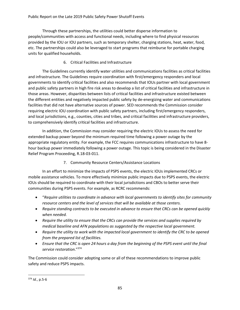Through these partnerships, the utilities could better disperse information to people/communities with access and functional needs, including where to find physical resources provided by the IOU or IOU partners, such as temporary shelter, charging stations, heat, water, food, etc. The partnerships could also be leveraged to start programs that reimburse for portable charging units for qualified households.

# 6. Critical Facilities and Infrastructure

The Guidelines currently identify water utilities and communications facilities as critical facilities and infrastructure. The Guidelines require coordination with first/emergency responders and local governments to identify critical facilities and also recommends that IOUs partner with local government and public safety partners in high fire risk areas to develop a list of critical facilities and infrastructure in those areas. However, disparities between lists of critical facilities and infrastructure existed between the different entities and negatively impacted public safety by de-energizing water and communications facilities that did not have alternative sources of power. SED recommends the Commission consider requiring electric IOU coordination with public safety partners, including first/emergency responders, and local jurisdictions, e.g., counties, cities and tribes, and critical facilities and infrastructure providers, to comprehensively identify critical facilities and infrastructure.

In addition, the Commission may consider requiring the electric IOUs to assess the need for extended backup power beyond the minimum required time following a power outage by the appropriate regulatory entity. For example, the FCC requires communications infrastructure to have 8 hour backup power immediately following a power outage. This topic is being considered in the Disaster Relief Program Proceeding, R.18-03-011.

# 7. Community Resource Centers/Assistance Locations

In an effort to minimize the impacts of PSPS events, the electric IOUs implemented CRCs or mobile assistance vehicles. To more effectively minimize public impacts due to PSPS events, the electric IOUs should be required to coordinate with their local jurisdictions and CBOs to better serve their communities during PSPS events. For example, as RCRC recommends:

- "*Require utilities to coordinate in advance with local governments to identify sites for community resource centers and the level of services that will be available at those centers.*
- *Require standing contracts to be executed in advance to ensure that CRCs can be opened quickly when needed.*
- *Require the utility to ensure that the CRCs can provide the services and supplies required by medical baseline and AFN populations as suggested by the respective local government.*
- *Require the utility to work with the impacted local government to identify the CRC to be opened from the prepared list of facilities.*
- *Ensure that the CRC is open 24 hours a day from the beginning of the PSPS event until the final service restoration*."<sup>374</sup>

The Commission could consider adopting some or all of these recommendations to improve public safety and reduce PSPS impacts.

<sup>374</sup> *Id.*, p.5-6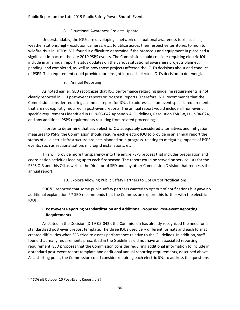# 8. Situational Awareness Projects Update

Understandably, the IOUs are developing a network of situational awareness tools, such as, weather stations, high-resolution cameras, etc., to utilize across their respective territories to monitor wildfire risks in HFTDs. SED found it difficult to determine if the protocols and equipment in place had a significant impact on the late 2019 PSPS events. The Commission could consider requiring electric IOUs include in an annual report, status updates on the various situational awareness projects planned, pending, and completed, as well as how those projects affected the IOU's decisions about and conduct of PSPS. This requirement could provide more insight into each electric IOU's decision to de-energize.

# 9. Annual Reporting

As noted earlier, SED recognizes that IOU performance regarding guideline requirements is not clearly reported in IOU post-event reports or Progress Reports. Therefore, SED recommends that the Commission consider requiring an annual report for IOUs to address all non-event specific requirements that are not explicitly required in post-event reports. The annual report would include all non-event specific requirements identified in D.19-05-042 Appendix A Guidelines, Resolution ESRB-8, D.12-04-024, and any additional PSPS requirements resulting from related proceedings.

In order to determine that each electric IOU adequately considered alternatives and mitigation measures to PSPS, the Commission should require each electric IOU to provide in an annual report the status of all electric infrastructure projects planned or in progress, relating to mitigating impacts of PSPS events, such as sectionalization, microgrid installations, etc.

This will provide more transparency into the entire PSPS process that includes preparation and coordination activities leading up to each fire season. The report could be served on service lists for the PSPS OIR and this OII as well as the Director of SED and any other Commission Division that requests the annual report.

10. Explore Allowing Public Safety Partners to Opt Out of Notifications

SDG&E reported that some public safety partners wanted to opt out of notifications but gave no additional explanation. <sup>375</sup> SED recommends that the Commission explore this further with the electric IOUs.

# **ii.Post-event Reporting Standardization and Additional Proposed Post-event Reporting Requirements**

As stated in the Decision (D.19-05-042), the Commission has already recognized the need for a standardized post-event report template. The three IOUs used very different formats and each format created difficulties when SED tried to assess performance relative to the Guidelines. In addition, staff found that many requirements prescribed in the Guidelines did not have an associated reporting requirement. SED proposes that the Commission consider requiring additional information to include in a standard post-event report template and additional annual reporting requirements, described above. As a starting point, the Commission could consider requiring each electric IOU to address the questions

<sup>375</sup> SDG&E October 10 Post-Event Report, p.37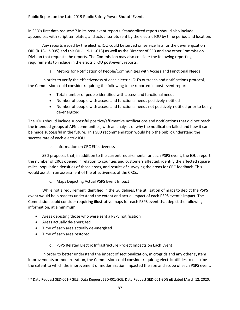in SED's first data request<sup>376</sup> in its post-event reports. Standardized reports should also include appendices with script templates, and actual scripts sent by the electric IOU by time period and location.

Any reports issued by the electric IOU could be served on service lists for the de-energization OIR (R.18-12-005) and this OII (I.19-11-013) as well as the Director of SED and any other Commission Division that requests the reports. The Commission may also consider the following reporting requirements to include in the electric IOU post-event reports.

a. Metrics for Notification of People/Communities with Access and Functional Needs

In order to verify the effectiveness of each electric IOU's outreach and notifications protocol, the Commission could consider requiring the following to be reported in post-event reports:

- Total number of people identified with access and functional needs
- Number of people with access and functional needs positively-notified
- Number of people with access and functional needs not positively-notified prior to being de-energized

The IOUs should include successful positive/affirmative notifications and notifications that did not reach the intended groups of AFN communities, with an analysis of why the notification failed and how it can be made successful in the future. This SED recommendation would help the public understand the success rate of each electric IOU.

b. Information on CRC Effectiveness

SED proposes that, in addition to the current requirements for each PSPS event, the IOUs report the number of CRCs opened in relation to counties and customers affected, identify the affected square miles, population densities of those areas, and results of surveying the areas for CRC feedback. This would assist in an assessment of the effectiveness of the CRCs.

c. Maps Depicting Actual PSPS Event Impact

While not a requirement identified in the Guidelines, the utilization of maps to depict the PSPS event would help readers understand the extent and actual impact of each PSPS event's impact. The Commission could consider requiring illustrative maps for each PSPS event that depict the following information, at a minimum:

- Areas depicting those who were sent a PSPS notification
- Areas actually de-energized
- Time of each area actually de-energized
- Time of each area restored

# d. PSPS Related Electric Infrastructure Project Impacts on Each Event

In order to better understand the impact of sectionalization, microgrids and any other system improvements or modernization, the Commission could consider requiring electric utilities to describe the extent to which the improvement or modernization impacted the size and scope of each PSPS event.

<sup>376</sup> Data Request SED-001-PG&E, Data Request SED-001-SCE, Data Request SED-001-SDG&E dated March 12, 2020.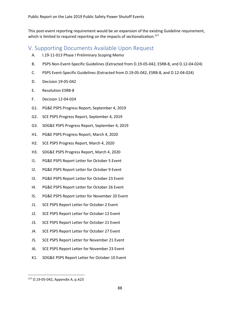This post-event reporting requirement would be an expansion of the existing Guideline requirement, which is limited to required reporting on the impacts of sectionalization.<sup>377</sup>

# V. Supporting Documents Available Upon Request

- A. I.19-11-013 Phase I Preliminary Scoping Memo
- B. PSPS Non-Event-Specific Guidelines (Extracted from D.19-05-042, ESRB-8, and D.12-04-024)
- C. PSPS Event-Specific Guidelines (Extracted from D.19-05-042, ESRB-8, and D.12-04-024)
- D. Decision 19-05-042
- E. Resolution ESRB-8
- F. Decision 12-04-024
- G1. PG&E PSPS Progress Report, September 4, 2019
- G2. SCE PSPS Progress Report, September 4, 2019
- G3. SDG&E PSPS Progress Report, September 4, 2019
- H1. PG&E PSPS Progress Report, March 4, 2020
- H2. SCE PSPS Progress Report, March 4, 2020
- H3. SDG&E PSPS Progress Report, March 4, 2020
- I1. PG&E PSPS Report Letter for October 5 Event
- I2. PG&E PSPS Report Letter for October 9 Event
- I3. PG&E PSPS Report Letter for October 23 Event
- I4. PG&E PSPS Report Letter for October 26 Event
- I5. PG&E PSPS Report Letter for November 20 Event
- J1. SCE PSPS Report Letter for October 2 Event
- J2. SCE PSPS Report Letter for October 12 Event
- J3. SCE PSPS Report Letter for October 21 Event
- J4. SCE PSPS Report Letter for October 27 Event
- J5. SCE PSPS Report Letter for November 21 Event
- J6. SCE PSPS Report Letter for November 23 Event
- K1. SDG&E PSPS Report Letter for October 10 Event

<sup>377</sup> D.19-05-042, Appendix A, p.A23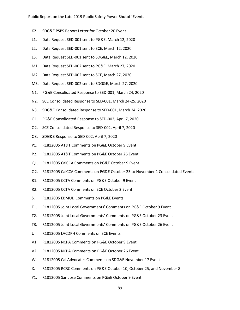- K2. SDG&E PSPS Report Letter for October 20 Event
- L1. Data Request SED-001 sent to PG&E, March 12, 2020
- L2. Data Request SED-001 sent to SCE, March 12, 2020
- L3. Data Request SED-001 sent to SDG&E, March 12, 2020
- M1. Data Request SED-002 sent to PG&E, March 27, 2020
- M2. Data Request SED-002 sent to SCE, March 27, 2020
- M3. Data Request SED-002 sent to SDG&E, March 27, 2020
- N1. PG&E Consolidated Response to SED-001, March 24, 2020
- N2. SCE Consolidated Response to SED-001, March 24-25, 2020
- N3. SDG&E Consolidated Response to SED-001, March 24, 2020
- O1. PG&E Consolidated Response to SED-002, April 7, 2020
- O2. SCE Consolidated Response to SED-002, April 7, 2020
- O3. SDG&E Response to SED-002, April 7, 2020
- P1. R1812005 AT&T Comments on PG&E October 9 Event
- P2. R1812005 AT&T Comments on PG&E October 26 Event
- Q1. R1812005 CalCCA Comments on PG&E October 9 Event
- Q2. R1812005 CalCCA Comments on PG&E October 23 to November 1 Consolidated Events
- R1. R1812005 CCTA Comments on PG&E October 9 Event
- R2. R1812005 CCTA Comments on SCE October 2 Event
- S. R1812005 EBMUD Comments on PG&E Events
- T1. R1812005 Joint Local Governments' Comments on PG&E October 9 Event
- T2. R1812005 Joint Local Governments' Comments on PG&E October 23 Event
- T3. R1812005 Joint Local Governments' Comments on PG&E October 26 Event
- U. R1812005 LACDPH Comments on SCE Events
- V1. R1812005 NCPA Comments on PG&E October 9 Event
- V2. R1812005 NCPA Comments on PG&E October 26 Event
- W. R1812005 Cal Advocates Comments on SDG&E November 17 Event
- X. R1812005 RCRC Comments on PG&E October 10, October 25, and November 8
- Y1. R1812005 San Jose Comments on PG&E October 9 Event